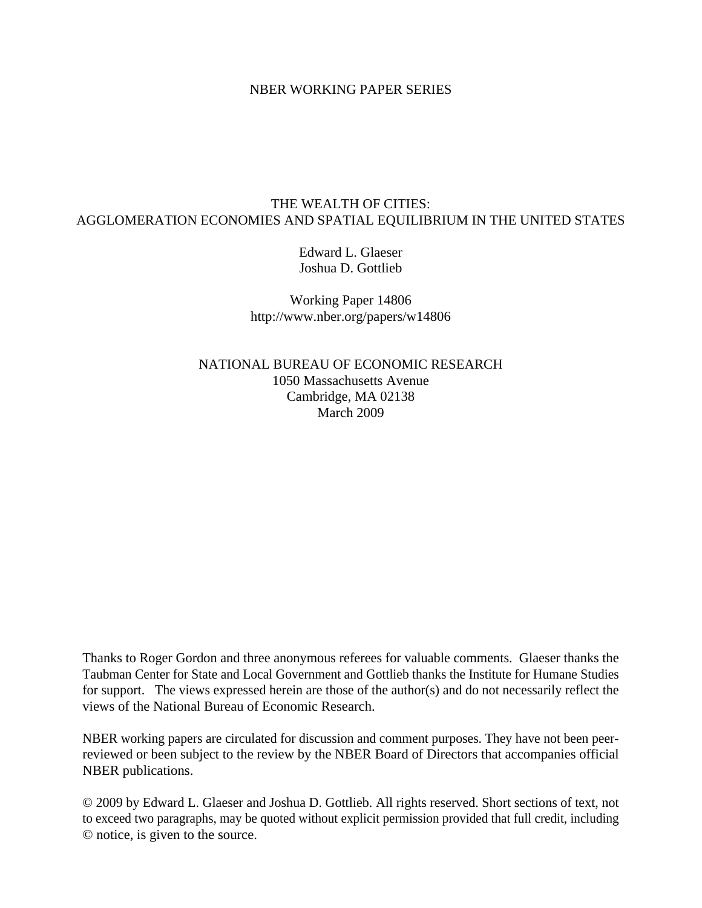## NBER WORKING PAPER SERIES

# THE WEALTH OF CITIES: AGGLOMERATION ECONOMIES AND SPATIAL EQUILIBRIUM IN THE UNITED STATES

Edward L. Glaeser Joshua D. Gottlieb

Working Paper 14806 http://www.nber.org/papers/w14806

NATIONAL BUREAU OF ECONOMIC RESEARCH 1050 Massachusetts Avenue Cambridge, MA 02138 March 2009

Thanks to Roger Gordon and three anonymous referees for valuable comments. Glaeser thanks the Taubman Center for State and Local Government and Gottlieb thanks the Institute for Humane Studies for support. The views expressed herein are those of the author(s) and do not necessarily reflect the views of the National Bureau of Economic Research.

NBER working papers are circulated for discussion and comment purposes. They have not been peerreviewed or been subject to the review by the NBER Board of Directors that accompanies official NBER publications.

© 2009 by Edward L. Glaeser and Joshua D. Gottlieb. All rights reserved. Short sections of text, not to exceed two paragraphs, may be quoted without explicit permission provided that full credit, including © notice, is given to the source.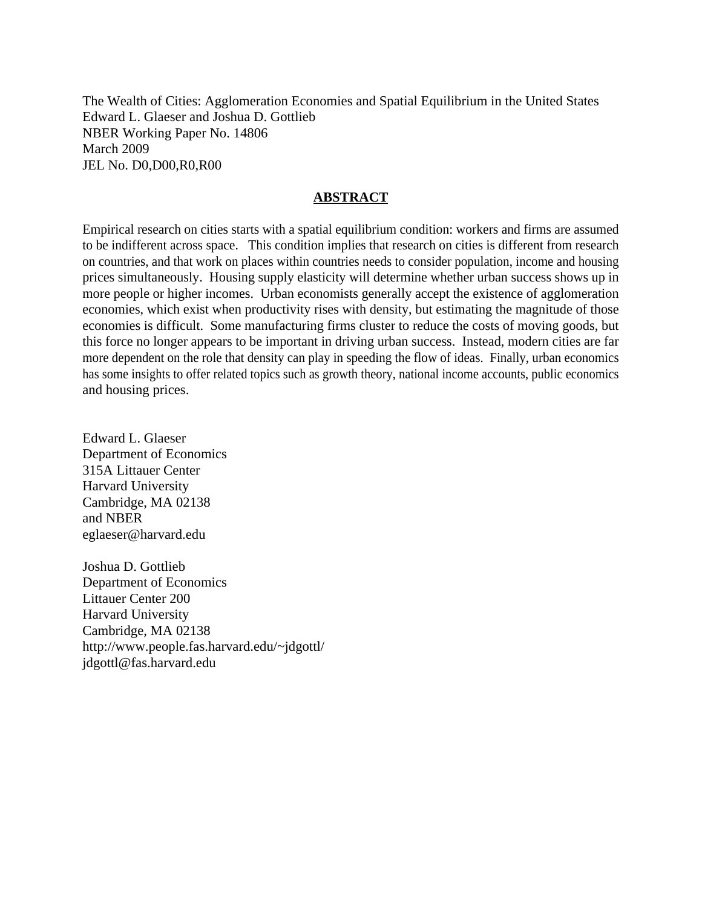The Wealth of Cities: Agglomeration Economies and Spatial Equilibrium in the United States Edward L. Glaeser and Joshua D. Gottlieb NBER Working Paper No. 14806 March 2009 JEL No. D0,D00,R0,R00

## **ABSTRACT**

Empirical research on cities starts with a spatial equilibrium condition: workers and firms are assumed to be indifferent across space. This condition implies that research on cities is different from research on countries, and that work on places within countries needs to consider population, income and housing prices simultaneously. Housing supply elasticity will determine whether urban success shows up in more people or higher incomes. Urban economists generally accept the existence of agglomeration economies, which exist when productivity rises with density, but estimating the magnitude of those economies is difficult. Some manufacturing firms cluster to reduce the costs of moving goods, but this force no longer appears to be important in driving urban success. Instead, modern cities are far more dependent on the role that density can play in speeding the flow of ideas. Finally, urban economics has some insights to offer related topics such as growth theory, national income accounts, public economics and housing prices.

Edward L. Glaeser Department of Economics 315A Littauer Center Harvard University Cambridge, MA 02138 and NBER eglaeser@harvard.edu

Joshua D. Gottlieb Department of Economics Littauer Center 200 Harvard University Cambridge, MA 02138 http://www.people.fas.harvard.edu/~jdgottl/ jdgottl@fas.harvard.edu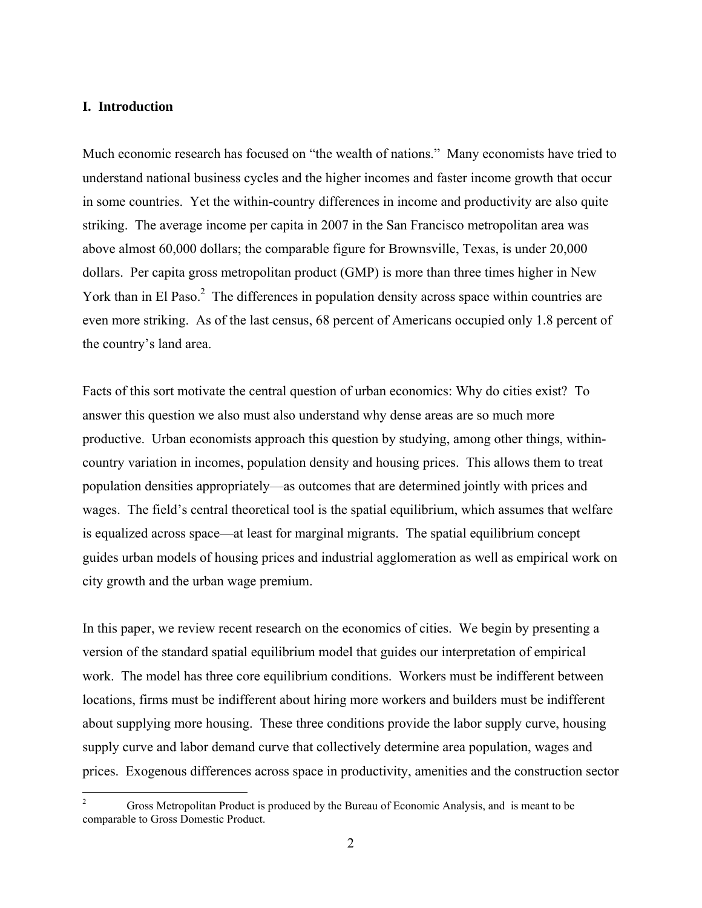## **I. Introduction**

Much economic research has focused on "the wealth of nations." Many economists have tried to understand national business cycles and the higher incomes and faster income growth that occur in some countries. Yet the within-country differences in income and productivity are also quite striking. The average income per capita in 2007 in the San Francisco metropolitan area was above almost 60,000 dollars; the comparable figure for Brownsville, Texas, is under 20,000 dollars. Per capita gross metropolitan product (GMP) is more than three times higher in New York than in El Paso. $<sup>2</sup>$  The differences in population density across space within countries are</sup> even more striking. As of the last census, 68 percent of Americans occupied only 1.8 percent of the country's land area.

Facts of this sort motivate the central question of urban economics: Why do cities exist? To answer this question we also must also understand why dense areas are so much more productive. Urban economists approach this question by studying, among other things, withincountry variation in incomes, population density and housing prices. This allows them to treat population densities appropriately—as outcomes that are determined jointly with prices and wages. The field's central theoretical tool is the spatial equilibrium, which assumes that welfare is equalized across space—at least for marginal migrants. The spatial equilibrium concept guides urban models of housing prices and industrial agglomeration as well as empirical work on city growth and the urban wage premium.

In this paper, we review recent research on the economics of cities. We begin by presenting a version of the standard spatial equilibrium model that guides our interpretation of empirical work. The model has three core equilibrium conditions. Workers must be indifferent between locations, firms must be indifferent about hiring more workers and builders must be indifferent about supplying more housing. These three conditions provide the labor supply curve, housing supply curve and labor demand curve that collectively determine area population, wages and prices. Exogenous differences across space in productivity, amenities and the construction sector

 $\frac{1}{2}$  Gross Metropolitan Product is produced by the Bureau of Economic Analysis, and is meant to be comparable to Gross Domestic Product.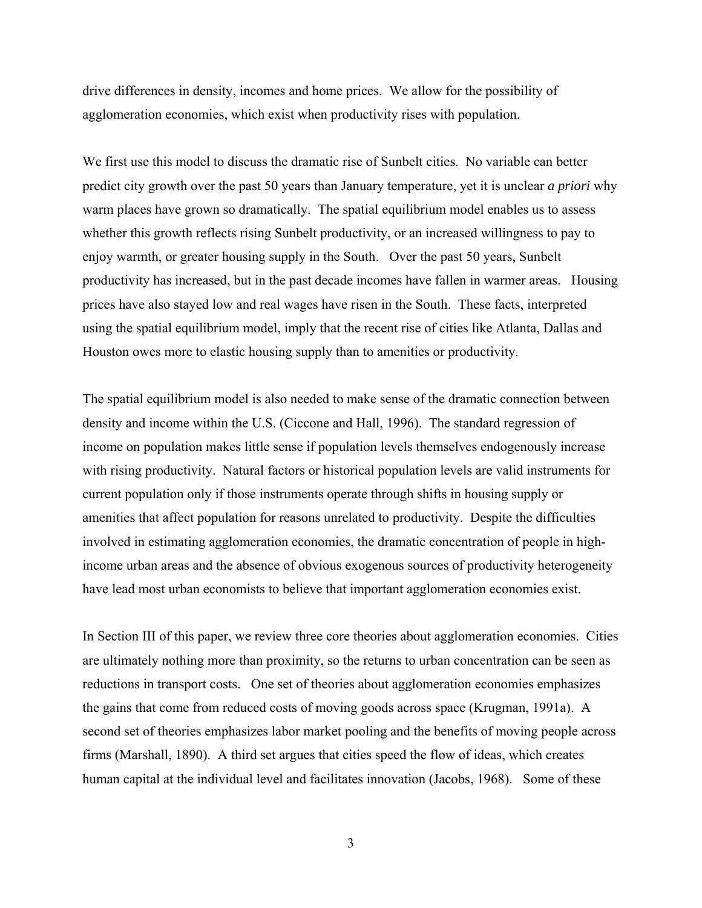drive differences in density, incomes and home prices. We allow for the possibility of agglomeration economies, which exist when productivity rises with population.

We first use this model to discuss the dramatic rise of Sunbelt cities. No variable can better predict city growth over the past 50 years than January temperature, yet it is unclear *a priori* why warm places have grown so dramatically. The spatial equilibrium model enables us to assess whether this growth reflects rising Sunbelt productivity, or an increased willingness to pay to enjoy warmth, or greater housing supply in the South. Over the past 50 years, Sunbelt productivity has increased, but in the past decade incomes have fallen in warmer areas. Housing prices have also stayed low and real wages have risen in the South. These facts, interpreted using the spatial equilibrium model, imply that the recent rise of cities like Atlanta, Dallas and Houston owes more to elastic housing supply than to amenities or productivity.

The spatial equilibrium model is also needed to make sense of the dramatic connection between density and income within the U.S. (Ciccone and Hall, 1996). The standard regression of income on population makes little sense if population levels themselves endogenously increase with rising productivity. Natural factors or historical population levels are valid instruments for current population only if those instruments operate through shifts in housing supply or amenities that affect population for reasons unrelated to productivity. Despite the difficulties involved in estimating agglomeration economies, the dramatic concentration of people in highincome urban areas and the absence of obvious exogenous sources of productivity heterogeneity have lead most urban economists to believe that important agglomeration economies exist.

In Section III of this paper, we review three core theories about agglomeration economies. Cities are ultimately nothing more than proximity, so the returns to urban concentration can be seen as reductions in transport costs. One set of theories about agglomeration economies emphasizes the gains that come from reduced costs of moving goods across space (Krugman, 1991a). A second set of theories emphasizes labor market pooling and the benefits of moving people across firms (Marshall, 1890). A third set argues that cities speed the flow of ideas, which creates human capital at the individual level and facilitates innovation (Jacobs, 1968). Some of these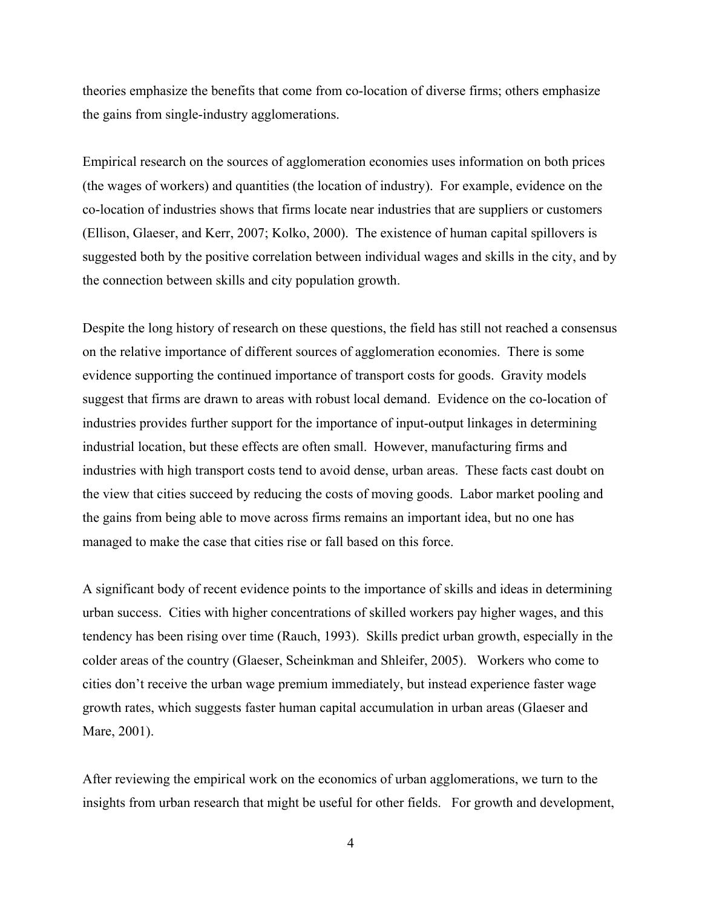theories emphasize the benefits that come from co-location of diverse firms; others emphasize the gains from single-industry agglomerations.

Empirical research on the sources of agglomeration economies uses information on both prices (the wages of workers) and quantities (the location of industry). For example, evidence on the co-location of industries shows that firms locate near industries that are suppliers or customers (Ellison, Glaeser, and Kerr, 2007; Kolko, 2000). The existence of human capital spillovers is suggested both by the positive correlation between individual wages and skills in the city, and by the connection between skills and city population growth.

Despite the long history of research on these questions, the field has still not reached a consensus on the relative importance of different sources of agglomeration economies. There is some evidence supporting the continued importance of transport costs for goods. Gravity models suggest that firms are drawn to areas with robust local demand. Evidence on the co-location of industries provides further support for the importance of input-output linkages in determining industrial location, but these effects are often small. However, manufacturing firms and industries with high transport costs tend to avoid dense, urban areas. These facts cast doubt on the view that cities succeed by reducing the costs of moving goods. Labor market pooling and the gains from being able to move across firms remains an important idea, but no one has managed to make the case that cities rise or fall based on this force.

A significant body of recent evidence points to the importance of skills and ideas in determining urban success. Cities with higher concentrations of skilled workers pay higher wages, and this tendency has been rising over time (Rauch, 1993). Skills predict urban growth, especially in the colder areas of the country (Glaeser, Scheinkman and Shleifer, 2005). Workers who come to cities don't receive the urban wage premium immediately, but instead experience faster wage growth rates, which suggests faster human capital accumulation in urban areas (Glaeser and Mare, 2001).

After reviewing the empirical work on the economics of urban agglomerations, we turn to the insights from urban research that might be useful for other fields. For growth and development,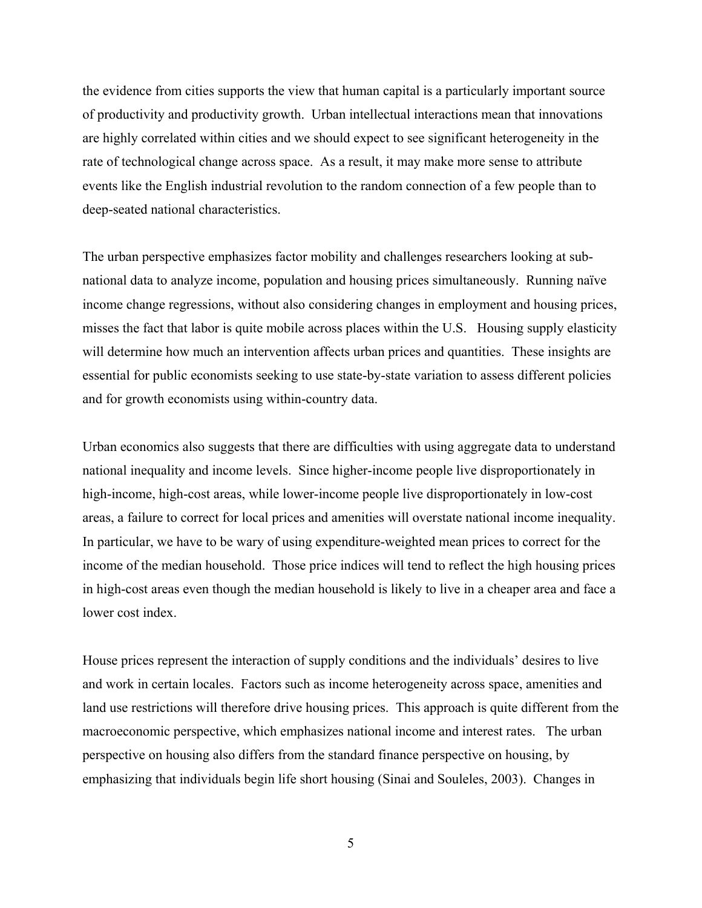the evidence from cities supports the view that human capital is a particularly important source of productivity and productivity growth. Urban intellectual interactions mean that innovations are highly correlated within cities and we should expect to see significant heterogeneity in the rate of technological change across space. As a result, it may make more sense to attribute events like the English industrial revolution to the random connection of a few people than to deep-seated national characteristics.

The urban perspective emphasizes factor mobility and challenges researchers looking at subnational data to analyze income, population and housing prices simultaneously. Running naïve income change regressions, without also considering changes in employment and housing prices, misses the fact that labor is quite mobile across places within the U.S. Housing supply elasticity will determine how much an intervention affects urban prices and quantities. These insights are essential for public economists seeking to use state-by-state variation to assess different policies and for growth economists using within-country data.

Urban economics also suggests that there are difficulties with using aggregate data to understand national inequality and income levels. Since higher-income people live disproportionately in high-income, high-cost areas, while lower-income people live disproportionately in low-cost areas, a failure to correct for local prices and amenities will overstate national income inequality. In particular, we have to be wary of using expenditure-weighted mean prices to correct for the income of the median household. Those price indices will tend to reflect the high housing prices in high-cost areas even though the median household is likely to live in a cheaper area and face a lower cost index.

House prices represent the interaction of supply conditions and the individuals' desires to live and work in certain locales. Factors such as income heterogeneity across space, amenities and land use restrictions will therefore drive housing prices. This approach is quite different from the macroeconomic perspective, which emphasizes national income and interest rates. The urban perspective on housing also differs from the standard finance perspective on housing, by emphasizing that individuals begin life short housing (Sinai and Souleles, 2003). Changes in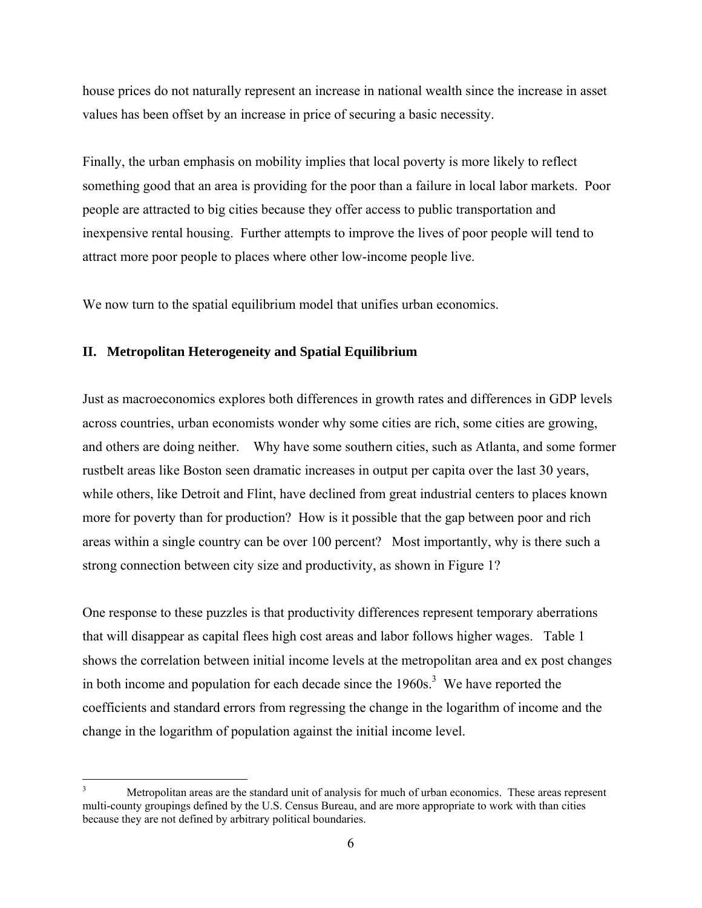house prices do not naturally represent an increase in national wealth since the increase in asset values has been offset by an increase in price of securing a basic necessity.

Finally, the urban emphasis on mobility implies that local poverty is more likely to reflect something good that an area is providing for the poor than a failure in local labor markets. Poor people are attracted to big cities because they offer access to public transportation and inexpensive rental housing. Further attempts to improve the lives of poor people will tend to attract more poor people to places where other low-income people live.

We now turn to the spatial equilibrium model that unifies urban economics.

## **II. Metropolitan Heterogeneity and Spatial Equilibrium**

 $\overline{a}$ 

Just as macroeconomics explores both differences in growth rates and differences in GDP levels across countries, urban economists wonder why some cities are rich, some cities are growing, and others are doing neither. Why have some southern cities, such as Atlanta, and some former rustbelt areas like Boston seen dramatic increases in output per capita over the last 30 years, while others, like Detroit and Flint, have declined from great industrial centers to places known more for poverty than for production? How is it possible that the gap between poor and rich areas within a single country can be over 100 percent? Most importantly, why is there such a strong connection between city size and productivity, as shown in Figure 1?

One response to these puzzles is that productivity differences represent temporary aberrations that will disappear as capital flees high cost areas and labor follows higher wages. Table 1 shows the correlation between initial income levels at the metropolitan area and ex post changes in both income and population for each decade since the  $1960s$ <sup>3</sup>. We have reported the coefficients and standard errors from regressing the change in the logarithm of income and the change in the logarithm of population against the initial income level.

<sup>3</sup> Metropolitan areas are the standard unit of analysis for much of urban economics. These areas represent multi-county groupings defined by the U.S. Census Bureau, and are more appropriate to work with than cities because they are not defined by arbitrary political boundaries.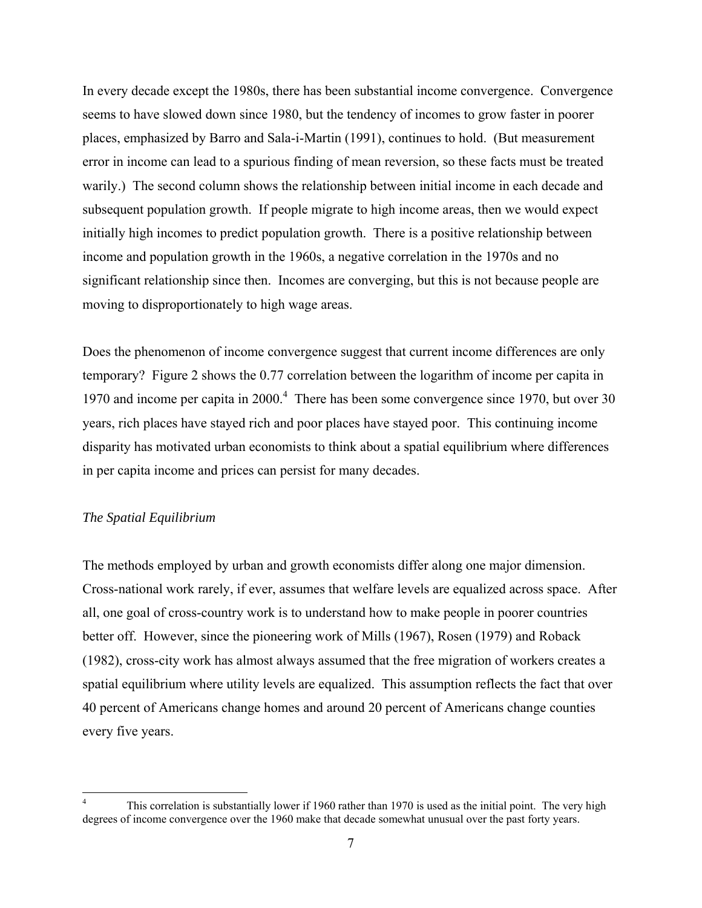In every decade except the 1980s, there has been substantial income convergence. Convergence seems to have slowed down since 1980, but the tendency of incomes to grow faster in poorer places, emphasized by Barro and Sala-i-Martin (1991), continues to hold. (But measurement error in income can lead to a spurious finding of mean reversion, so these facts must be treated warily.) The second column shows the relationship between initial income in each decade and subsequent population growth. If people migrate to high income areas, then we would expect initially high incomes to predict population growth. There is a positive relationship between income and population growth in the 1960s, a negative correlation in the 1970s and no significant relationship since then. Incomes are converging, but this is not because people are moving to disproportionately to high wage areas.

Does the phenomenon of income convergence suggest that current income differences are only temporary? Figure 2 shows the 0.77 correlation between the logarithm of income per capita in 1970 and income per capita in 2000.<sup>4</sup> There has been some convergence since 1970, but over 30 years, rich places have stayed rich and poor places have stayed poor. This continuing income disparity has motivated urban economists to think about a spatial equilibrium where differences in per capita income and prices can persist for many decades.

## *The Spatial Equilibrium*

 $\overline{a}$ 

The methods employed by urban and growth economists differ along one major dimension. Cross-national work rarely, if ever, assumes that welfare levels are equalized across space. After all, one goal of cross-country work is to understand how to make people in poorer countries better off. However, since the pioneering work of Mills (1967), Rosen (1979) and Roback (1982), cross-city work has almost always assumed that the free migration of workers creates a spatial equilibrium where utility levels are equalized. This assumption reflects the fact that over 40 percent of Americans change homes and around 20 percent of Americans change counties every five years.

<sup>4</sup> This correlation is substantially lower if 1960 rather than 1970 is used as the initial point. The very high degrees of income convergence over the 1960 make that decade somewhat unusual over the past forty years.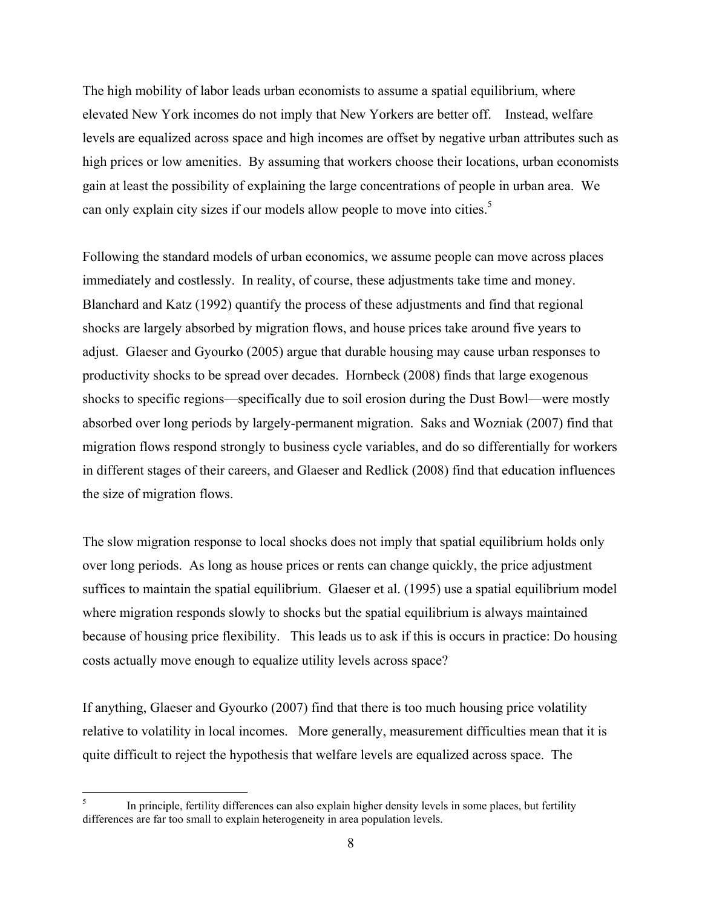The high mobility of labor leads urban economists to assume a spatial equilibrium, where elevated New York incomes do not imply that New Yorkers are better off. Instead, welfare levels are equalized across space and high incomes are offset by negative urban attributes such as high prices or low amenities. By assuming that workers choose their locations, urban economists gain at least the possibility of explaining the large concentrations of people in urban area. We can only explain city sizes if our models allow people to move into cities.<sup>5</sup>

Following the standard models of urban economics, we assume people can move across places immediately and costlessly. In reality, of course, these adjustments take time and money. Blanchard and Katz (1992) quantify the process of these adjustments and find that regional shocks are largely absorbed by migration flows, and house prices take around five years to adjust. Glaeser and Gyourko (2005) argue that durable housing may cause urban responses to productivity shocks to be spread over decades. Hornbeck (2008) finds that large exogenous shocks to specific regions—specifically due to soil erosion during the Dust Bowl—were mostly absorbed over long periods by largely-permanent migration. Saks and Wozniak (2007) find that migration flows respond strongly to business cycle variables, and do so differentially for workers in different stages of their careers, and Glaeser and Redlick (2008) find that education influences the size of migration flows.

The slow migration response to local shocks does not imply that spatial equilibrium holds only over long periods. As long as house prices or rents can change quickly, the price adjustment suffices to maintain the spatial equilibrium. Glaeser et al. (1995) use a spatial equilibrium model where migration responds slowly to shocks but the spatial equilibrium is always maintained because of housing price flexibility. This leads us to ask if this is occurs in practice: Do housing costs actually move enough to equalize utility levels across space?

If anything, Glaeser and Gyourko (2007) find that there is too much housing price volatility relative to volatility in local incomes. More generally, measurement difficulties mean that it is quite difficult to reject the hypothesis that welfare levels are equalized across space. The

 $\overline{a}$ 

<sup>5</sup> In principle, fertility differences can also explain higher density levels in some places, but fertility differences are far too small to explain heterogeneity in area population levels.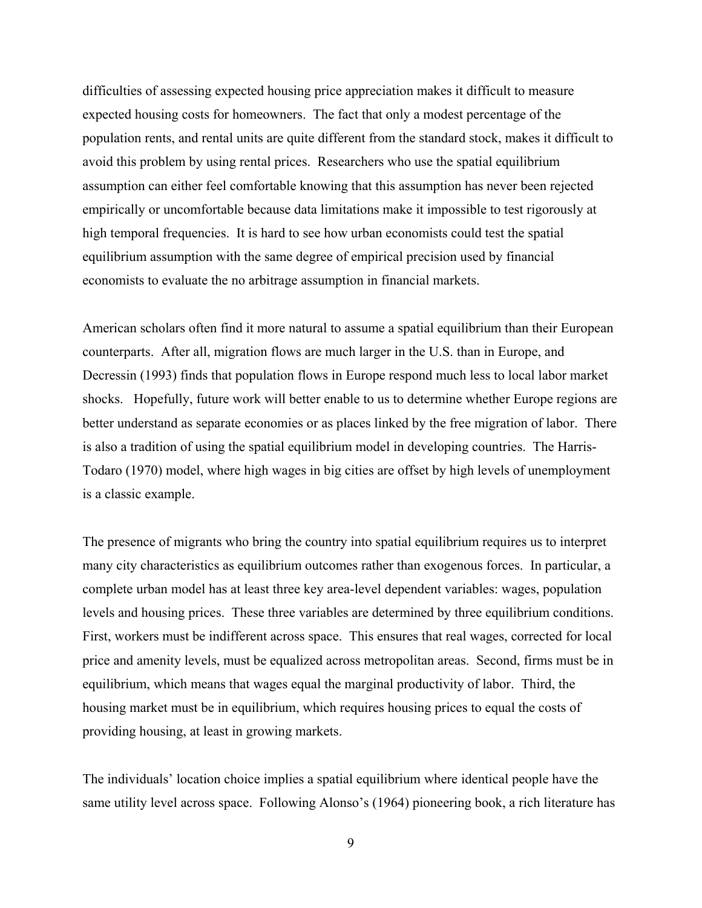difficulties of assessing expected housing price appreciation makes it difficult to measure expected housing costs for homeowners. The fact that only a modest percentage of the population rents, and rental units are quite different from the standard stock, makes it difficult to avoid this problem by using rental prices. Researchers who use the spatial equilibrium assumption can either feel comfortable knowing that this assumption has never been rejected empirically or uncomfortable because data limitations make it impossible to test rigorously at high temporal frequencies. It is hard to see how urban economists could test the spatial equilibrium assumption with the same degree of empirical precision used by financial economists to evaluate the no arbitrage assumption in financial markets.

American scholars often find it more natural to assume a spatial equilibrium than their European counterparts. After all, migration flows are much larger in the U.S. than in Europe, and Decressin (1993) finds that population flows in Europe respond much less to local labor market shocks. Hopefully, future work will better enable to us to determine whether Europe regions are better understand as separate economies or as places linked by the free migration of labor. There is also a tradition of using the spatial equilibrium model in developing countries. The Harris-Todaro (1970) model, where high wages in big cities are offset by high levels of unemployment is a classic example.

The presence of migrants who bring the country into spatial equilibrium requires us to interpret many city characteristics as equilibrium outcomes rather than exogenous forces. In particular, a complete urban model has at least three key area-level dependent variables: wages, population levels and housing prices. These three variables are determined by three equilibrium conditions. First, workers must be indifferent across space. This ensures that real wages, corrected for local price and amenity levels, must be equalized across metropolitan areas. Second, firms must be in equilibrium, which means that wages equal the marginal productivity of labor. Third, the housing market must be in equilibrium, which requires housing prices to equal the costs of providing housing, at least in growing markets.

The individuals' location choice implies a spatial equilibrium where identical people have the same utility level across space. Following Alonso's (1964) pioneering book, a rich literature has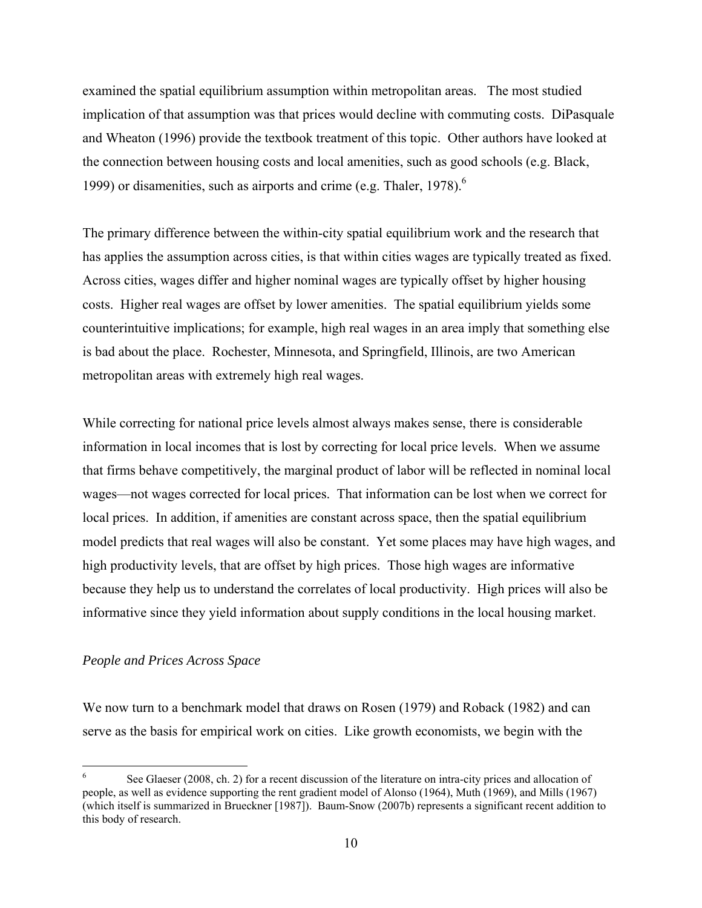examined the spatial equilibrium assumption within metropolitan areas. The most studied implication of that assumption was that prices would decline with commuting costs. DiPasquale and Wheaton (1996) provide the textbook treatment of this topic. Other authors have looked at the connection between housing costs and local amenities, such as good schools (e.g. Black, 1999) or disamenities, such as airports and crime (e.g. Thaler, 1978).<sup>6</sup>

The primary difference between the within-city spatial equilibrium work and the research that has applies the assumption across cities, is that within cities wages are typically treated as fixed. Across cities, wages differ and higher nominal wages are typically offset by higher housing costs. Higher real wages are offset by lower amenities. The spatial equilibrium yields some counterintuitive implications; for example, high real wages in an area imply that something else is bad about the place. Rochester, Minnesota, and Springfield, Illinois, are two American metropolitan areas with extremely high real wages.

While correcting for national price levels almost always makes sense, there is considerable information in local incomes that is lost by correcting for local price levels. When we assume that firms behave competitively, the marginal product of labor will be reflected in nominal local wages—not wages corrected for local prices. That information can be lost when we correct for local prices. In addition, if amenities are constant across space, then the spatial equilibrium model predicts that real wages will also be constant. Yet some places may have high wages, and high productivity levels, that are offset by high prices. Those high wages are informative because they help us to understand the correlates of local productivity. High prices will also be informative since they yield information about supply conditions in the local housing market.

## *People and Prices Across Space*

 $\overline{a}$ 

We now turn to a benchmark model that draws on Rosen (1979) and Roback (1982) and can serve as the basis for empirical work on cities. Like growth economists, we begin with the

<sup>6</sup> See Glaeser (2008, ch. 2) for a recent discussion of the literature on intra-city prices and allocation of people, as well as evidence supporting the rent gradient model of Alonso (1964), Muth (1969), and Mills (1967) (which itself is summarized in Brueckner [1987]). Baum-Snow (2007b) represents a significant recent addition to this body of research.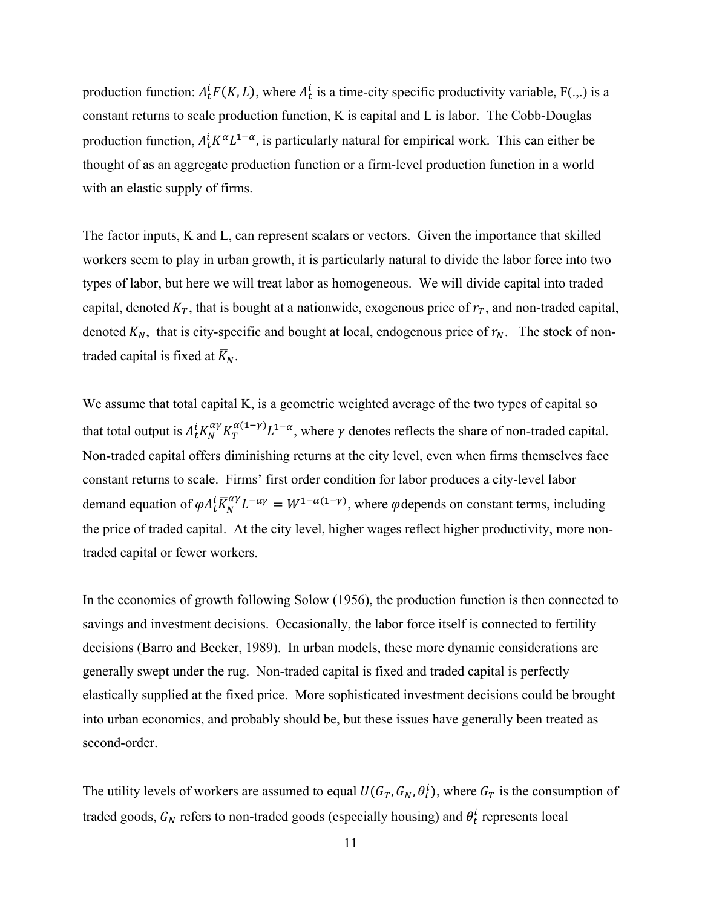production function:  $A_t^i F(K, L)$ , where  $A_t^i$  is a time-city specific productivity variable, F(.,.) is a constant returns to scale production function, K is capital and L is labor. The Cobb-Douglas production function,  $A_t^i K^{\alpha} L^{1-\alpha}$ , is particularly natural for empirical work. This can either be thought of as an aggregate production function or a firm-level production function in a world with an elastic supply of firms.

The factor inputs, K and L, can represent scalars or vectors. Given the importance that skilled workers seem to play in urban growth, it is particularly natural to divide the labor force into two types of labor, but here we will treat labor as homogeneous. We will divide capital into traded capital, denoted  $K_T$ , that is bought at a nationwide, exogenous price of  $r_T$ , and non-traded capital, denoted  $K_N$ , that is city-specific and bought at local, endogenous price of  $r_N$ . The stock of nontraded capital is fixed at  $\overline{K}_N$ .

We assume that total capital K, is a geometric weighted average of the two types of capital so that total output is  $A_t^i K_N^{\alpha\gamma} K_T^{\alpha(1-\gamma)} L^{1-\alpha}$ , where  $\gamma$  denotes reflects the share of non-traded capital. Non-traded capital offers diminishing returns at the city level, even when firms themselves face constant returns to scale. Firms' first order condition for labor produces a city-level labor demand equation of  $\varphi A_t^i \overline{K}_N^{\alpha\gamma} L^{-\alpha\gamma} = W^{1-\alpha(1-\gamma)}$ , where  $\varphi$  depends on constant terms, including the price of traded capital. At the city level, higher wages reflect higher productivity, more nontraded capital or fewer workers.

In the economics of growth following Solow (1956), the production function is then connected to savings and investment decisions. Occasionally, the labor force itself is connected to fertility decisions (Barro and Becker, 1989). In urban models, these more dynamic considerations are generally swept under the rug. Non-traded capital is fixed and traded capital is perfectly elastically supplied at the fixed price. More sophisticated investment decisions could be brought into urban economics, and probably should be, but these issues have generally been treated as second-order.

The utility levels of workers are assumed to equal  $U(G_T, G_N, \theta_t^i)$ , where  $G_T$  is the consumption of traded goods,  $G_N$  refers to non-traded goods (especially housing) and  $\theta_t^i$  represents local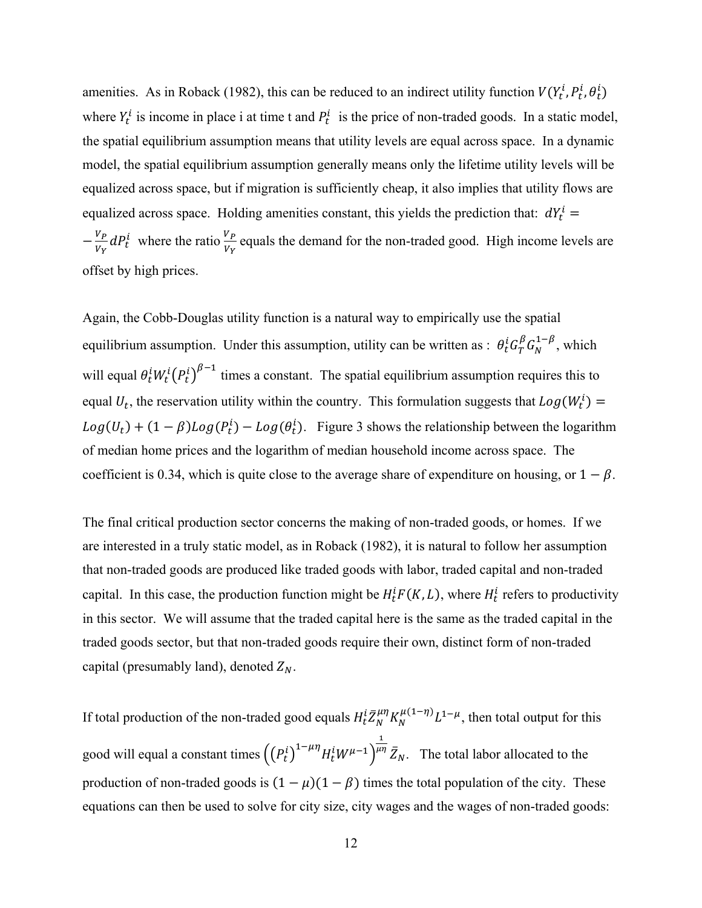amenities. As in Roback (1982), this can be reduced to an indirect utility function  $V(Y_t^i, P_t^i, \theta_t^i)$ where  $Y_t^i$  is income in place i at time t and  $P_t^i$  is the price of non-traded goods. In a static model, the spatial equilibrium assumption means that utility levels are equal across space. In a dynamic model, the spatial equilibrium assumption generally means only the lifetime utility levels will be equalized across space, but if migration is sufficiently cheap, it also implies that utility flows are equalized across space. Holding amenities constant, this yields the prediction that:  $dY_t^i$  =  $-\frac{V_P}{V_Y}dP_t^i$  where the ratio  $\frac{V_P}{V_Y}$  equals the demand for the non-traded good. High income levels are offset by high prices.

Again, the Cobb-Douglas utility function is a natural way to empirically use the spatial equilibrium assumption. Under this assumption, utility can be written as :  $\theta_t^i G_T^{\beta} G_N^{1-\beta}$ , which will equal  $\theta_t^i W_t^i (P_t^i)^{\beta - 1}$  times a constant. The spatial equilibrium assumption requires this to equal  $U_t$ , the reservation utility within the country. This formulation suggests that  $Log(W_t^i)$  =  $Log(U_t) + (1 - \beta)Log(P_t^i) - Log(\theta_t^i)$ . Figure 3 shows the relationship between the logarithm of median home prices and the logarithm of median household income across space. The coefficient is 0.34, which is quite close to the average share of expenditure on housing, or  $1 - \beta$ .

The final critical production sector concerns the making of non-traded goods, or homes. If we are interested in a truly static model, as in Roback (1982), it is natural to follow her assumption that non-traded goods are produced like traded goods with labor, traded capital and non-traded capital. In this case, the production function might be  $H_t^i F(K, L)$ , where  $H_t^i$  refers to productivity in this sector. We will assume that the traded capital here is the same as the traded capital in the traded goods sector, but that non-traded goods require their own, distinct form of non-traded capital (presumably land), denoted  $Z_N$ .

If total production of the non-traded good equals  $H_t^i \bar{Z}_N^{\mu} K_N^{\mu(1-\eta)} L^{1-\mu}$ , then total output for this good will equal a constant times  $((P_t^i)^{1-\mu\eta} H_t^i W^{\mu-1})$ భ  $\mu$ <sup>n</sup>  $\bar{Z}_N$ . The total labor allocated to the production of non-traded goods is  $(1 - \mu)(1 - \beta)$  times the total population of the city. These equations can then be used to solve for city size, city wages and the wages of non-traded goods: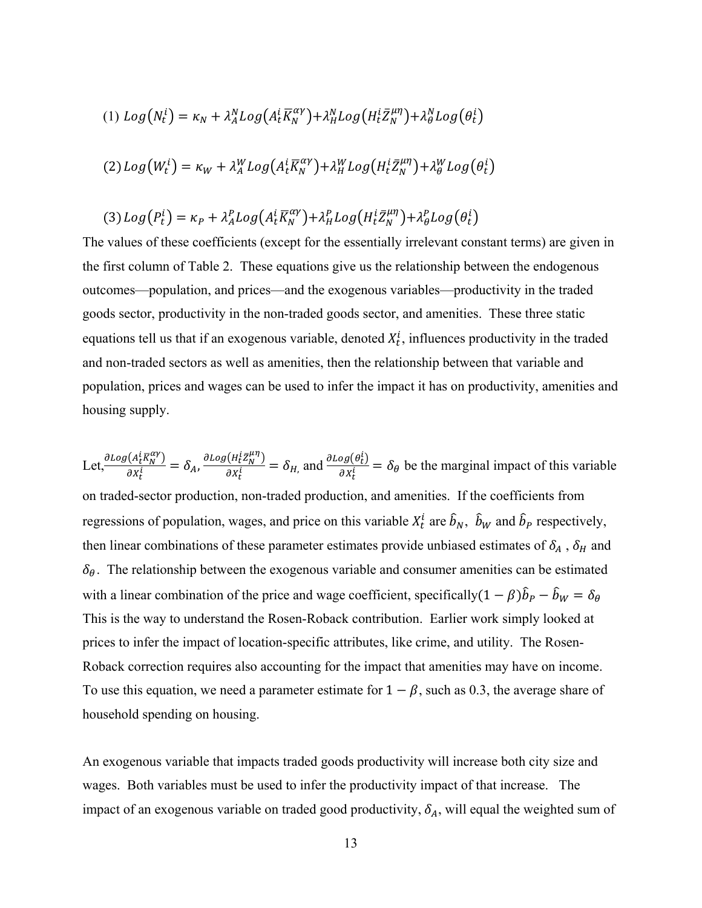$$
(1) Log(N_t^i) = \kappa_N + \lambda_A^N Log(A_t^i \overline{K}_N^{\alpha \gamma}) + \lambda_H^N Log(H_t^i \overline{Z}_N^{\mu \eta}) + \lambda_\theta^N Log(\theta_t^i)
$$
  

$$
(2) Log(W_t^i) = \kappa_W + \lambda_A^W Log(A_t^i \overline{K}_N^{\alpha \gamma}) + \lambda_H^W Log(H_t^i \overline{Z}_N^{\mu \eta}) + \lambda_\theta^W Log(\theta_t^i)
$$

$$
(3) Log(P_t^i) = \kappa_P + \lambda_A^P Log(A_t^i \overline{K}_N^{\alpha Y}) + \lambda_H^P Log(H_t^i \overline{Z}_N^{\mu \eta}) + \lambda_P^P Log(\theta_t^i)
$$

The values of these coefficients (except for the essentially irrelevant constant terms) are given in the first column of Table 2. These equations give us the relationship between the endogenous outcomes—population, and prices—and the exogenous variables—productivity in the traded goods sector, productivity in the non-traded goods sector, and amenities. These three static equations tell us that if an exogenous variable, denoted  $X_t^i$ , influences productivity in the traded and non-traded sectors as well as amenities, then the relationship between that variable and population, prices and wages can be used to infer the impact it has on productivity, amenities and housing supply.

Let,  $\frac{\partial Log(A_t^i \overline{K}_N^{\alpha \gamma})}{\partial x_i^i}$  $\frac{d\left(A_t^i \overline{K}_N^{\alpha\gamma}\right)}{\partial X_t^i} = \delta_A, \frac{\partial Log(H_t^i \overline{Z}_N^{\mu\eta})}{\partial X_t^i}$  $\frac{\partial (H_t^i Z_N^{\mu \eta})}{\partial x_i^i} = \delta_{H_i}$  and  $\frac{\partial Log(\theta_t^i)}{\partial x_i^i}$  $\frac{\partial g(v_t)}{\partial x_t^i} = \delta_\theta$  be the marginal impact of this variable on traded-sector production, non-traded production, and amenities. If the coefficients from regressions of population, wages, and price on this variable  $X_t^i$  are  $\hat{b}_N$ ,  $\hat{b}_W$  and  $\hat{b}_P$  respectively, then linear combinations of these parameter estimates provide unbiased estimates of  $\delta_A$ ,  $\delta_H$  and  $\delta_{\theta}$ . The relationship between the exogenous variable and consumer amenities can be estimated with a linear combination of the price and wage coefficient, specifically  $(1 - \beta)\hat{b}_P - \hat{b}_W = \delta_\theta$ This is the way to understand the Rosen-Roback contribution. Earlier work simply looked at prices to infer the impact of location-specific attributes, like crime, and utility. The Rosen-Roback correction requires also accounting for the impact that amenities may have on income. To use this equation, we need a parameter estimate for  $1-\beta$ , such as 0.3, the average share of household spending on housing.

An exogenous variable that impacts traded goods productivity will increase both city size and wages. Both variables must be used to infer the productivity impact of that increase. The impact of an exogenous variable on traded good productivity,  $\delta_A$ , will equal the weighted sum of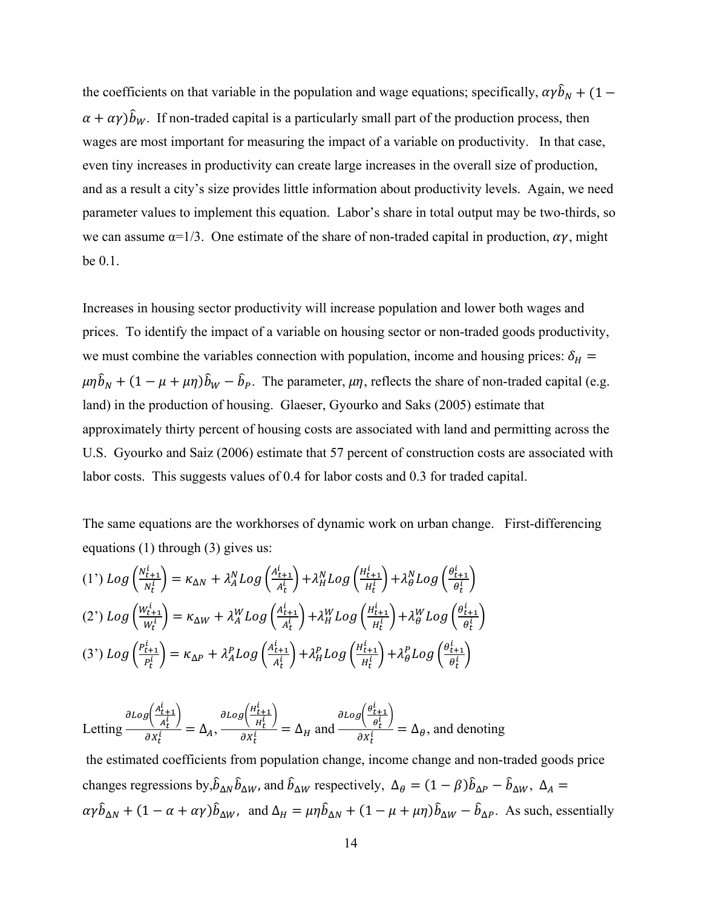the coefficients on that variable in the population and wage equations; specifically,  $\alpha \gamma \hat{b}_N + (1 - \gamma)$  $(\alpha + \alpha \gamma)\hat{b}_W$ . If non-traded capital is a particularly small part of the production process, then wages are most important for measuring the impact of a variable on productivity. In that case, even tiny increases in productivity can create large increases in the overall size of production, and as a result a city's size provides little information about productivity levels. Again, we need parameter values to implement this equation. Labor's share in total output may be two-thirds, so we can assume  $\alpha=1/3$ . One estimate of the share of non-traded capital in production,  $\alpha\gamma$ , might be 0.1.

Increases in housing sector productivity will increase population and lower both wages and prices. To identify the impact of a variable on housing sector or non-traded goods productivity, we must combine the variables connection with population, income and housing prices:  $\delta_H$  =  $\mu\eta\hat{b}_N + (1 - \mu + \mu\eta)\hat{b}_W - \hat{b}_P$ . The parameter,  $\mu\eta$ , reflects the share of non-traded capital (e.g. land) in the production of housing. Glaeser, Gyourko and Saks (2005) estimate that approximately thirty percent of housing costs are associated with land and permitting across the U.S. Gyourko and Saiz (2006) estimate that 57 percent of construction costs are associated with labor costs. This suggests values of 0.4 for labor costs and 0.3 for traded capital.

The same equations are the workhorses of dynamic work on urban change. First-differencing equations (1) through (3) gives us:

$$
(1') Log \left(\frac{N_{t+1}^i}{N_t^i}\right) = \kappa_{\Delta N} + \lambda_A^N Log \left(\frac{A_{t+1}^i}{A_t^i}\right) + \lambda_H^N Log \left(\frac{H_{t+1}^i}{H_t^i}\right) + \lambda_\theta^N Log \left(\frac{\theta_{t+1}^i}{\theta_t^i}\right)
$$
\n
$$
(2') Log \left(\frac{W_{t+1}^i}{W_t^i}\right) = \kappa_{\Delta W} + \lambda_A^W Log \left(\frac{A_{t+1}^i}{A_t^i}\right) + \lambda_H^W Log \left(\frac{H_{t+1}^i}{H_t^i}\right) + \lambda_\theta^W Log \left(\frac{\theta_{t+1}^i}{\theta_t^i}\right)
$$
\n
$$
(3') Log \left(\frac{P_{t+1}^i}{P_t^i}\right) = \kappa_{\Delta P} + \lambda_A^P Log \left(\frac{A_{t+1}^i}{A_t^i}\right) + \lambda_H^P Log \left(\frac{H_{t+1}^i}{H_t^i}\right) + \lambda_\theta^P Log \left(\frac{\theta_{t+1}^i}{\theta_t^i}\right)
$$

Letting  $\partial Log\left(\frac{A_{t+1}^i}{i}\right)$  $\frac{t+1}{A_t^i}$  $\frac{\Delta H_t}{\partial x_t^i} = \Delta_A,$  $\partial Log\left(\frac{H_{t+1}^i}{4}\right)$  $\frac{t+1}{H_t^i}$  $\frac{\Delta H_t}{\partial x_t^i} = \Delta_H$  and  $\partial Log\left(\frac{\theta_{t+1}^i}{\theta_{t+1}^i}\right)$  $\frac{t+1}{\theta_t^i}$  $\frac{\partial u}{\partial x_i^i} = \Delta_\theta$ , and denoting

 the estimated coefficients from population change, income change and non-traded goods price changes regressions by,  $\hat{b}_{\Delta N} \hat{b}_{\Delta W}$ , and  $\hat{b}_{\Delta W}$  respectively,  $\Delta_{\theta} = (1 - \beta) \hat{b}_{\Delta P} - \hat{b}_{\Delta W}$ ,  $\Delta_A =$  $\alpha \gamma \hat{b}_{\Delta N} + (1 - \alpha + \alpha \gamma) \hat{b}_{\Delta W}$ , and  $\Delta_H = \mu \eta \hat{b}_{\Delta N} + (1 - \mu + \mu \eta) \hat{b}_{\Delta W} - \hat{b}_{\Delta P}$ . As such, essentially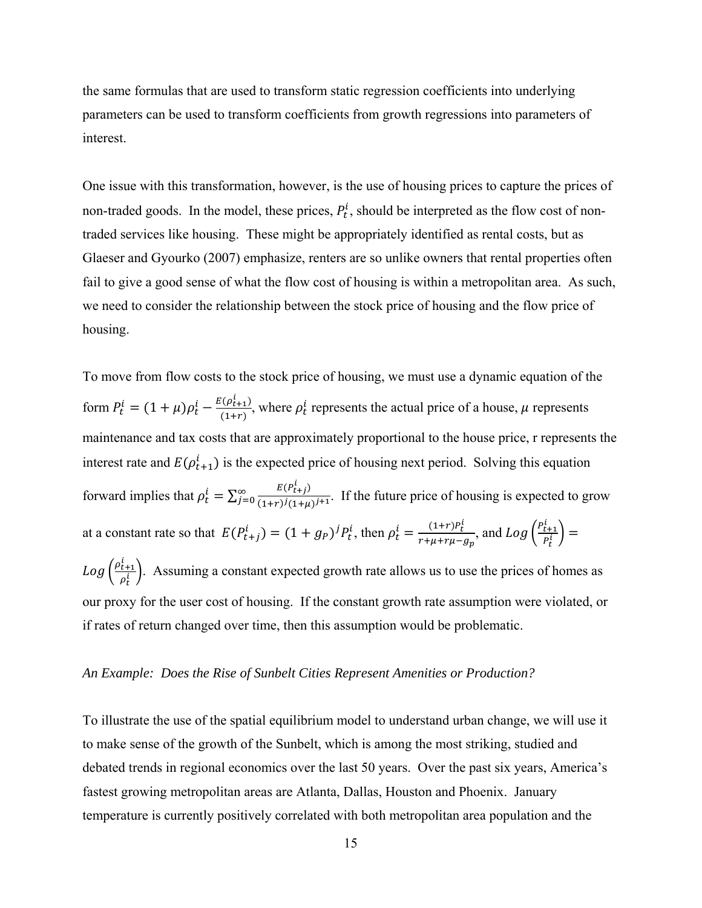the same formulas that are used to transform static regression coefficients into underlying parameters can be used to transform coefficients from growth regressions into parameters of interest.

One issue with this transformation, however, is the use of housing prices to capture the prices of non-traded goods. In the model, these prices,  $P_t^i$ , should be interpreted as the flow cost of nontraded services like housing. These might be appropriately identified as rental costs, but as Glaeser and Gyourko (2007) emphasize, renters are so unlike owners that rental properties often fail to give a good sense of what the flow cost of housing is within a metropolitan area. As such, we need to consider the relationship between the stock price of housing and the flow price of housing.

To move from flow costs to the stock price of housing, we must use a dynamic equation of the form  $P_t^i = (1 + \mu)\rho_t^i - \frac{E(\rho_{t+1}^i)}{(1+r)}$ , where  $\rho_t^i$  represents the actual price of a house,  $\mu$  represents maintenance and tax costs that are approximately proportional to the house price, r represents the interest rate and  $E(\rho_{t+1}^i)$  is the expected price of housing next period. Solving this equation forward implies that  $\rho_t^i = \sum_{j=0}^{\infty} \frac{E(P_{t+j}^i)}{(1+r)^i(1+u)}$  $(1+r)^{j}(1+\mu)^{j+1}$  $\sum_{j=0}^{\infty} \frac{E(r_{t+j})}{(1+r)(1+y)^{j+1}}$ . If the future price of housing is expected to grow at a constant rate so that  $E(P_{t+j}^i) = (1 + g_P)^j P_t^i$ , then  $\rho_t^i = \frac{(1+r)P_t^i}{r + u + ru}$  $\frac{(1+r)p_t^i}{r+\mu+r\mu-g_p}$ , and  $Log\left(\frac{p_{t+1}^i}{p_t^i}\right)$  $\frac{t+1}{P_t^i}\Big)=$  $Log\left(\frac{\rho_{t+1}^i}{\rho_{t+1}^i}\right)$  $\frac{t+1}{\rho_t^i}$ . Assuming a constant expected growth rate allows us to use the prices of homes as our proxy for the user cost of housing. If the constant growth rate assumption were violated, or if rates of return changed over time, then this assumption would be problematic.

#### *An Example: Does the Rise of Sunbelt Cities Represent Amenities or Production?*

To illustrate the use of the spatial equilibrium model to understand urban change, we will use it to make sense of the growth of the Sunbelt, which is among the most striking, studied and debated trends in regional economics over the last 50 years. Over the past six years, America's fastest growing metropolitan areas are Atlanta, Dallas, Houston and Phoenix. January temperature is currently positively correlated with both metropolitan area population and the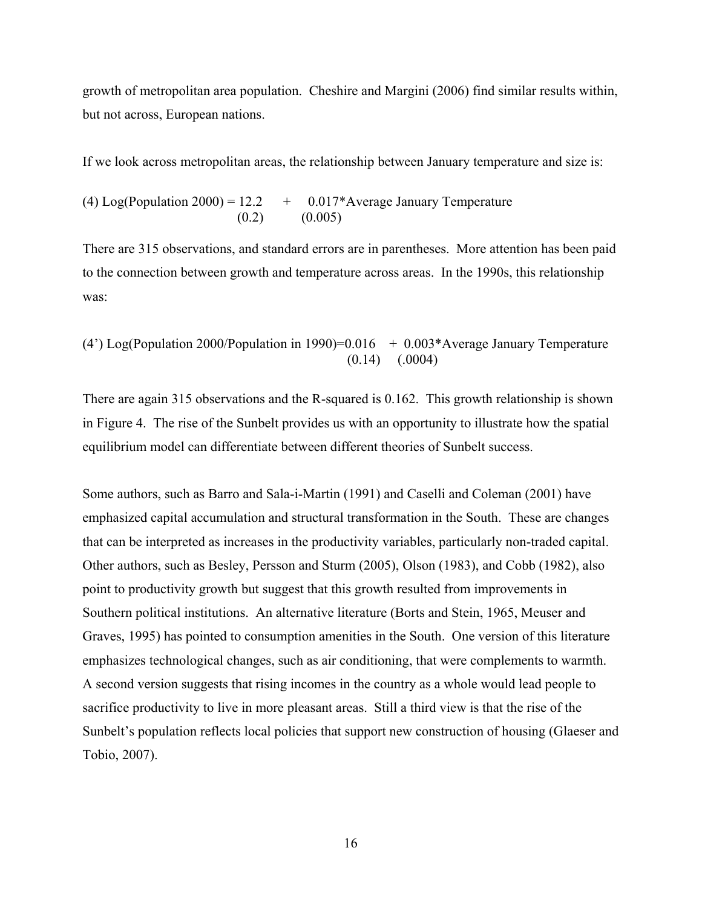growth of metropolitan area population. Cheshire and Margini (2006) find similar results within, but not across, European nations.

If we look across metropolitan areas, the relationship between January temperature and size is:

(4) Log(Population 2000) = 12.2 + 
$$
0.017
$$
\*Average January Temperature  
(0.2) (0.005)

There are 315 observations, and standard errors are in parentheses. More attention has been paid to the connection between growth and temperature across areas. In the 1990s, this relationship was:

(4') Log(Population 2000/Population in 1990)=0.016 + 0.003\*Average January Temperature  $(0.14)$   $(.0004)$ 

There are again 315 observations and the R-squared is 0.162. This growth relationship is shown in Figure 4. The rise of the Sunbelt provides us with an opportunity to illustrate how the spatial equilibrium model can differentiate between different theories of Sunbelt success.

Some authors, such as Barro and Sala-i-Martin (1991) and Caselli and Coleman (2001) have emphasized capital accumulation and structural transformation in the South. These are changes that can be interpreted as increases in the productivity variables, particularly non-traded capital. Other authors, such as Besley, Persson and Sturm (2005), Olson (1983), and Cobb (1982), also point to productivity growth but suggest that this growth resulted from improvements in Southern political institutions. An alternative literature (Borts and Stein, 1965, Meuser and Graves, 1995) has pointed to consumption amenities in the South. One version of this literature emphasizes technological changes, such as air conditioning, that were complements to warmth. A second version suggests that rising incomes in the country as a whole would lead people to sacrifice productivity to live in more pleasant areas. Still a third view is that the rise of the Sunbelt's population reflects local policies that support new construction of housing (Glaeser and Tobio, 2007).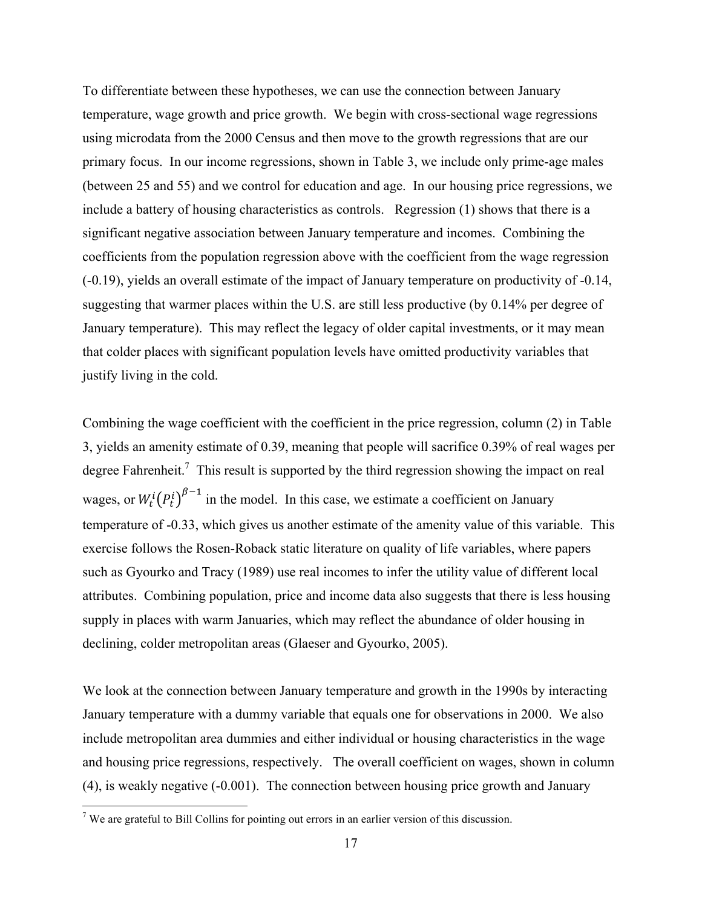To differentiate between these hypotheses, we can use the connection between January temperature, wage growth and price growth. We begin with cross-sectional wage regressions using microdata from the 2000 Census and then move to the growth regressions that are our primary focus. In our income regressions, shown in Table 3, we include only prime-age males (between 25 and 55) and we control for education and age. In our housing price regressions, we include a battery of housing characteristics as controls. Regression (1) shows that there is a significant negative association between January temperature and incomes. Combining the coefficients from the population regression above with the coefficient from the wage regression (-0.19), yields an overall estimate of the impact of January temperature on productivity of -0.14, suggesting that warmer places within the U.S. are still less productive (by 0.14% per degree of January temperature). This may reflect the legacy of older capital investments, or it may mean that colder places with significant population levels have omitted productivity variables that justify living in the cold.

Combining the wage coefficient with the coefficient in the price regression, column (2) in Table 3, yields an amenity estimate of 0.39, meaning that people will sacrifice 0.39% of real wages per degree Fahrenheit.<sup>7</sup> This result is supported by the third regression showing the impact on real wages, or  $W_t^i (P_t^i)^{\beta-1}$  in the model. In this case, we estimate a coefficient on January temperature of -0.33, which gives us another estimate of the amenity value of this variable. This exercise follows the Rosen-Roback static literature on quality of life variables, where papers such as Gyourko and Tracy (1989) use real incomes to infer the utility value of different local attributes. Combining population, price and income data also suggests that there is less housing supply in places with warm Januaries, which may reflect the abundance of older housing in declining, colder metropolitan areas (Glaeser and Gyourko, 2005).

We look at the connection between January temperature and growth in the 1990s by interacting January temperature with a dummy variable that equals one for observations in 2000. We also include metropolitan area dummies and either individual or housing characteristics in the wage and housing price regressions, respectively. The overall coefficient on wages, shown in column (4), is weakly negative (-0.001). The connection between housing price growth and January

<sup>&</sup>lt;sup>7</sup> We are grateful to Bill Collins for pointing out errors in an earlier version of this discussion.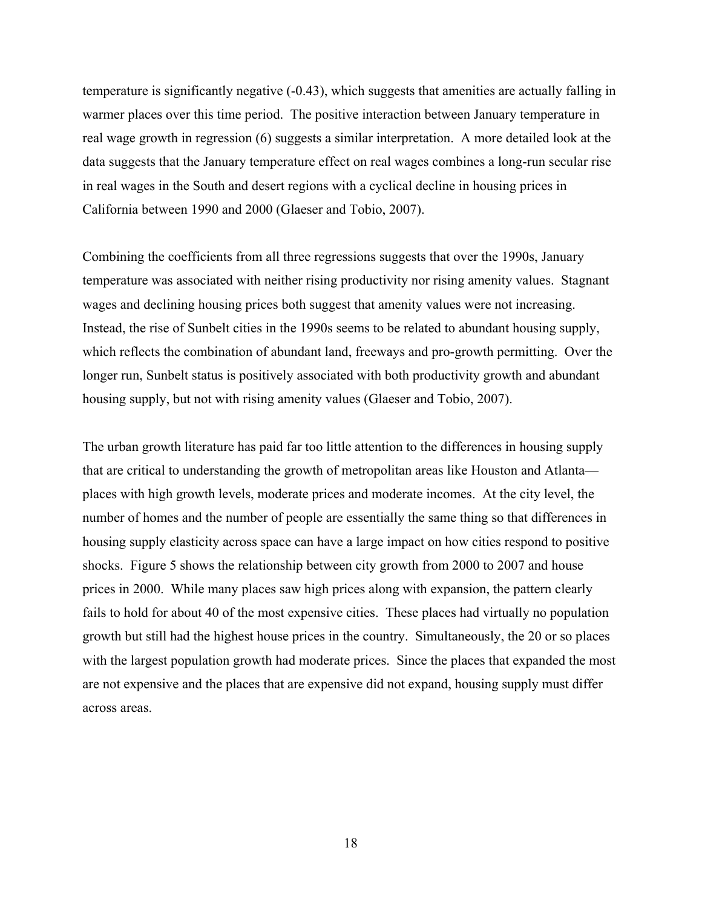temperature is significantly negative (-0.43), which suggests that amenities are actually falling in warmer places over this time period. The positive interaction between January temperature in real wage growth in regression (6) suggests a similar interpretation. A more detailed look at the data suggests that the January temperature effect on real wages combines a long-run secular rise in real wages in the South and desert regions with a cyclical decline in housing prices in California between 1990 and 2000 (Glaeser and Tobio, 2007).

Combining the coefficients from all three regressions suggests that over the 1990s, January temperature was associated with neither rising productivity nor rising amenity values. Stagnant wages and declining housing prices both suggest that amenity values were not increasing. Instead, the rise of Sunbelt cities in the 1990s seems to be related to abundant housing supply, which reflects the combination of abundant land, freeways and pro-growth permitting. Over the longer run, Sunbelt status is positively associated with both productivity growth and abundant housing supply, but not with rising amenity values (Glaeser and Tobio, 2007).

The urban growth literature has paid far too little attention to the differences in housing supply that are critical to understanding the growth of metropolitan areas like Houston and Atlanta places with high growth levels, moderate prices and moderate incomes. At the city level, the number of homes and the number of people are essentially the same thing so that differences in housing supply elasticity across space can have a large impact on how cities respond to positive shocks. Figure 5 shows the relationship between city growth from 2000 to 2007 and house prices in 2000. While many places saw high prices along with expansion, the pattern clearly fails to hold for about 40 of the most expensive cities. These places had virtually no population growth but still had the highest house prices in the country. Simultaneously, the 20 or so places with the largest population growth had moderate prices. Since the places that expanded the most are not expensive and the places that are expensive did not expand, housing supply must differ across areas.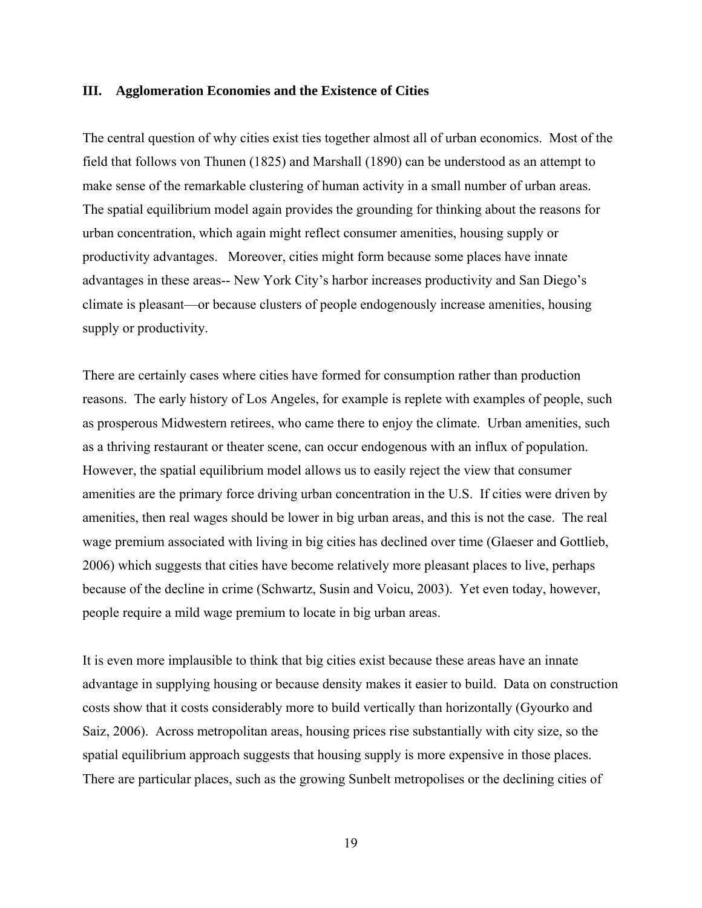### **III. Agglomeration Economies and the Existence of Cities**

The central question of why cities exist ties together almost all of urban economics. Most of the field that follows von Thunen (1825) and Marshall (1890) can be understood as an attempt to make sense of the remarkable clustering of human activity in a small number of urban areas. The spatial equilibrium model again provides the grounding for thinking about the reasons for urban concentration, which again might reflect consumer amenities, housing supply or productivity advantages. Moreover, cities might form because some places have innate advantages in these areas-- New York City's harbor increases productivity and San Diego's climate is pleasant—or because clusters of people endogenously increase amenities, housing supply or productivity.

There are certainly cases where cities have formed for consumption rather than production reasons. The early history of Los Angeles, for example is replete with examples of people, such as prosperous Midwestern retirees, who came there to enjoy the climate. Urban amenities, such as a thriving restaurant or theater scene, can occur endogenous with an influx of population. However, the spatial equilibrium model allows us to easily reject the view that consumer amenities are the primary force driving urban concentration in the U.S. If cities were driven by amenities, then real wages should be lower in big urban areas, and this is not the case. The real wage premium associated with living in big cities has declined over time (Glaeser and Gottlieb, 2006) which suggests that cities have become relatively more pleasant places to live, perhaps because of the decline in crime (Schwartz, Susin and Voicu, 2003). Yet even today, however, people require a mild wage premium to locate in big urban areas.

It is even more implausible to think that big cities exist because these areas have an innate advantage in supplying housing or because density makes it easier to build. Data on construction costs show that it costs considerably more to build vertically than horizontally (Gyourko and Saiz, 2006). Across metropolitan areas, housing prices rise substantially with city size, so the spatial equilibrium approach suggests that housing supply is more expensive in those places. There are particular places, such as the growing Sunbelt metropolises or the declining cities of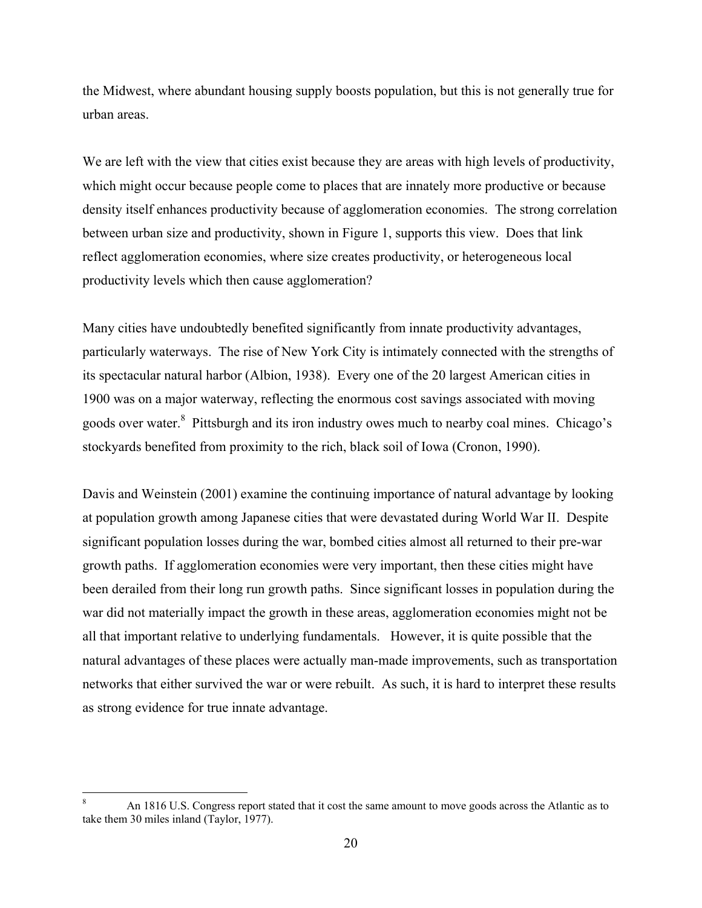the Midwest, where abundant housing supply boosts population, but this is not generally true for urban areas.

We are left with the view that cities exist because they are areas with high levels of productivity, which might occur because people come to places that are innately more productive or because density itself enhances productivity because of agglomeration economies. The strong correlation between urban size and productivity, shown in Figure 1, supports this view. Does that link reflect agglomeration economies, where size creates productivity, or heterogeneous local productivity levels which then cause agglomeration?

Many cities have undoubtedly benefited significantly from innate productivity advantages, particularly waterways. The rise of New York City is intimately connected with the strengths of its spectacular natural harbor (Albion, 1938). Every one of the 20 largest American cities in 1900 was on a major waterway, reflecting the enormous cost savings associated with moving goods over water.<sup>8</sup> Pittsburgh and its iron industry owes much to nearby coal mines. Chicago's stockyards benefited from proximity to the rich, black soil of Iowa (Cronon, 1990).

Davis and Weinstein (2001) examine the continuing importance of natural advantage by looking at population growth among Japanese cities that were devastated during World War II. Despite significant population losses during the war, bombed cities almost all returned to their pre-war growth paths. If agglomeration economies were very important, then these cities might have been derailed from their long run growth paths. Since significant losses in population during the war did not materially impact the growth in these areas, agglomeration economies might not be all that important relative to underlying fundamentals. However, it is quite possible that the natural advantages of these places were actually man-made improvements, such as transportation networks that either survived the war or were rebuilt. As such, it is hard to interpret these results as strong evidence for true innate advantage.

 $\overline{a}$ 

<sup>8</sup> An 1816 U.S. Congress report stated that it cost the same amount to move goods across the Atlantic as to take them 30 miles inland (Taylor, 1977).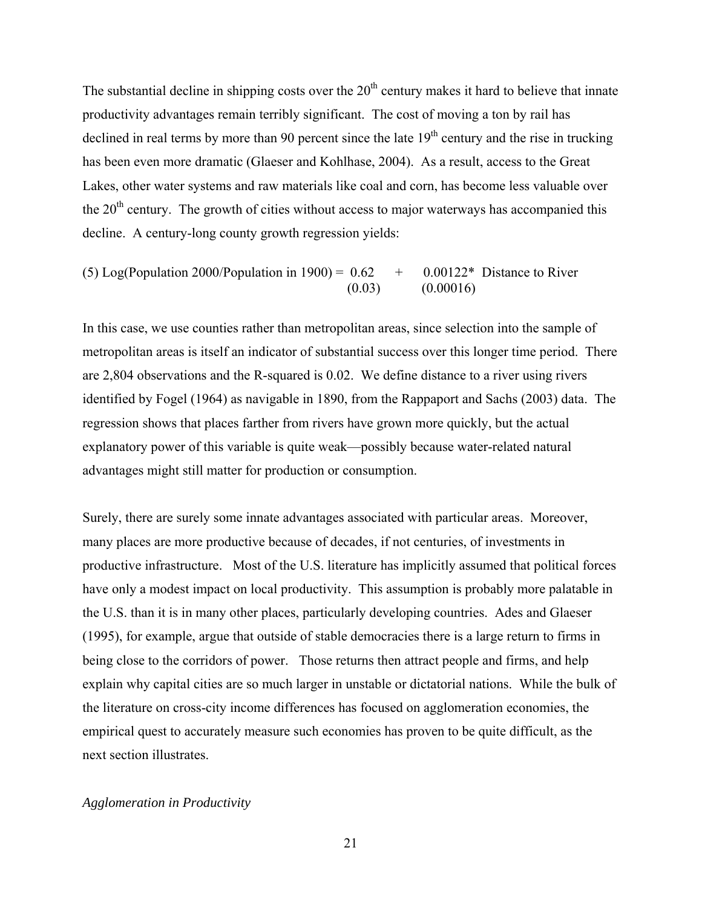The substantial decline in shipping costs over the  $20<sup>th</sup>$  century makes it hard to believe that innate productivity advantages remain terribly significant. The cost of moving a ton by rail has declined in real terms by more than 90 percent since the late  $19<sup>th</sup>$  century and the rise in trucking has been even more dramatic (Glaeser and Kohlhase, 2004). As a result, access to the Great Lakes, other water systems and raw materials like coal and corn, has become less valuable over the  $20<sup>th</sup>$  century. The growth of cities without access to major waterways has accompanied this decline. A century-long county growth regression yields:

(5) Log(Population 2000/Population in 1900) =  $0.62 + 0.00122$  \* Distance to River  $(0.03)$   $(0.00016)$ 

In this case, we use counties rather than metropolitan areas, since selection into the sample of metropolitan areas is itself an indicator of substantial success over this longer time period. There are 2,804 observations and the R-squared is 0.02. We define distance to a river using rivers identified by Fogel (1964) as navigable in 1890, from the Rappaport and Sachs (2003) data. The regression shows that places farther from rivers have grown more quickly, but the actual explanatory power of this variable is quite weak—possibly because water-related natural advantages might still matter for production or consumption.

Surely, there are surely some innate advantages associated with particular areas. Moreover, many places are more productive because of decades, if not centuries, of investments in productive infrastructure. Most of the U.S. literature has implicitly assumed that political forces have only a modest impact on local productivity. This assumption is probably more palatable in the U.S. than it is in many other places, particularly developing countries. Ades and Glaeser (1995), for example, argue that outside of stable democracies there is a large return to firms in being close to the corridors of power. Those returns then attract people and firms, and help explain why capital cities are so much larger in unstable or dictatorial nations. While the bulk of the literature on cross-city income differences has focused on agglomeration economies, the empirical quest to accurately measure such economies has proven to be quite difficult, as the next section illustrates.

## *Agglomeration in Productivity*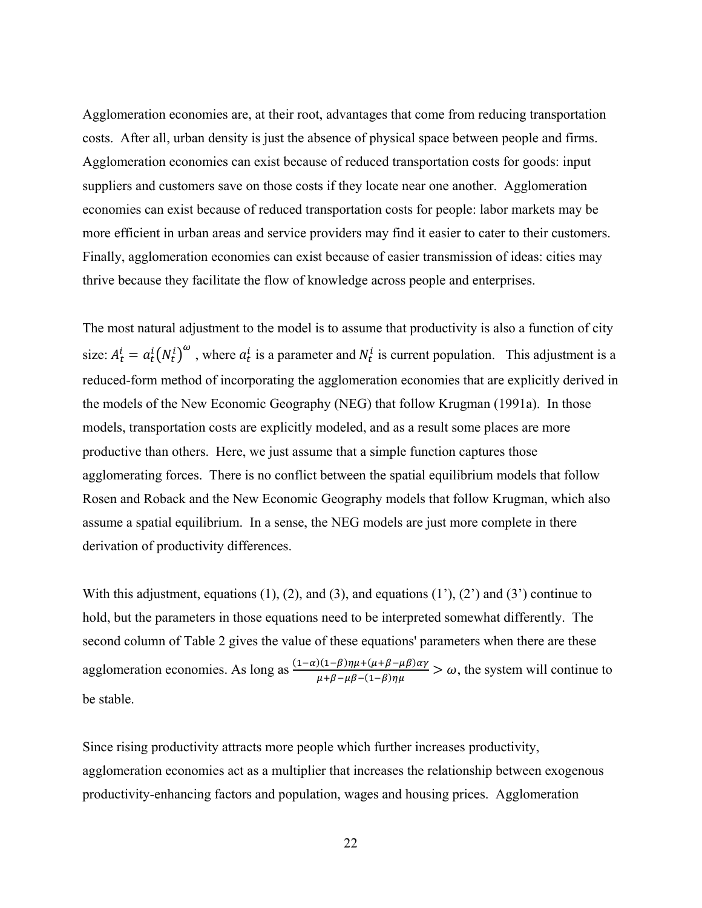Agglomeration economies are, at their root, advantages that come from reducing transportation costs. After all, urban density is just the absence of physical space between people and firms. Agglomeration economies can exist because of reduced transportation costs for goods: input suppliers and customers save on those costs if they locate near one another. Agglomeration economies can exist because of reduced transportation costs for people: labor markets may be more efficient in urban areas and service providers may find it easier to cater to their customers. Finally, agglomeration economies can exist because of easier transmission of ideas: cities may thrive because they facilitate the flow of knowledge across people and enterprises.

The most natural adjustment to the model is to assume that productivity is also a function of city size:  $A_t^i = a_t^i (N_t^i)^\omega$ , where  $a_t^i$  is a parameter and  $N_t^i$  is current population. This adjustment is a reduced-form method of incorporating the agglomeration economies that are explicitly derived in the models of the New Economic Geography (NEG) that follow Krugman (1991a). In those models, transportation costs are explicitly modeled, and as a result some places are more productive than others. Here, we just assume that a simple function captures those agglomerating forces. There is no conflict between the spatial equilibrium models that follow Rosen and Roback and the New Economic Geography models that follow Krugman, which also assume a spatial equilibrium. In a sense, the NEG models are just more complete in there derivation of productivity differences.

With this adjustment, equations  $(1)$ ,  $(2)$ , and  $(3)$ , and equations  $(1')$ ,  $(2')$  and  $(3')$  continue to hold, but the parameters in those equations need to be interpreted somewhat differently. The second column of Table 2 gives the value of these equations' parameters when there are these agglomeration economies. As long as  $\frac{(1-\alpha)(1-\beta)\eta\mu+(\mu+\beta-\mu\beta)\alpha\gamma}{\mu+\beta-\mu\beta-(1-\beta)\eta\mu} > \omega$ , the system will continue to be stable.

Since rising productivity attracts more people which further increases productivity, agglomeration economies act as a multiplier that increases the relationship between exogenous productivity-enhancing factors and population, wages and housing prices. Agglomeration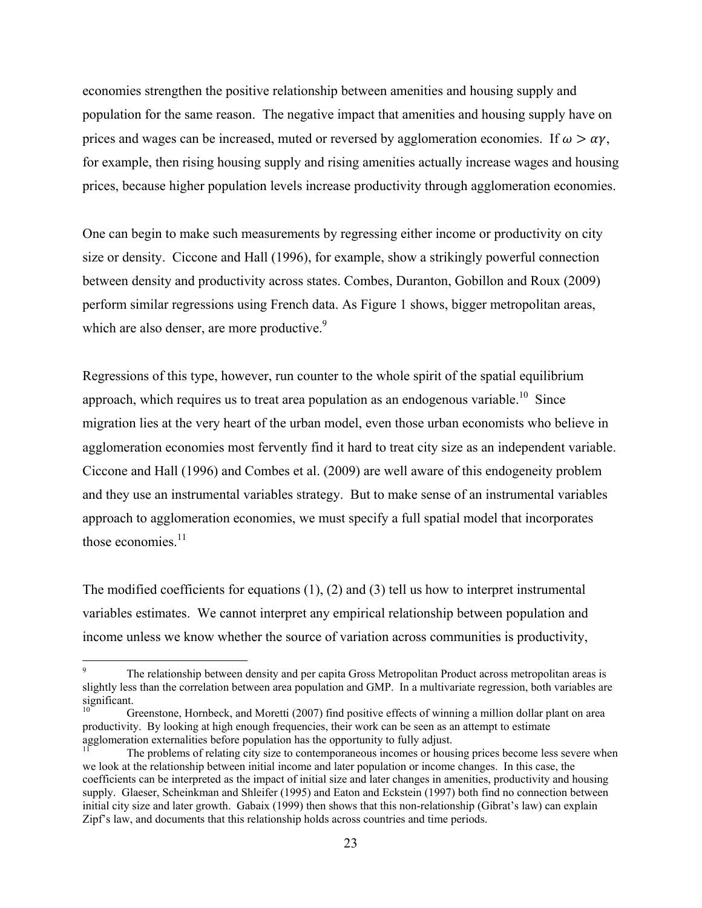economies strengthen the positive relationship between amenities and housing supply and population for the same reason. The negative impact that amenities and housing supply have on prices and wages can be increased, muted or reversed by agglomeration economies. If  $\omega > \alpha \gamma$ , for example, then rising housing supply and rising amenities actually increase wages and housing prices, because higher population levels increase productivity through agglomeration economies.

One can begin to make such measurements by regressing either income or productivity on city size or density. Ciccone and Hall (1996), for example, show a strikingly powerful connection between density and productivity across states. Combes, Duranton, Gobillon and Roux (2009) perform similar regressions using French data. As Figure 1 shows, bigger metropolitan areas, which are also denser, are more productive.<sup>9</sup>

Regressions of this type, however, run counter to the whole spirit of the spatial equilibrium approach, which requires us to treat area population as an endogenous variable.<sup>10</sup> Since migration lies at the very heart of the urban model, even those urban economists who believe in agglomeration economies most fervently find it hard to treat city size as an independent variable. Ciccone and Hall (1996) and Combes et al. (2009) are well aware of this endogeneity problem and they use an instrumental variables strategy. But to make sense of an instrumental variables approach to agglomeration economies, we must specify a full spatial model that incorporates those economies. $11$ 

The modified coefficients for equations (1), (2) and (3) tell us how to interpret instrumental variables estimates. We cannot interpret any empirical relationship between population and income unless we know whether the source of variation across communities is productivity,

 $\overline{a}$ 

<sup>9</sup> The relationship between density and per capita Gross Metropolitan Product across metropolitan areas is slightly less than the correlation between area population and GMP. In a multivariate regression, both variables are significant.

Greenstone, Hornbeck, and Moretti (2007) find positive effects of winning a million dollar plant on area productivity. By looking at high enough frequencies, their work can be seen as an attempt to estimate agglomeration externalities before population has the opportunity to fully adjust.

The problems of relating city size to contemporaneous incomes or housing prices become less severe when we look at the relationship between initial income and later population or income changes. In this case, the coefficients can be interpreted as the impact of initial size and later changes in amenities, productivity and housing supply. Glaeser, Scheinkman and Shleifer (1995) and Eaton and Eckstein (1997) both find no connection between initial city size and later growth. Gabaix (1999) then shows that this non-relationship (Gibrat's law) can explain Zipf's law, and documents that this relationship holds across countries and time periods.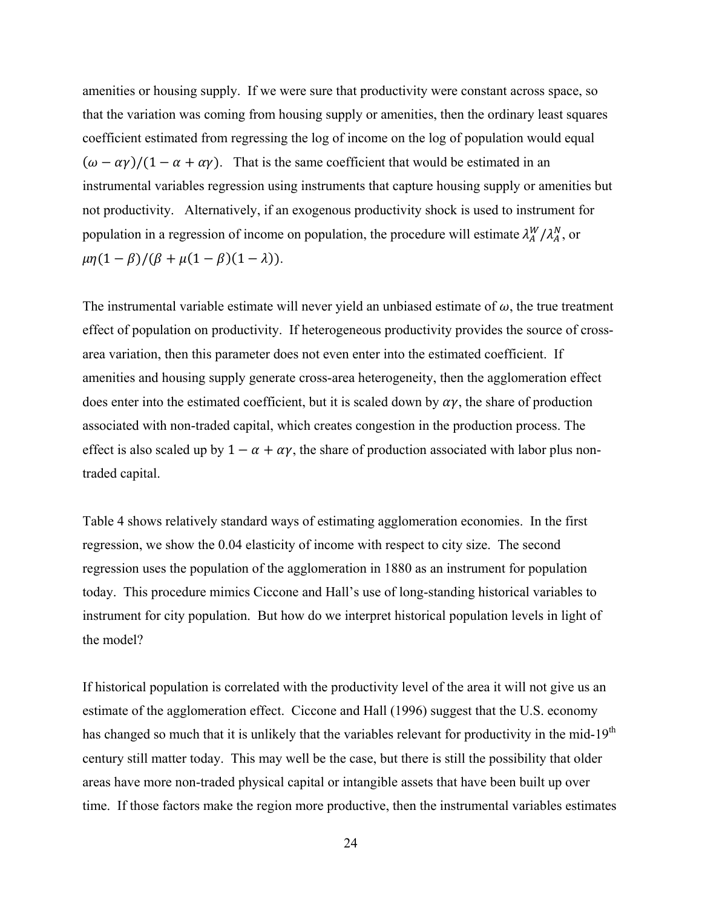amenities or housing supply. If we were sure that productivity were constant across space, so that the variation was coming from housing supply or amenities, then the ordinary least squares coefficient estimated from regressing the log of income on the log of population would equal  $(\omega - \alpha \gamma)/(1 - \alpha + \alpha \gamma)$ . That is the same coefficient that would be estimated in an instrumental variables regression using instruments that capture housing supply or amenities but not productivity. Alternatively, if an exogenous productivity shock is used to instrument for population in a regression of income on population, the procedure will estimate  $\lambda_A^W/\lambda_A^N$ , or  $\mu \eta (1 - \beta) / (\beta + \mu (1 - \beta) (1 - \lambda)).$ 

The instrumental variable estimate will never yield an unbiased estimate of  $\omega$ , the true treatment effect of population on productivity. If heterogeneous productivity provides the source of crossarea variation, then this parameter does not even enter into the estimated coefficient. If amenities and housing supply generate cross-area heterogeneity, then the agglomeration effect does enter into the estimated coefficient, but it is scaled down by  $\alpha \gamma$ , the share of production associated with non-traded capital, which creates congestion in the production process. The effect is also scaled up by  $1 - \alpha + \alpha \gamma$ , the share of production associated with labor plus nontraded capital.

Table 4 shows relatively standard ways of estimating agglomeration economies. In the first regression, we show the 0.04 elasticity of income with respect to city size. The second regression uses the population of the agglomeration in 1880 as an instrument for population today. This procedure mimics Ciccone and Hall's use of long-standing historical variables to instrument for city population. But how do we interpret historical population levels in light of the model?

If historical population is correlated with the productivity level of the area it will not give us an estimate of the agglomeration effect. Ciccone and Hall (1996) suggest that the U.S. economy has changed so much that it is unlikely that the variables relevant for productivity in the mid-19<sup>th</sup> century still matter today. This may well be the case, but there is still the possibility that older areas have more non-traded physical capital or intangible assets that have been built up over time. If those factors make the region more productive, then the instrumental variables estimates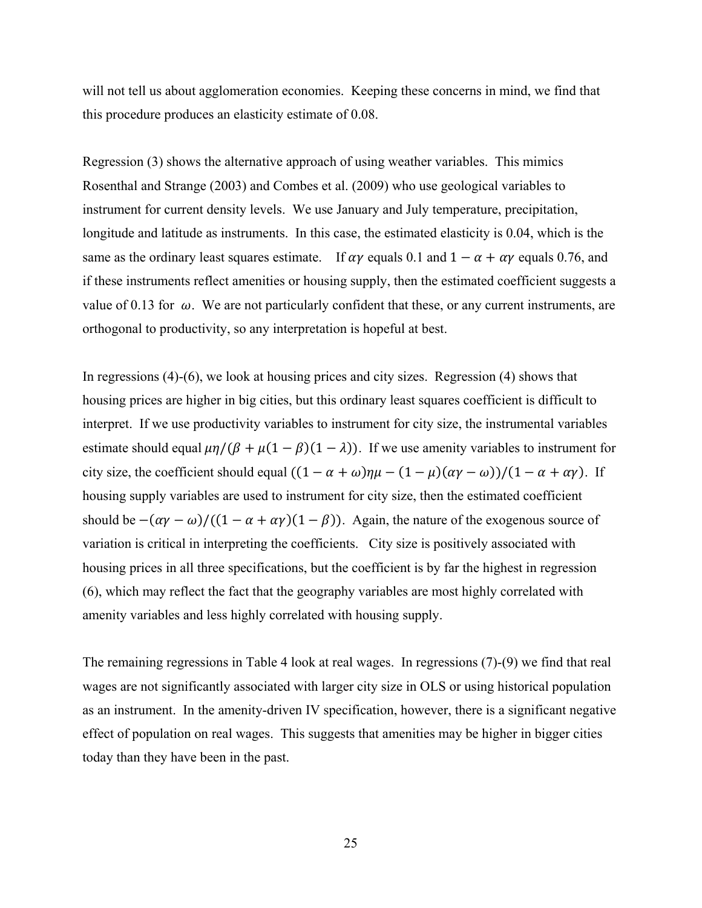will not tell us about agglomeration economies. Keeping these concerns in mind, we find that this procedure produces an elasticity estimate of 0.08.

Regression (3) shows the alternative approach of using weather variables. This mimics Rosenthal and Strange (2003) and Combes et al. (2009) who use geological variables to instrument for current density levels. We use January and July temperature, precipitation, longitude and latitude as instruments. In this case, the estimated elasticity is 0.04, which is the same as the ordinary least squares estimate. If  $\alpha\gamma$  equals 0.1 and  $1 - \alpha + \alpha\gamma$  equals 0.76, and if these instruments reflect amenities or housing supply, then the estimated coefficient suggests a value of 0.13 for  $\omega$ . We are not particularly confident that these, or any current instruments, are orthogonal to productivity, so any interpretation is hopeful at best.

In regressions (4)-(6), we look at housing prices and city sizes. Regression (4) shows that housing prices are higher in big cities, but this ordinary least squares coefficient is difficult to interpret. If we use productivity variables to instrument for city size, the instrumental variables estimate should equal  $\mu\eta/(\beta + \mu(1-\beta)(1-\lambda))$ . If we use amenity variables to instrument for city size, the coefficient should equal  $((1 - \alpha + \omega)\eta\mu - (1 - \mu)(\alpha\gamma - \omega))/(1 - \alpha + \alpha\gamma)$ . If housing supply variables are used to instrument for city size, then the estimated coefficient should be  $-(\alpha \gamma - \omega)/((1 - \alpha + \alpha \gamma)(1 - \beta))$ . Again, the nature of the exogenous source of variation is critical in interpreting the coefficients. City size is positively associated with housing prices in all three specifications, but the coefficient is by far the highest in regression (6), which may reflect the fact that the geography variables are most highly correlated with amenity variables and less highly correlated with housing supply.

The remaining regressions in Table 4 look at real wages. In regressions (7)-(9) we find that real wages are not significantly associated with larger city size in OLS or using historical population as an instrument. In the amenity-driven IV specification, however, there is a significant negative effect of population on real wages. This suggests that amenities may be higher in bigger cities today than they have been in the past.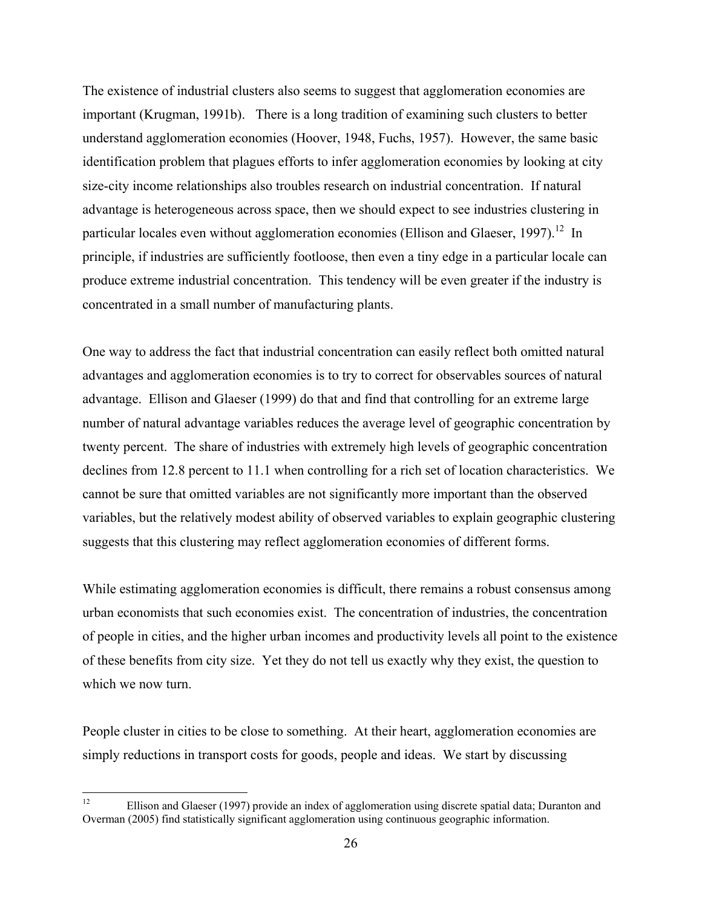The existence of industrial clusters also seems to suggest that agglomeration economies are important (Krugman, 1991b). There is a long tradition of examining such clusters to better understand agglomeration economies (Hoover, 1948, Fuchs, 1957). However, the same basic identification problem that plagues efforts to infer agglomeration economies by looking at city size-city income relationships also troubles research on industrial concentration. If natural advantage is heterogeneous across space, then we should expect to see industries clustering in particular locales even without agglomeration economies (Ellison and Glaeser, 1997).<sup>12</sup> In principle, if industries are sufficiently footloose, then even a tiny edge in a particular locale can produce extreme industrial concentration. This tendency will be even greater if the industry is concentrated in a small number of manufacturing plants.

One way to address the fact that industrial concentration can easily reflect both omitted natural advantages and agglomeration economies is to try to correct for observables sources of natural advantage. Ellison and Glaeser (1999) do that and find that controlling for an extreme large number of natural advantage variables reduces the average level of geographic concentration by twenty percent. The share of industries with extremely high levels of geographic concentration declines from 12.8 percent to 11.1 when controlling for a rich set of location characteristics. We cannot be sure that omitted variables are not significantly more important than the observed variables, but the relatively modest ability of observed variables to explain geographic clustering suggests that this clustering may reflect agglomeration economies of different forms.

While estimating agglomeration economies is difficult, there remains a robust consensus among urban economists that such economies exist. The concentration of industries, the concentration of people in cities, and the higher urban incomes and productivity levels all point to the existence of these benefits from city size. Yet they do not tell us exactly why they exist, the question to which we now turn.

People cluster in cities to be close to something. At their heart, agglomeration economies are simply reductions in transport costs for goods, people and ideas. We start by discussing

 $12$ 12 Ellison and Glaeser (1997) provide an index of agglomeration using discrete spatial data; Duranton and Overman (2005) find statistically significant agglomeration using continuous geographic information.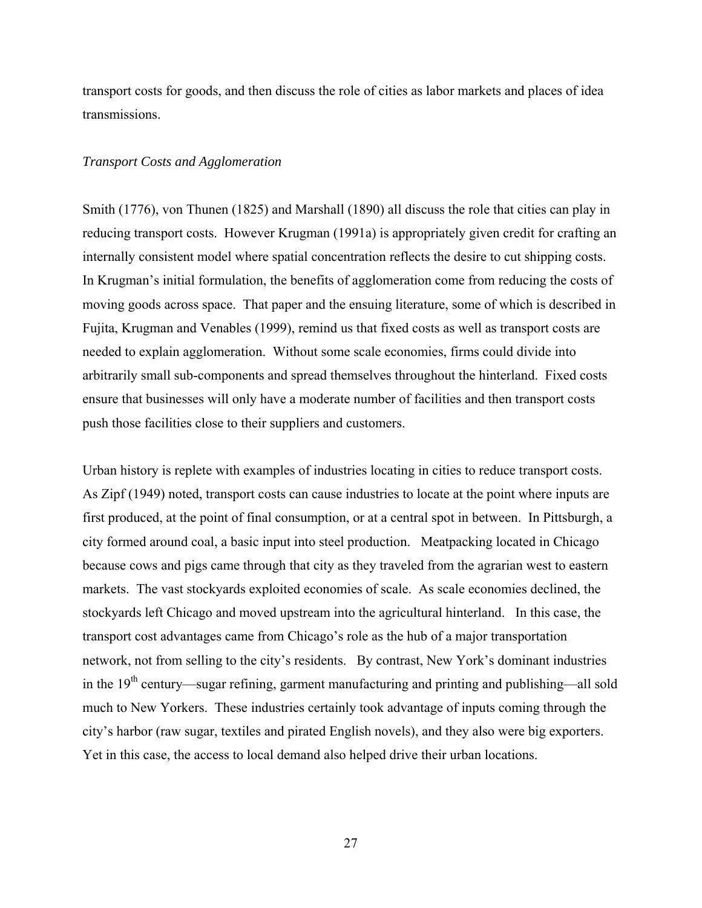transport costs for goods, and then discuss the role of cities as labor markets and places of idea transmissions.

## *Transport Costs and Agglomeration*

Smith (1776), von Thunen (1825) and Marshall (1890) all discuss the role that cities can play in reducing transport costs. However Krugman (1991a) is appropriately given credit for crafting an internally consistent model where spatial concentration reflects the desire to cut shipping costs. In Krugman's initial formulation, the benefits of agglomeration come from reducing the costs of moving goods across space. That paper and the ensuing literature, some of which is described in Fujita, Krugman and Venables (1999), remind us that fixed costs as well as transport costs are needed to explain agglomeration. Without some scale economies, firms could divide into arbitrarily small sub-components and spread themselves throughout the hinterland. Fixed costs ensure that businesses will only have a moderate number of facilities and then transport costs push those facilities close to their suppliers and customers.

Urban history is replete with examples of industries locating in cities to reduce transport costs. As Zipf (1949) noted, transport costs can cause industries to locate at the point where inputs are first produced, at the point of final consumption, or at a central spot in between. In Pittsburgh, a city formed around coal, a basic input into steel production. Meatpacking located in Chicago because cows and pigs came through that city as they traveled from the agrarian west to eastern markets. The vast stockyards exploited economies of scale. As scale economies declined, the stockyards left Chicago and moved upstream into the agricultural hinterland. In this case, the transport cost advantages came from Chicago's role as the hub of a major transportation network, not from selling to the city's residents. By contrast, New York's dominant industries in the  $19<sup>th</sup>$  century—sugar refining, garment manufacturing and printing and publishing—all sold much to New Yorkers. These industries certainly took advantage of inputs coming through the city's harbor (raw sugar, textiles and pirated English novels), and they also were big exporters. Yet in this case, the access to local demand also helped drive their urban locations.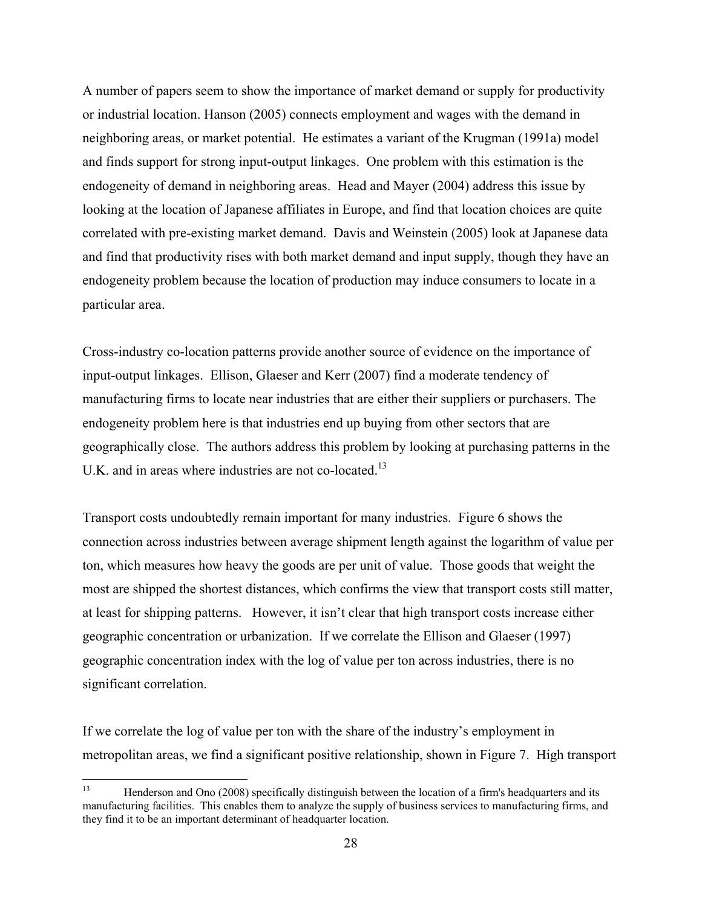A number of papers seem to show the importance of market demand or supply for productivity or industrial location. Hanson (2005) connects employment and wages with the demand in neighboring areas, or market potential. He estimates a variant of the Krugman (1991a) model and finds support for strong input-output linkages. One problem with this estimation is the endogeneity of demand in neighboring areas. Head and Mayer (2004) address this issue by looking at the location of Japanese affiliates in Europe, and find that location choices are quite correlated with pre-existing market demand. Davis and Weinstein (2005) look at Japanese data and find that productivity rises with both market demand and input supply, though they have an endogeneity problem because the location of production may induce consumers to locate in a particular area.

Cross-industry co-location patterns provide another source of evidence on the importance of input-output linkages. Ellison, Glaeser and Kerr (2007) find a moderate tendency of manufacturing firms to locate near industries that are either their suppliers or purchasers. The endogeneity problem here is that industries end up buying from other sectors that are geographically close. The authors address this problem by looking at purchasing patterns in the U.K. and in areas where industries are not co-located.<sup>13</sup>

Transport costs undoubtedly remain important for many industries. Figure 6 shows the connection across industries between average shipment length against the logarithm of value per ton, which measures how heavy the goods are per unit of value. Those goods that weight the most are shipped the shortest distances, which confirms the view that transport costs still matter, at least for shipping patterns. However, it isn't clear that high transport costs increase either geographic concentration or urbanization. If we correlate the Ellison and Glaeser (1997) geographic concentration index with the log of value per ton across industries, there is no significant correlation.

If we correlate the log of value per ton with the share of the industry's employment in metropolitan areas, we find a significant positive relationship, shown in Figure 7. High transport

 $13$ 13 Henderson and Ono (2008) specifically distinguish between the location of a firm's headquarters and its manufacturing facilities. This enables them to analyze the supply of business services to manufacturing firms, and they find it to be an important determinant of headquarter location.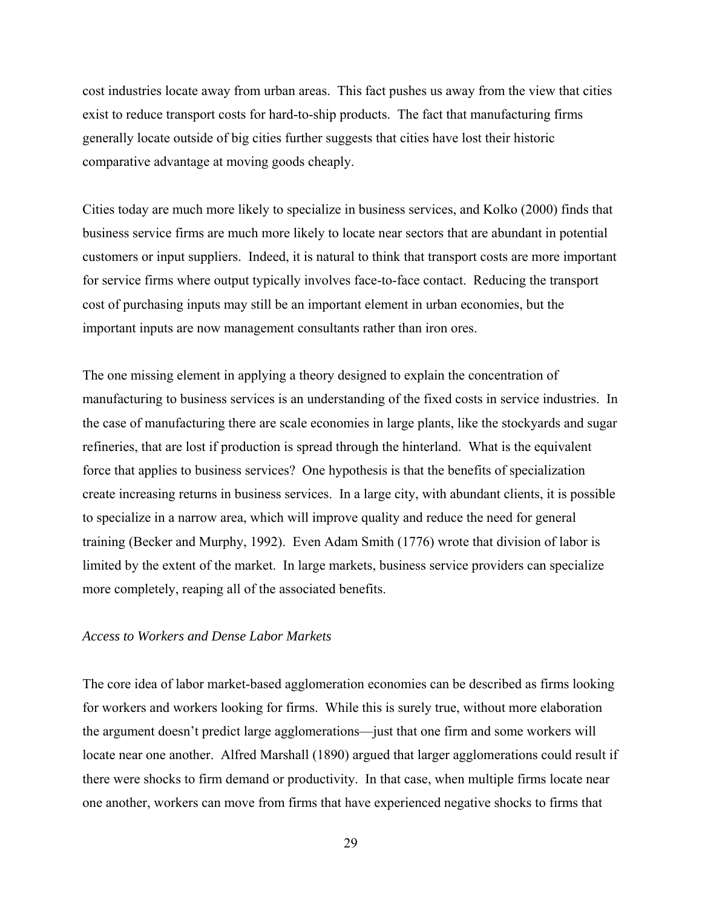cost industries locate away from urban areas. This fact pushes us away from the view that cities exist to reduce transport costs for hard-to-ship products. The fact that manufacturing firms generally locate outside of big cities further suggests that cities have lost their historic comparative advantage at moving goods cheaply.

Cities today are much more likely to specialize in business services, and Kolko (2000) finds that business service firms are much more likely to locate near sectors that are abundant in potential customers or input suppliers. Indeed, it is natural to think that transport costs are more important for service firms where output typically involves face-to-face contact. Reducing the transport cost of purchasing inputs may still be an important element in urban economies, but the important inputs are now management consultants rather than iron ores.

The one missing element in applying a theory designed to explain the concentration of manufacturing to business services is an understanding of the fixed costs in service industries. In the case of manufacturing there are scale economies in large plants, like the stockyards and sugar refineries, that are lost if production is spread through the hinterland. What is the equivalent force that applies to business services? One hypothesis is that the benefits of specialization create increasing returns in business services. In a large city, with abundant clients, it is possible to specialize in a narrow area, which will improve quality and reduce the need for general training (Becker and Murphy, 1992). Even Adam Smith (1776) wrote that division of labor is limited by the extent of the market. In large markets, business service providers can specialize more completely, reaping all of the associated benefits.

## *Access to Workers and Dense Labor Markets*

The core idea of labor market-based agglomeration economies can be described as firms looking for workers and workers looking for firms. While this is surely true, without more elaboration the argument doesn't predict large agglomerations—just that one firm and some workers will locate near one another. Alfred Marshall (1890) argued that larger agglomerations could result if there were shocks to firm demand or productivity. In that case, when multiple firms locate near one another, workers can move from firms that have experienced negative shocks to firms that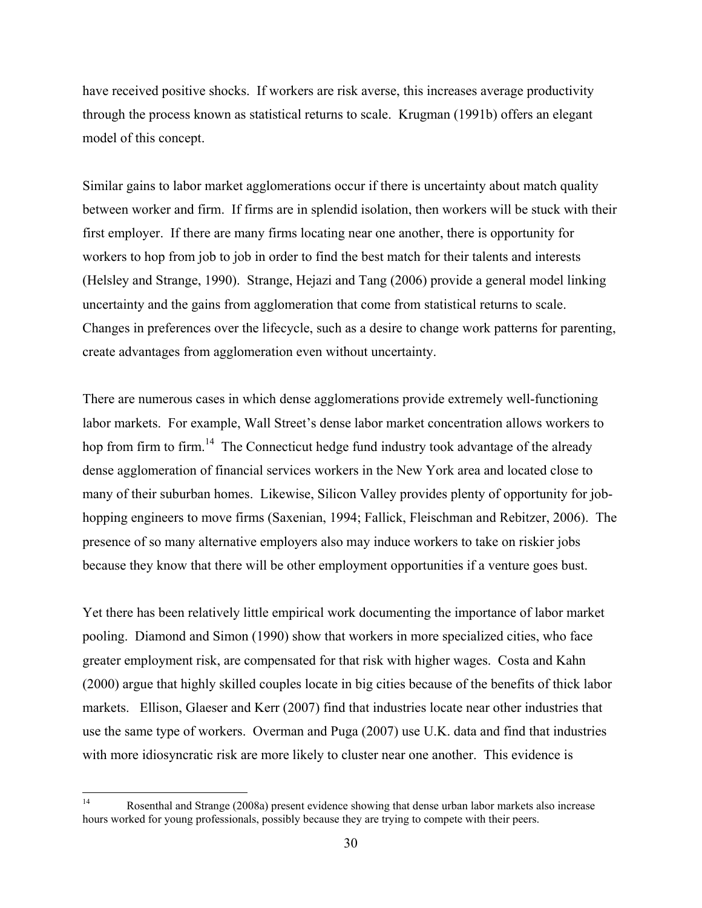have received positive shocks. If workers are risk averse, this increases average productivity through the process known as statistical returns to scale. Krugman (1991b) offers an elegant model of this concept.

Similar gains to labor market agglomerations occur if there is uncertainty about match quality between worker and firm. If firms are in splendid isolation, then workers will be stuck with their first employer. If there are many firms locating near one another, there is opportunity for workers to hop from job to job in order to find the best match for their talents and interests (Helsley and Strange, 1990). Strange, Hejazi and Tang (2006) provide a general model linking uncertainty and the gains from agglomeration that come from statistical returns to scale. Changes in preferences over the lifecycle, such as a desire to change work patterns for parenting, create advantages from agglomeration even without uncertainty.

There are numerous cases in which dense agglomerations provide extremely well-functioning labor markets. For example, Wall Street's dense labor market concentration allows workers to hop from firm to firm.<sup>14</sup> The Connecticut hedge fund industry took advantage of the already dense agglomeration of financial services workers in the New York area and located close to many of their suburban homes. Likewise, Silicon Valley provides plenty of opportunity for jobhopping engineers to move firms (Saxenian, 1994; Fallick, Fleischman and Rebitzer, 2006). The presence of so many alternative employers also may induce workers to take on riskier jobs because they know that there will be other employment opportunities if a venture goes bust.

Yet there has been relatively little empirical work documenting the importance of labor market pooling. Diamond and Simon (1990) show that workers in more specialized cities, who face greater employment risk, are compensated for that risk with higher wages. Costa and Kahn (2000) argue that highly skilled couples locate in big cities because of the benefits of thick labor markets. Ellison, Glaeser and Kerr (2007) find that industries locate near other industries that use the same type of workers. Overman and Puga (2007) use U.K. data and find that industries with more idiosyncratic risk are more likely to cluster near one another. This evidence is

 $14$ Rosenthal and Strange (2008a) present evidence showing that dense urban labor markets also increase hours worked for young professionals, possibly because they are trying to compete with their peers.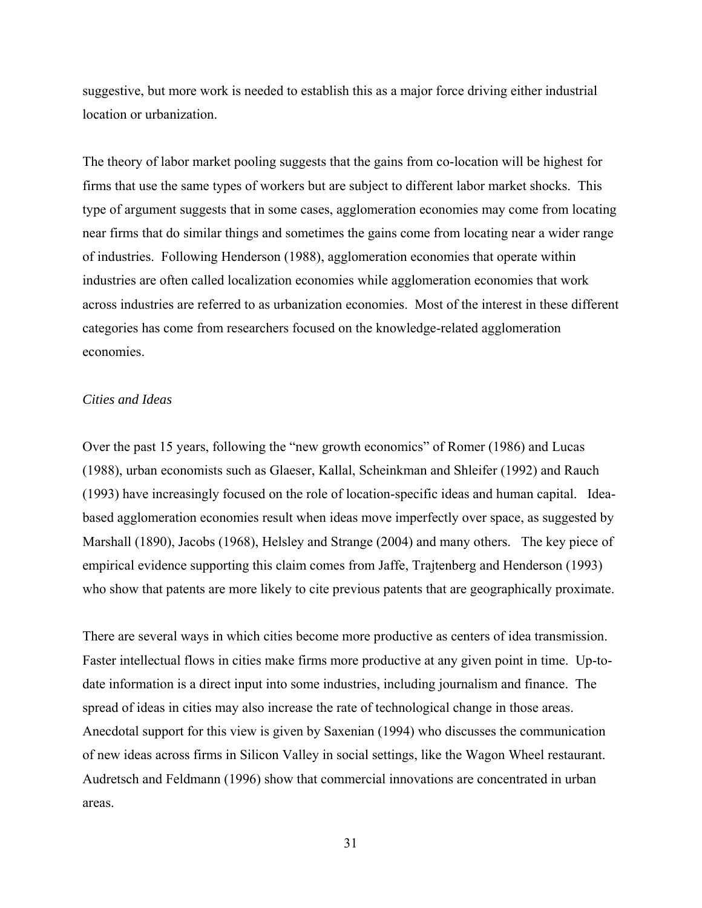suggestive, but more work is needed to establish this as a major force driving either industrial location or urbanization.

The theory of labor market pooling suggests that the gains from co-location will be highest for firms that use the same types of workers but are subject to different labor market shocks. This type of argument suggests that in some cases, agglomeration economies may come from locating near firms that do similar things and sometimes the gains come from locating near a wider range of industries. Following Henderson (1988), agglomeration economies that operate within industries are often called localization economies while agglomeration economies that work across industries are referred to as urbanization economies. Most of the interest in these different categories has come from researchers focused on the knowledge-related agglomeration economies.

## *Cities and Ideas*

Over the past 15 years, following the "new growth economics" of Romer (1986) and Lucas (1988), urban economists such as Glaeser, Kallal, Scheinkman and Shleifer (1992) and Rauch (1993) have increasingly focused on the role of location-specific ideas and human capital. Ideabased agglomeration economies result when ideas move imperfectly over space, as suggested by Marshall (1890), Jacobs (1968), Helsley and Strange (2004) and many others. The key piece of empirical evidence supporting this claim comes from Jaffe, Trajtenberg and Henderson (1993) who show that patents are more likely to cite previous patents that are geographically proximate.

There are several ways in which cities become more productive as centers of idea transmission. Faster intellectual flows in cities make firms more productive at any given point in time. Up-todate information is a direct input into some industries, including journalism and finance. The spread of ideas in cities may also increase the rate of technological change in those areas. Anecdotal support for this view is given by Saxenian (1994) who discusses the communication of new ideas across firms in Silicon Valley in social settings, like the Wagon Wheel restaurant. Audretsch and Feldmann (1996) show that commercial innovations are concentrated in urban areas.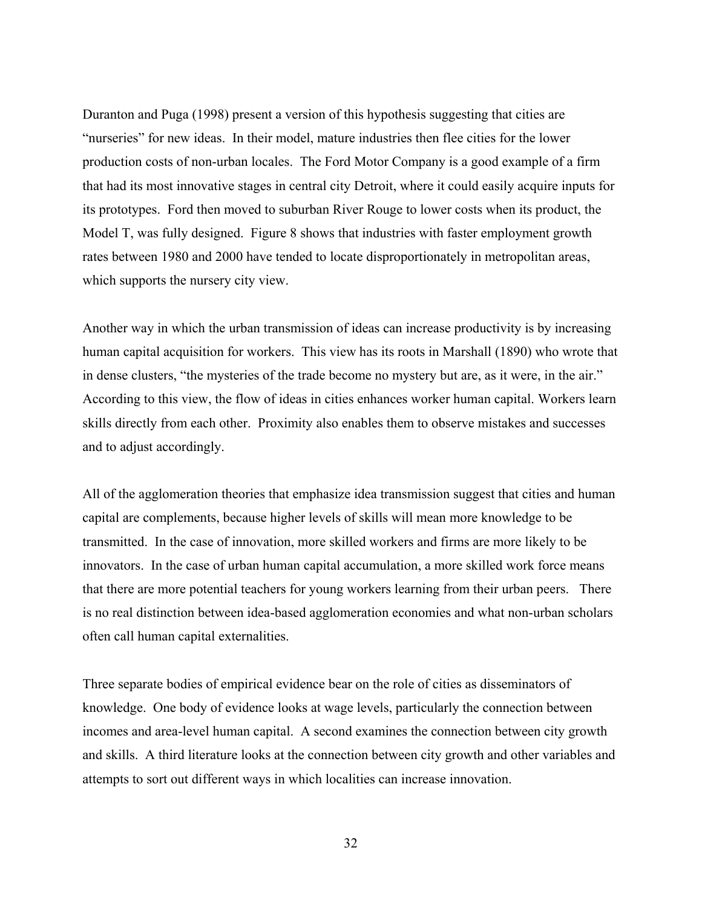Duranton and Puga (1998) present a version of this hypothesis suggesting that cities are "nurseries" for new ideas. In their model, mature industries then flee cities for the lower production costs of non-urban locales. The Ford Motor Company is a good example of a firm that had its most innovative stages in central city Detroit, where it could easily acquire inputs for its prototypes. Ford then moved to suburban River Rouge to lower costs when its product, the Model T, was fully designed. Figure 8 shows that industries with faster employment growth rates between 1980 and 2000 have tended to locate disproportionately in metropolitan areas, which supports the nursery city view.

Another way in which the urban transmission of ideas can increase productivity is by increasing human capital acquisition for workers. This view has its roots in Marshall (1890) who wrote that in dense clusters, "the mysteries of the trade become no mystery but are, as it were, in the air." According to this view, the flow of ideas in cities enhances worker human capital. Workers learn skills directly from each other. Proximity also enables them to observe mistakes and successes and to adjust accordingly.

All of the agglomeration theories that emphasize idea transmission suggest that cities and human capital are complements, because higher levels of skills will mean more knowledge to be transmitted. In the case of innovation, more skilled workers and firms are more likely to be innovators. In the case of urban human capital accumulation, a more skilled work force means that there are more potential teachers for young workers learning from their urban peers. There is no real distinction between idea-based agglomeration economies and what non-urban scholars often call human capital externalities.

Three separate bodies of empirical evidence bear on the role of cities as disseminators of knowledge. One body of evidence looks at wage levels, particularly the connection between incomes and area-level human capital. A second examines the connection between city growth and skills. A third literature looks at the connection between city growth and other variables and attempts to sort out different ways in which localities can increase innovation.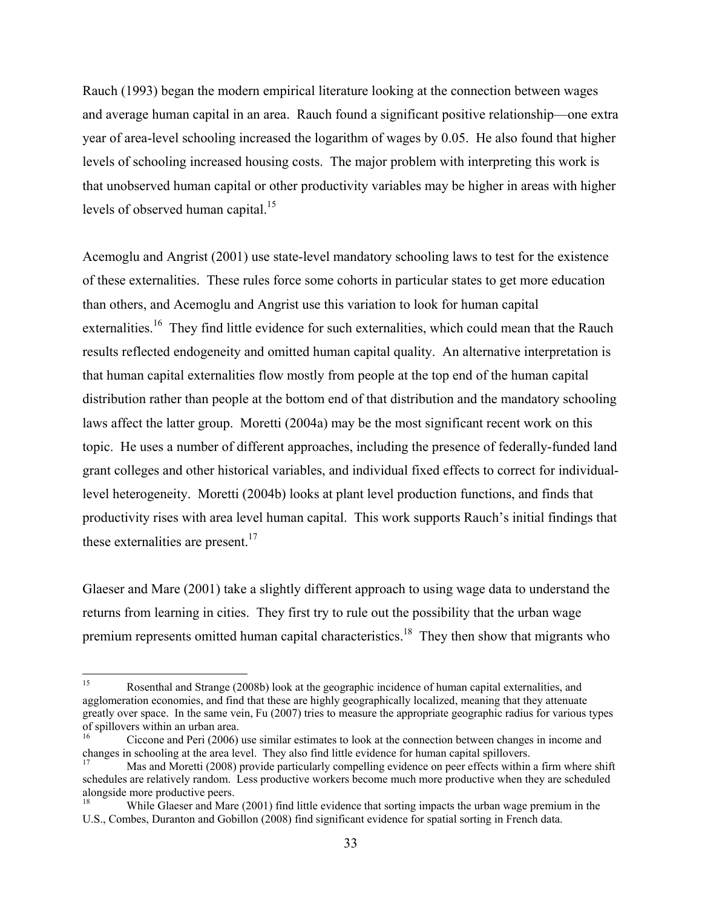Rauch (1993) began the modern empirical literature looking at the connection between wages and average human capital in an area. Rauch found a significant positive relationship—one extra year of area-level schooling increased the logarithm of wages by 0.05. He also found that higher levels of schooling increased housing costs. The major problem with interpreting this work is that unobserved human capital or other productivity variables may be higher in areas with higher levels of observed human capital.<sup>15</sup>

Acemoglu and Angrist (2001) use state-level mandatory schooling laws to test for the existence of these externalities. These rules force some cohorts in particular states to get more education than others, and Acemoglu and Angrist use this variation to look for human capital externalities.<sup>16</sup> They find little evidence for such externalities, which could mean that the Rauch results reflected endogeneity and omitted human capital quality. An alternative interpretation is that human capital externalities flow mostly from people at the top end of the human capital distribution rather than people at the bottom end of that distribution and the mandatory schooling laws affect the latter group. Moretti (2004a) may be the most significant recent work on this topic. He uses a number of different approaches, including the presence of federally-funded land grant colleges and other historical variables, and individual fixed effects to correct for individuallevel heterogeneity. Moretti (2004b) looks at plant level production functions, and finds that productivity rises with area level human capital. This work supports Rauch's initial findings that these externalities are present. $17$ 

Glaeser and Mare (2001) take a slightly different approach to using wage data to understand the returns from learning in cities. They first try to rule out the possibility that the urban wage premium represents omitted human capital characteristics.<sup>18</sup> They then show that migrants who

<sup>15</sup> Rosenthal and Strange (2008b) look at the geographic incidence of human capital externalities, and agglomeration economies, and find that these are highly geographically localized, meaning that they attenuate greatly over space. In the same vein, Fu (2007) tries to measure the appropriate geographic radius for various types of spillovers within an urban area.

<sup>16</sup> Ciccone and Peri (2006) use similar estimates to look at the connection between changes in income and changes in schooling at the area level. They also find little evidence for human capital spillovers.

Mas and Moretti (2008) provide particularly compelling evidence on peer effects within a firm where shift schedules are relatively random. Less productive workers become much more productive when they are scheduled alongside more productive peers.

<sup>18</sup> While Glaeser and Mare (2001) find little evidence that sorting impacts the urban wage premium in the U.S., Combes, Duranton and Gobillon (2008) find significant evidence for spatial sorting in French data.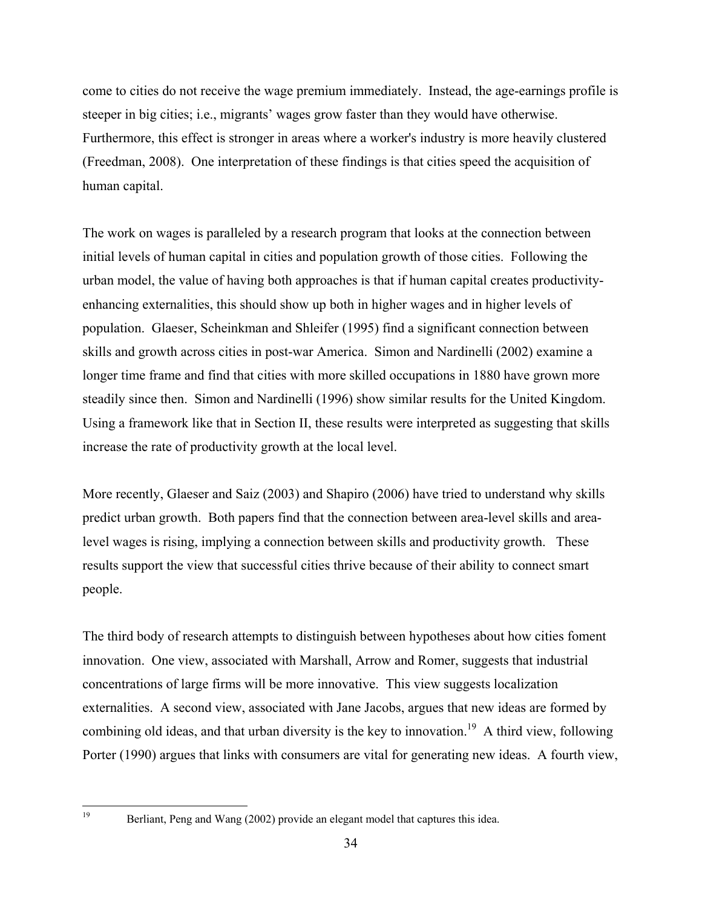come to cities do not receive the wage premium immediately. Instead, the age-earnings profile is steeper in big cities; i.e., migrants' wages grow faster than they would have otherwise. Furthermore, this effect is stronger in areas where a worker's industry is more heavily clustered (Freedman, 2008). One interpretation of these findings is that cities speed the acquisition of human capital.

The work on wages is paralleled by a research program that looks at the connection between initial levels of human capital in cities and population growth of those cities. Following the urban model, the value of having both approaches is that if human capital creates productivityenhancing externalities, this should show up both in higher wages and in higher levels of population. Glaeser, Scheinkman and Shleifer (1995) find a significant connection between skills and growth across cities in post-war America. Simon and Nardinelli (2002) examine a longer time frame and find that cities with more skilled occupations in 1880 have grown more steadily since then. Simon and Nardinelli (1996) show similar results for the United Kingdom. Using a framework like that in Section II, these results were interpreted as suggesting that skills increase the rate of productivity growth at the local level.

More recently, Glaeser and Saiz (2003) and Shapiro (2006) have tried to understand why skills predict urban growth. Both papers find that the connection between area-level skills and arealevel wages is rising, implying a connection between skills and productivity growth. These results support the view that successful cities thrive because of their ability to connect smart people.

The third body of research attempts to distinguish between hypotheses about how cities foment innovation. One view, associated with Marshall, Arrow and Romer, suggests that industrial concentrations of large firms will be more innovative. This view suggests localization externalities. A second view, associated with Jane Jacobs, argues that new ideas are formed by combining old ideas, and that urban diversity is the key to innovation.<sup>19</sup> A third view, following Porter (1990) argues that links with consumers are vital for generating new ideas. A fourth view,

Berliant, Peng and Wang (2002) provide an elegant model that captures this idea.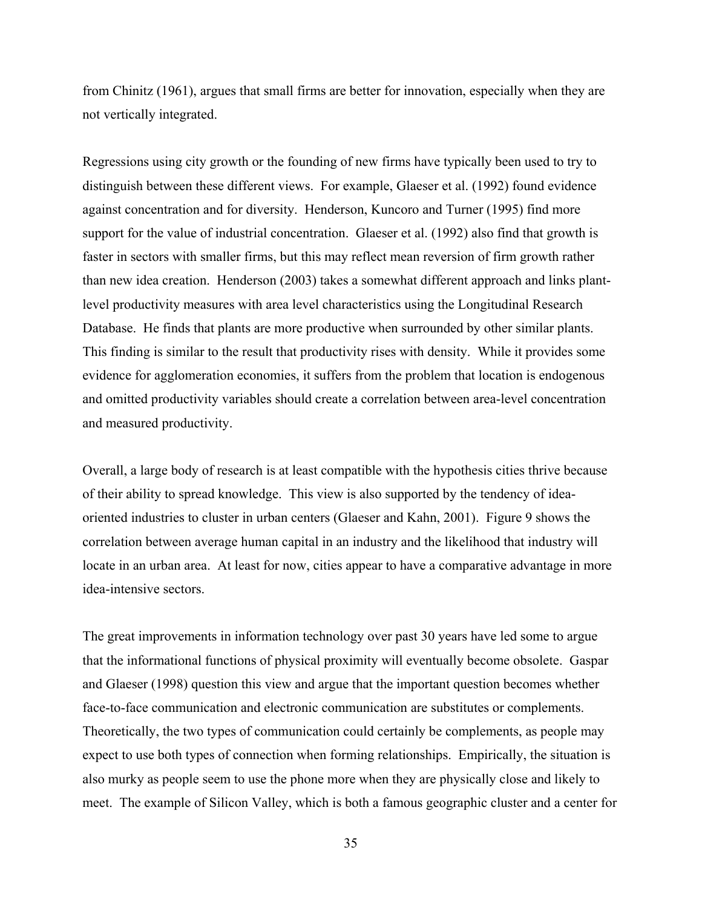from Chinitz (1961), argues that small firms are better for innovation, especially when they are not vertically integrated.

Regressions using city growth or the founding of new firms have typically been used to try to distinguish between these different views. For example, Glaeser et al. (1992) found evidence against concentration and for diversity. Henderson, Kuncoro and Turner (1995) find more support for the value of industrial concentration. Glaeser et al. (1992) also find that growth is faster in sectors with smaller firms, but this may reflect mean reversion of firm growth rather than new idea creation. Henderson (2003) takes a somewhat different approach and links plantlevel productivity measures with area level characteristics using the Longitudinal Research Database. He finds that plants are more productive when surrounded by other similar plants. This finding is similar to the result that productivity rises with density. While it provides some evidence for agglomeration economies, it suffers from the problem that location is endogenous and omitted productivity variables should create a correlation between area-level concentration and measured productivity.

Overall, a large body of research is at least compatible with the hypothesis cities thrive because of their ability to spread knowledge. This view is also supported by the tendency of ideaoriented industries to cluster in urban centers (Glaeser and Kahn, 2001). Figure 9 shows the correlation between average human capital in an industry and the likelihood that industry will locate in an urban area. At least for now, cities appear to have a comparative advantage in more idea-intensive sectors.

The great improvements in information technology over past 30 years have led some to argue that the informational functions of physical proximity will eventually become obsolete. Gaspar and Glaeser (1998) question this view and argue that the important question becomes whether face-to-face communication and electronic communication are substitutes or complements. Theoretically, the two types of communication could certainly be complements, as people may expect to use both types of connection when forming relationships. Empirically, the situation is also murky as people seem to use the phone more when they are physically close and likely to meet. The example of Silicon Valley, which is both a famous geographic cluster and a center for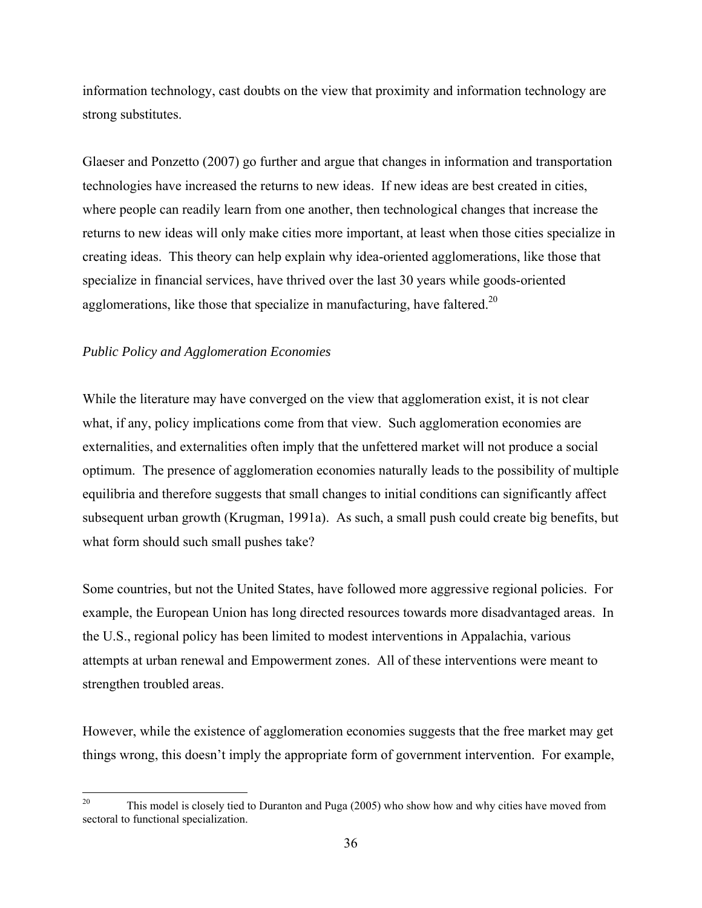information technology, cast doubts on the view that proximity and information technology are strong substitutes.

Glaeser and Ponzetto (2007) go further and argue that changes in information and transportation technologies have increased the returns to new ideas. If new ideas are best created in cities, where people can readily learn from one another, then technological changes that increase the returns to new ideas will only make cities more important, at least when those cities specialize in creating ideas. This theory can help explain why idea-oriented agglomerations, like those that specialize in financial services, have thrived over the last 30 years while goods-oriented agglomerations, like those that specialize in manufacturing, have faltered.<sup>20</sup>

### *Public Policy and Agglomeration Economies*

While the literature may have converged on the view that agglomeration exist, it is not clear what, if any, policy implications come from that view. Such agglomeration economies are externalities, and externalities often imply that the unfettered market will not produce a social optimum. The presence of agglomeration economies naturally leads to the possibility of multiple equilibria and therefore suggests that small changes to initial conditions can significantly affect subsequent urban growth (Krugman, 1991a). As such, a small push could create big benefits, but what form should such small pushes take?

Some countries, but not the United States, have followed more aggressive regional policies. For example, the European Union has long directed resources towards more disadvantaged areas. In the U.S., regional policy has been limited to modest interventions in Appalachia, various attempts at urban renewal and Empowerment zones. All of these interventions were meant to strengthen troubled areas.

However, while the existence of agglomeration economies suggests that the free market may get things wrong, this doesn't imply the appropriate form of government intervention. For example,

 $20\,$ 20 This model is closely tied to Duranton and Puga (2005) who show how and why cities have moved from sectoral to functional specialization.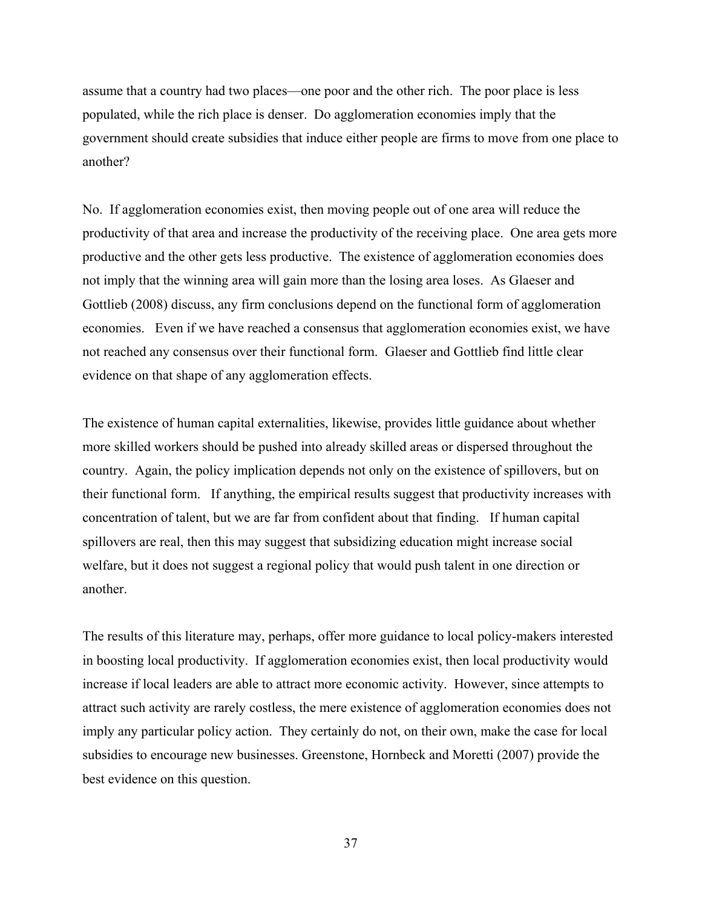assume that a country had two places—one poor and the other rich. The poor place is less populated, while the rich place is denser. Do agglomeration economies imply that the government should create subsidies that induce either people are firms to move from one place to another?

No. If agglomeration economies exist, then moving people out of one area will reduce the productivity of that area and increase the productivity of the receiving place. One area gets more productive and the other gets less productive. The existence of agglomeration economies does not imply that the winning area will gain more than the losing area loses. As Glaeser and Gottlieb (2008) discuss, any firm conclusions depend on the functional form of agglomeration economies. Even if we have reached a consensus that agglomeration economies exist, we have not reached any consensus over their functional form. Glaeser and Gottlieb find little clear evidence on that shape of any agglomeration effects.

The existence of human capital externalities, likewise, provides little guidance about whether more skilled workers should be pushed into already skilled areas or dispersed throughout the country. Again, the policy implication depends not only on the existence of spillovers, but on their functional form. If anything, the empirical results suggest that productivity increases with concentration of talent, but we are far from confident about that finding. If human capital spillovers are real, then this may suggest that subsidizing education might increase social welfare, but it does not suggest a regional policy that would push talent in one direction or another.

The results of this literature may, perhaps, offer more guidance to local policy-makers interested in boosting local productivity. If agglomeration economies exist, then local productivity would increase if local leaders are able to attract more economic activity. However, since attempts to attract such activity are rarely costless, the mere existence of agglomeration economies does not imply any particular policy action. They certainly do not, on their own, make the case for local subsidies to encourage new businesses. Greenstone, Hornbeck and Moretti (2007) provide the best evidence on this question.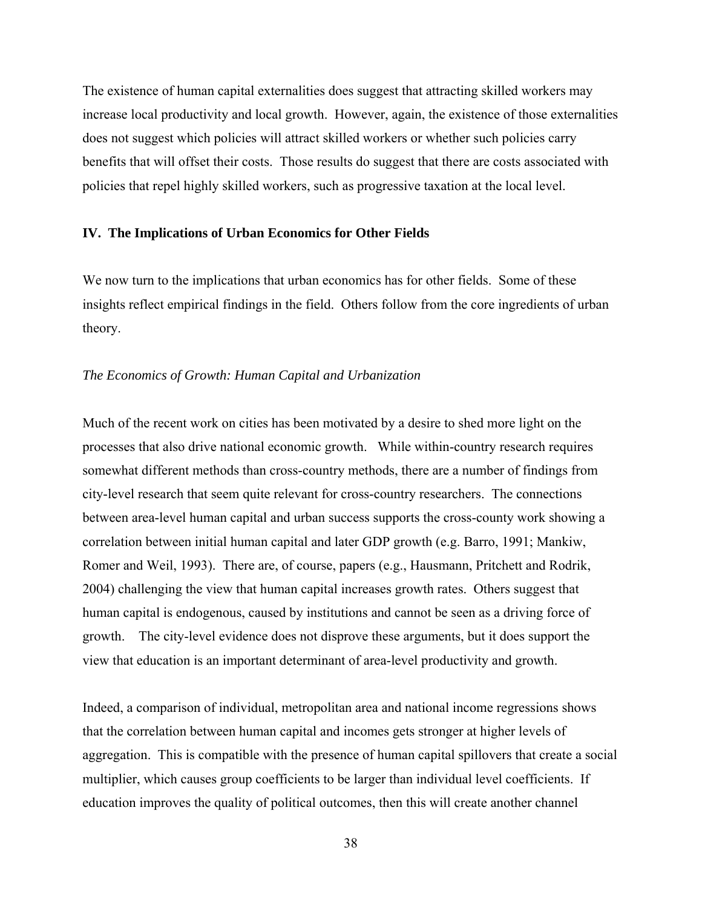The existence of human capital externalities does suggest that attracting skilled workers may increase local productivity and local growth. However, again, the existence of those externalities does not suggest which policies will attract skilled workers or whether such policies carry benefits that will offset their costs. Those results do suggest that there are costs associated with policies that repel highly skilled workers, such as progressive taxation at the local level.

### **IV. The Implications of Urban Economics for Other Fields**

We now turn to the implications that urban economics has for other fields. Some of these insights reflect empirical findings in the field. Others follow from the core ingredients of urban theory.

## *The Economics of Growth: Human Capital and Urbanization*

Much of the recent work on cities has been motivated by a desire to shed more light on the processes that also drive national economic growth. While within-country research requires somewhat different methods than cross-country methods, there are a number of findings from city-level research that seem quite relevant for cross-country researchers. The connections between area-level human capital and urban success supports the cross-county work showing a correlation between initial human capital and later GDP growth (e.g. Barro, 1991; Mankiw, Romer and Weil, 1993). There are, of course, papers (e.g., Hausmann, Pritchett and Rodrik, 2004) challenging the view that human capital increases growth rates. Others suggest that human capital is endogenous, caused by institutions and cannot be seen as a driving force of growth. The city-level evidence does not disprove these arguments, but it does support the view that education is an important determinant of area-level productivity and growth.

Indeed, a comparison of individual, metropolitan area and national income regressions shows that the correlation between human capital and incomes gets stronger at higher levels of aggregation. This is compatible with the presence of human capital spillovers that create a social multiplier, which causes group coefficients to be larger than individual level coefficients. If education improves the quality of political outcomes, then this will create another channel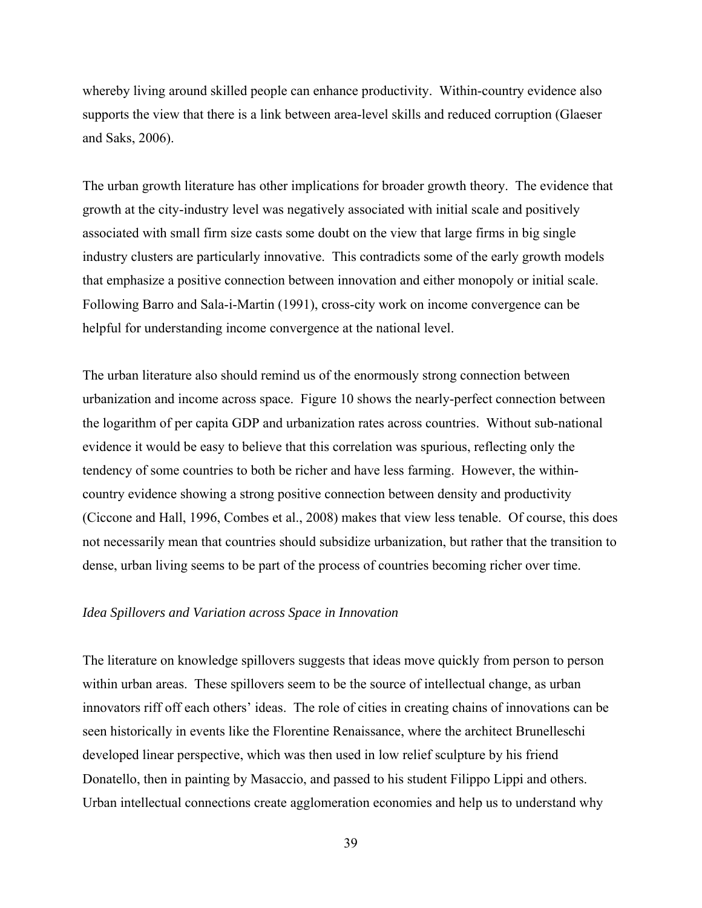whereby living around skilled people can enhance productivity. Within-country evidence also supports the view that there is a link between area-level skills and reduced corruption (Glaeser and Saks, 2006).

The urban growth literature has other implications for broader growth theory. The evidence that growth at the city-industry level was negatively associated with initial scale and positively associated with small firm size casts some doubt on the view that large firms in big single industry clusters are particularly innovative. This contradicts some of the early growth models that emphasize a positive connection between innovation and either monopoly or initial scale. Following Barro and Sala-i-Martin (1991), cross-city work on income convergence can be helpful for understanding income convergence at the national level.

The urban literature also should remind us of the enormously strong connection between urbanization and income across space. Figure 10 shows the nearly-perfect connection between the logarithm of per capita GDP and urbanization rates across countries. Without sub-national evidence it would be easy to believe that this correlation was spurious, reflecting only the tendency of some countries to both be richer and have less farming. However, the withincountry evidence showing a strong positive connection between density and productivity (Ciccone and Hall, 1996, Combes et al., 2008) makes that view less tenable. Of course, this does not necessarily mean that countries should subsidize urbanization, but rather that the transition to dense, urban living seems to be part of the process of countries becoming richer over time.

### *Idea Spillovers and Variation across Space in Innovation*

The literature on knowledge spillovers suggests that ideas move quickly from person to person within urban areas. These spillovers seem to be the source of intellectual change, as urban innovators riff off each others' ideas. The role of cities in creating chains of innovations can be seen historically in events like the Florentine Renaissance, where the architect Brunelleschi developed linear perspective, which was then used in low relief sculpture by his friend Donatello, then in painting by Masaccio, and passed to his student Filippo Lippi and others. Urban intellectual connections create agglomeration economies and help us to understand why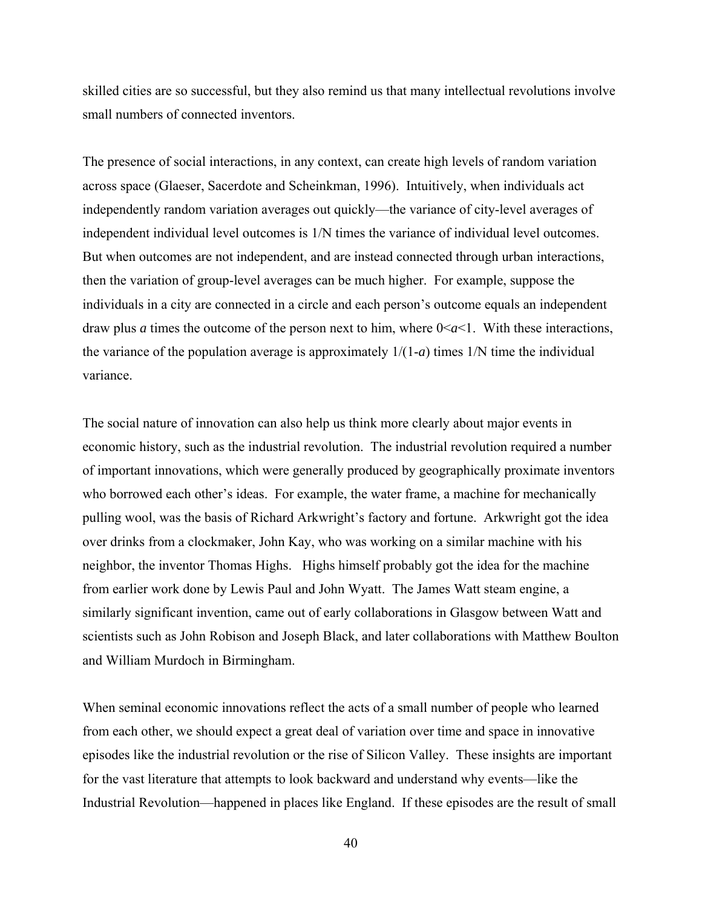skilled cities are so successful, but they also remind us that many intellectual revolutions involve small numbers of connected inventors.

The presence of social interactions, in any context, can create high levels of random variation across space (Glaeser, Sacerdote and Scheinkman, 1996). Intuitively, when individuals act independently random variation averages out quickly—the variance of city-level averages of independent individual level outcomes is 1/N times the variance of individual level outcomes. But when outcomes are not independent, and are instead connected through urban interactions, then the variation of group-level averages can be much higher. For example, suppose the individuals in a city are connected in a circle and each person's outcome equals an independent draw plus *a* times the outcome of the person next to him, where  $0 \le a \le 1$ . With these interactions, the variance of the population average is approximately  $1/(1-a)$  times  $1/N$  time the individual variance.

The social nature of innovation can also help us think more clearly about major events in economic history, such as the industrial revolution. The industrial revolution required a number of important innovations, which were generally produced by geographically proximate inventors who borrowed each other's ideas. For example, the water frame, a machine for mechanically pulling wool, was the basis of Richard Arkwright's factory and fortune. Arkwright got the idea over drinks from a clockmaker, John Kay, who was working on a similar machine with his neighbor, the inventor Thomas Highs. Highs himself probably got the idea for the machine from earlier work done by Lewis Paul and John Wyatt. The James Watt steam engine, a similarly significant invention, came out of early collaborations in Glasgow between Watt and scientists such as John Robison and Joseph Black, and later collaborations with Matthew Boulton and William Murdoch in Birmingham.

When seminal economic innovations reflect the acts of a small number of people who learned from each other, we should expect a great deal of variation over time and space in innovative episodes like the industrial revolution or the rise of Silicon Valley. These insights are important for the vast literature that attempts to look backward and understand why events—like the Industrial Revolution—happened in places like England. If these episodes are the result of small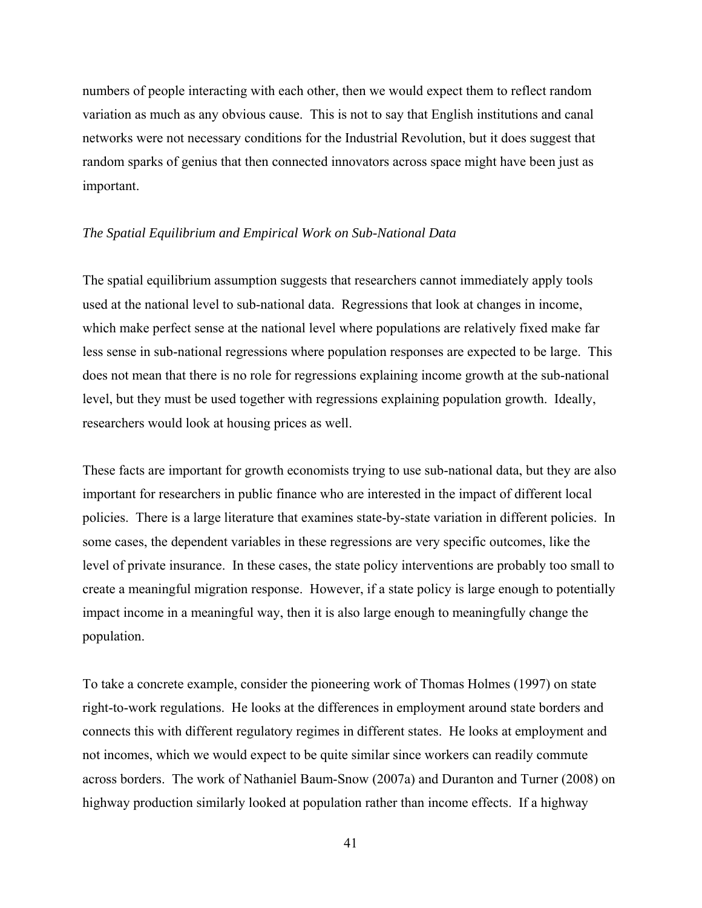numbers of people interacting with each other, then we would expect them to reflect random variation as much as any obvious cause. This is not to say that English institutions and canal networks were not necessary conditions for the Industrial Revolution, but it does suggest that random sparks of genius that then connected innovators across space might have been just as important.

### *The Spatial Equilibrium and Empirical Work on Sub-National Data*

The spatial equilibrium assumption suggests that researchers cannot immediately apply tools used at the national level to sub-national data. Regressions that look at changes in income, which make perfect sense at the national level where populations are relatively fixed make far less sense in sub-national regressions where population responses are expected to be large. This does not mean that there is no role for regressions explaining income growth at the sub-national level, but they must be used together with regressions explaining population growth. Ideally, researchers would look at housing prices as well.

These facts are important for growth economists trying to use sub-national data, but they are also important for researchers in public finance who are interested in the impact of different local policies. There is a large literature that examines state-by-state variation in different policies. In some cases, the dependent variables in these regressions are very specific outcomes, like the level of private insurance. In these cases, the state policy interventions are probably too small to create a meaningful migration response. However, if a state policy is large enough to potentially impact income in a meaningful way, then it is also large enough to meaningfully change the population.

To take a concrete example, consider the pioneering work of Thomas Holmes (1997) on state right-to-work regulations. He looks at the differences in employment around state borders and connects this with different regulatory regimes in different states. He looks at employment and not incomes, which we would expect to be quite similar since workers can readily commute across borders. The work of Nathaniel Baum-Snow (2007a) and Duranton and Turner (2008) on highway production similarly looked at population rather than income effects. If a highway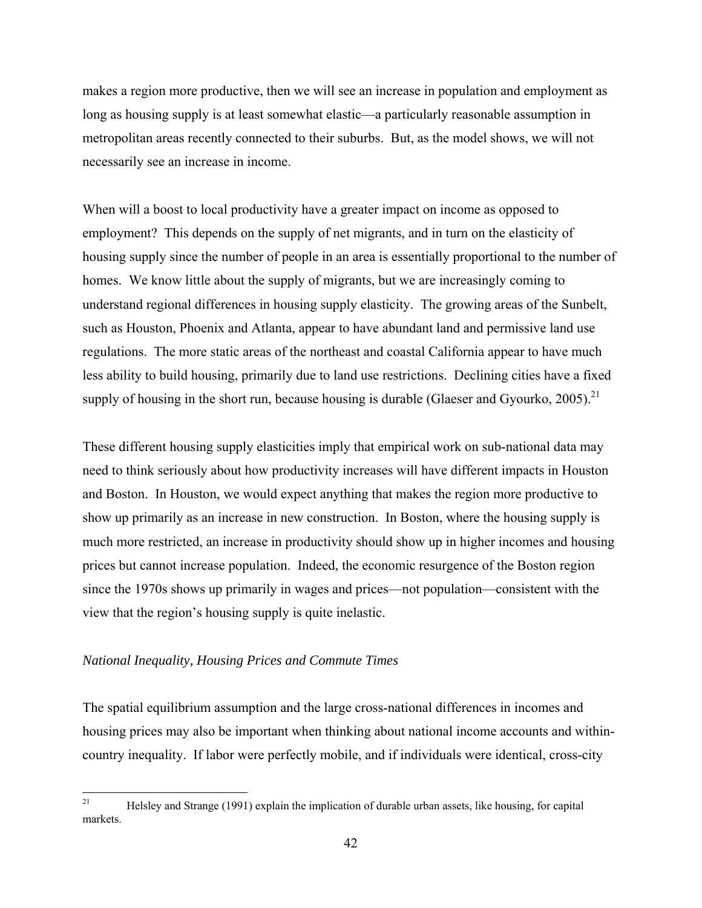makes a region more productive, then we will see an increase in population and employment as long as housing supply is at least somewhat elastic—a particularly reasonable assumption in metropolitan areas recently connected to their suburbs. But, as the model shows, we will not necessarily see an increase in income.

When will a boost to local productivity have a greater impact on income as opposed to employment? This depends on the supply of net migrants, and in turn on the elasticity of housing supply since the number of people in an area is essentially proportional to the number of homes. We know little about the supply of migrants, but we are increasingly coming to understand regional differences in housing supply elasticity. The growing areas of the Sunbelt, such as Houston, Phoenix and Atlanta, appear to have abundant land and permissive land use regulations. The more static areas of the northeast and coastal California appear to have much less ability to build housing, primarily due to land use restrictions. Declining cities have a fixed supply of housing in the short run, because housing is durable (Glaeser and Gyourko, 2005).<sup>21</sup>

These different housing supply elasticities imply that empirical work on sub-national data may need to think seriously about how productivity increases will have different impacts in Houston and Boston. In Houston, we would expect anything that makes the region more productive to show up primarily as an increase in new construction. In Boston, where the housing supply is much more restricted, an increase in productivity should show up in higher incomes and housing prices but cannot increase population. Indeed, the economic resurgence of the Boston region since the 1970s shows up primarily in wages and prices—not population—consistent with the view that the region's housing supply is quite inelastic.

#### *National Inequality, Housing Prices and Commute Times*

The spatial equilibrium assumption and the large cross-national differences in incomes and housing prices may also be important when thinking about national income accounts and withincountry inequality. If labor were perfectly mobile, and if individuals were identical, cross-city

 $21\,$ 21 Helsley and Strange (1991) explain the implication of durable urban assets, like housing, for capital markets.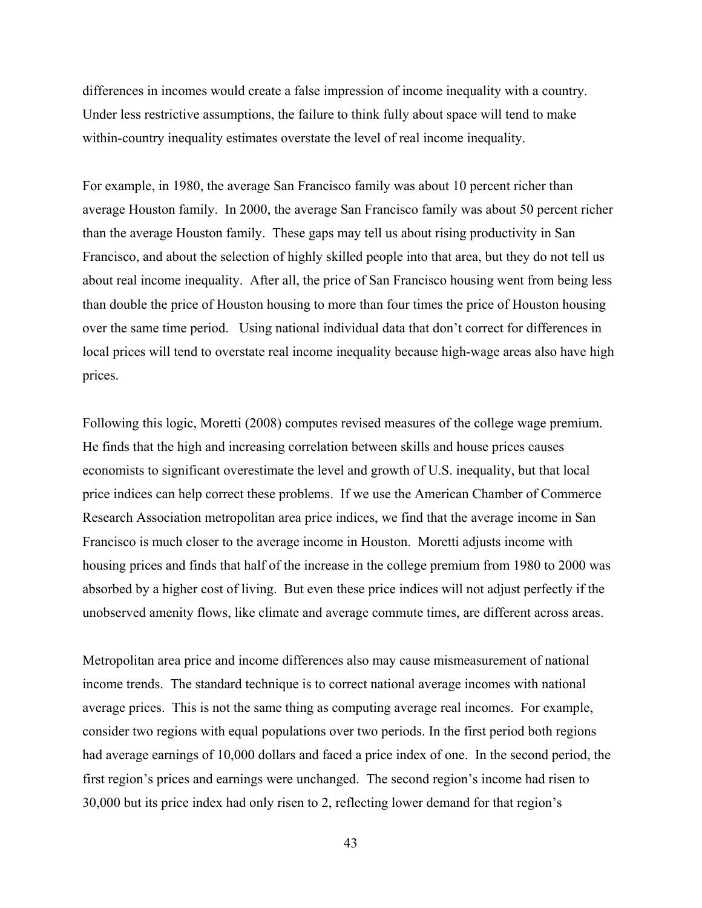differences in incomes would create a false impression of income inequality with a country. Under less restrictive assumptions, the failure to think fully about space will tend to make within-country inequality estimates overstate the level of real income inequality.

For example, in 1980, the average San Francisco family was about 10 percent richer than average Houston family. In 2000, the average San Francisco family was about 50 percent richer than the average Houston family. These gaps may tell us about rising productivity in San Francisco, and about the selection of highly skilled people into that area, but they do not tell us about real income inequality. After all, the price of San Francisco housing went from being less than double the price of Houston housing to more than four times the price of Houston housing over the same time period. Using national individual data that don't correct for differences in local prices will tend to overstate real income inequality because high-wage areas also have high prices.

Following this logic, Moretti (2008) computes revised measures of the college wage premium. He finds that the high and increasing correlation between skills and house prices causes economists to significant overestimate the level and growth of U.S. inequality, but that local price indices can help correct these problems. If we use the American Chamber of Commerce Research Association metropolitan area price indices, we find that the average income in San Francisco is much closer to the average income in Houston. Moretti adjusts income with housing prices and finds that half of the increase in the college premium from 1980 to 2000 was absorbed by a higher cost of living. But even these price indices will not adjust perfectly if the unobserved amenity flows, like climate and average commute times, are different across areas.

Metropolitan area price and income differences also may cause mismeasurement of national income trends. The standard technique is to correct national average incomes with national average prices. This is not the same thing as computing average real incomes. For example, consider two regions with equal populations over two periods. In the first period both regions had average earnings of 10,000 dollars and faced a price index of one. In the second period, the first region's prices and earnings were unchanged. The second region's income had risen to 30,000 but its price index had only risen to 2, reflecting lower demand for that region's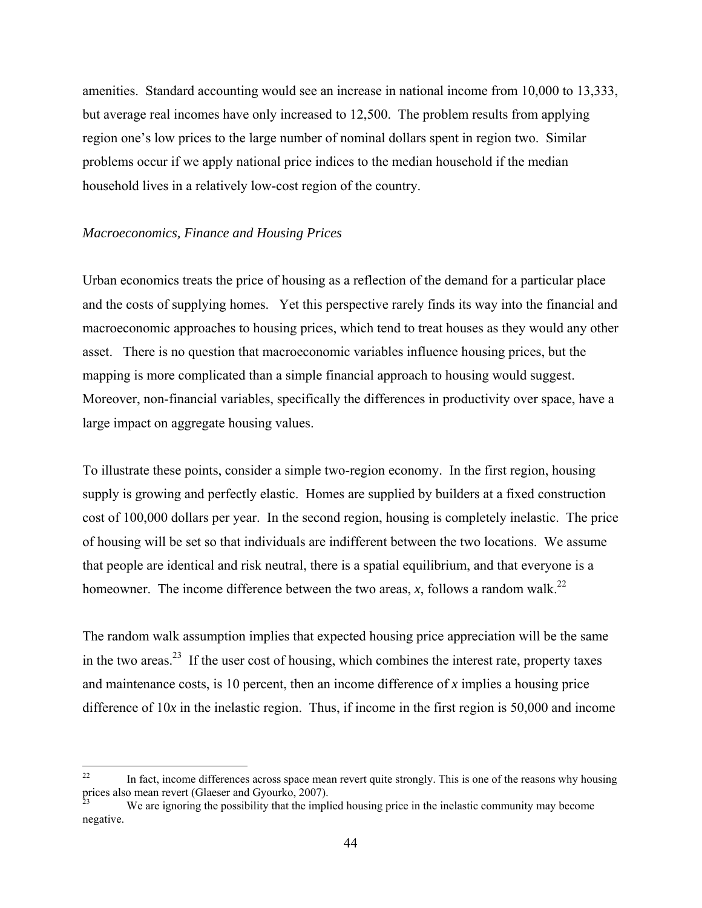amenities. Standard accounting would see an increase in national income from 10,000 to 13,333, but average real incomes have only increased to 12,500. The problem results from applying region one's low prices to the large number of nominal dollars spent in region two. Similar problems occur if we apply national price indices to the median household if the median household lives in a relatively low-cost region of the country.

## *Macroeconomics, Finance and Housing Prices*

Urban economics treats the price of housing as a reflection of the demand for a particular place and the costs of supplying homes. Yet this perspective rarely finds its way into the financial and macroeconomic approaches to housing prices, which tend to treat houses as they would any other asset. There is no question that macroeconomic variables influence housing prices, but the mapping is more complicated than a simple financial approach to housing would suggest. Moreover, non-financial variables, specifically the differences in productivity over space, have a large impact on aggregate housing values.

To illustrate these points, consider a simple two-region economy. In the first region, housing supply is growing and perfectly elastic. Homes are supplied by builders at a fixed construction cost of 100,000 dollars per year. In the second region, housing is completely inelastic. The price of housing will be set so that individuals are indifferent between the two locations. We assume that people are identical and risk neutral, there is a spatial equilibrium, and that everyone is a homeowner. The income difference between the two areas,  $x$ , follows a random walk.<sup>22</sup>

The random walk assumption implies that expected housing price appreciation will be the same in the two areas.<sup>23</sup> If the user cost of housing, which combines the interest rate, property taxes and maintenance costs, is 10 percent, then an income difference of *x* implies a housing price difference of 10*x* in the inelastic region. Thus, if income in the first region is 50,000 and income

<sup>22</sup> <sup>22</sup> In fact, income differences across space mean revert quite strongly. This is one of the reasons why housing prices also mean revert (Glaeser and Gyourko, 2007).

We are ignoring the possibility that the implied housing price in the inelastic community may become negative.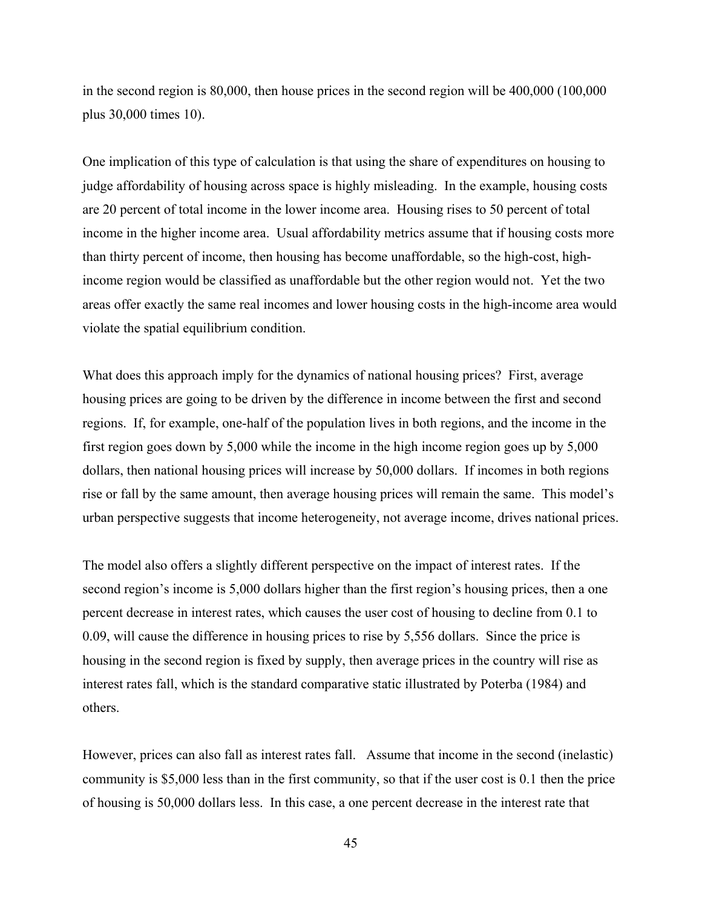in the second region is 80,000, then house prices in the second region will be 400,000 (100,000 plus 30,000 times 10).

One implication of this type of calculation is that using the share of expenditures on housing to judge affordability of housing across space is highly misleading. In the example, housing costs are 20 percent of total income in the lower income area. Housing rises to 50 percent of total income in the higher income area. Usual affordability metrics assume that if housing costs more than thirty percent of income, then housing has become unaffordable, so the high-cost, highincome region would be classified as unaffordable but the other region would not. Yet the two areas offer exactly the same real incomes and lower housing costs in the high-income area would violate the spatial equilibrium condition.

What does this approach imply for the dynamics of national housing prices? First, average housing prices are going to be driven by the difference in income between the first and second regions. If, for example, one-half of the population lives in both regions, and the income in the first region goes down by 5,000 while the income in the high income region goes up by 5,000 dollars, then national housing prices will increase by 50,000 dollars. If incomes in both regions rise or fall by the same amount, then average housing prices will remain the same. This model's urban perspective suggests that income heterogeneity, not average income, drives national prices.

The model also offers a slightly different perspective on the impact of interest rates. If the second region's income is 5,000 dollars higher than the first region's housing prices, then a one percent decrease in interest rates, which causes the user cost of housing to decline from 0.1 to 0.09, will cause the difference in housing prices to rise by 5,556 dollars. Since the price is housing in the second region is fixed by supply, then average prices in the country will rise as interest rates fall, which is the standard comparative static illustrated by Poterba (1984) and others.

However, prices can also fall as interest rates fall. Assume that income in the second (inelastic) community is \$5,000 less than in the first community, so that if the user cost is 0.1 then the price of housing is 50,000 dollars less. In this case, a one percent decrease in the interest rate that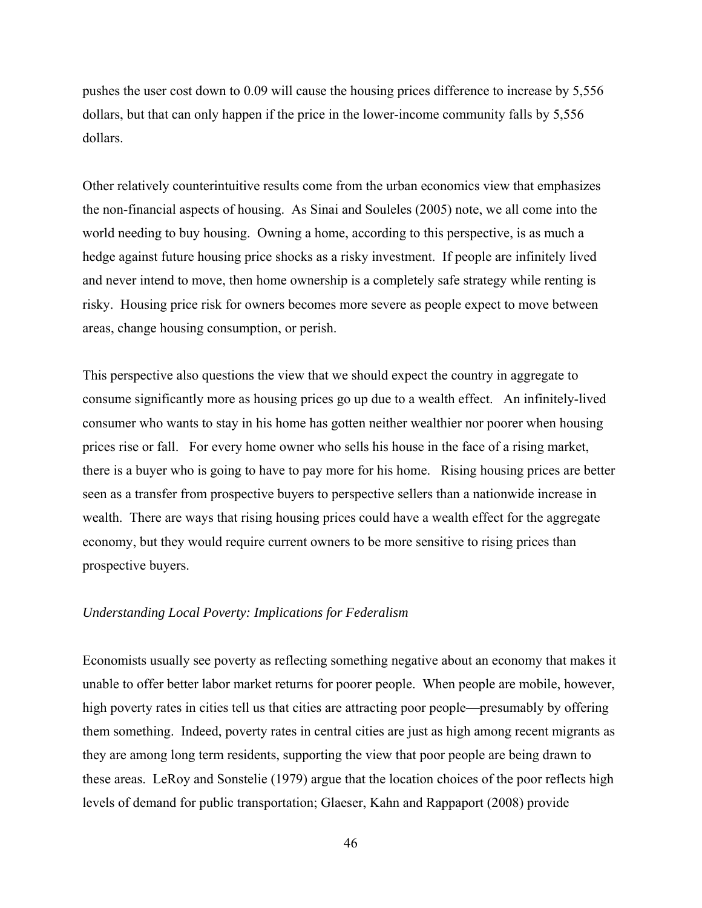pushes the user cost down to 0.09 will cause the housing prices difference to increase by 5,556 dollars, but that can only happen if the price in the lower-income community falls by 5,556 dollars.

Other relatively counterintuitive results come from the urban economics view that emphasizes the non-financial aspects of housing. As Sinai and Souleles (2005) note, we all come into the world needing to buy housing. Owning a home, according to this perspective, is as much a hedge against future housing price shocks as a risky investment. If people are infinitely lived and never intend to move, then home ownership is a completely safe strategy while renting is risky. Housing price risk for owners becomes more severe as people expect to move between areas, change housing consumption, or perish.

This perspective also questions the view that we should expect the country in aggregate to consume significantly more as housing prices go up due to a wealth effect. An infinitely-lived consumer who wants to stay in his home has gotten neither wealthier nor poorer when housing prices rise or fall. For every home owner who sells his house in the face of a rising market, there is a buyer who is going to have to pay more for his home. Rising housing prices are better seen as a transfer from prospective buyers to perspective sellers than a nationwide increase in wealth. There are ways that rising housing prices could have a wealth effect for the aggregate economy, but they would require current owners to be more sensitive to rising prices than prospective buyers.

### *Understanding Local Poverty: Implications for Federalism*

Economists usually see poverty as reflecting something negative about an economy that makes it unable to offer better labor market returns for poorer people. When people are mobile, however, high poverty rates in cities tell us that cities are attracting poor people—presumably by offering them something. Indeed, poverty rates in central cities are just as high among recent migrants as they are among long term residents, supporting the view that poor people are being drawn to these areas. LeRoy and Sonstelie (1979) argue that the location choices of the poor reflects high levels of demand for public transportation; Glaeser, Kahn and Rappaport (2008) provide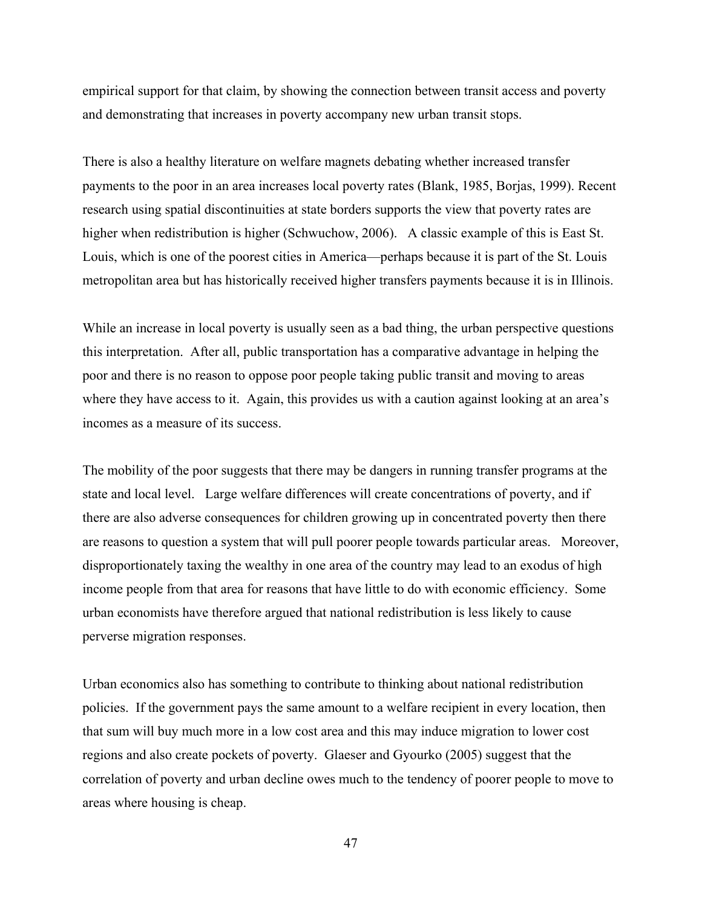empirical support for that claim, by showing the connection between transit access and poverty and demonstrating that increases in poverty accompany new urban transit stops.

There is also a healthy literature on welfare magnets debating whether increased transfer payments to the poor in an area increases local poverty rates (Blank, 1985, Borjas, 1999). Recent research using spatial discontinuities at state borders supports the view that poverty rates are higher when redistribution is higher (Schwuchow, 2006). A classic example of this is East St. Louis, which is one of the poorest cities in America—perhaps because it is part of the St. Louis metropolitan area but has historically received higher transfers payments because it is in Illinois.

While an increase in local poverty is usually seen as a bad thing, the urban perspective questions this interpretation. After all, public transportation has a comparative advantage in helping the poor and there is no reason to oppose poor people taking public transit and moving to areas where they have access to it. Again, this provides us with a caution against looking at an area's incomes as a measure of its success.

The mobility of the poor suggests that there may be dangers in running transfer programs at the state and local level. Large welfare differences will create concentrations of poverty, and if there are also adverse consequences for children growing up in concentrated poverty then there are reasons to question a system that will pull poorer people towards particular areas. Moreover, disproportionately taxing the wealthy in one area of the country may lead to an exodus of high income people from that area for reasons that have little to do with economic efficiency. Some urban economists have therefore argued that national redistribution is less likely to cause perverse migration responses.

Urban economics also has something to contribute to thinking about national redistribution policies. If the government pays the same amount to a welfare recipient in every location, then that sum will buy much more in a low cost area and this may induce migration to lower cost regions and also create pockets of poverty. Glaeser and Gyourko (2005) suggest that the correlation of poverty and urban decline owes much to the tendency of poorer people to move to areas where housing is cheap.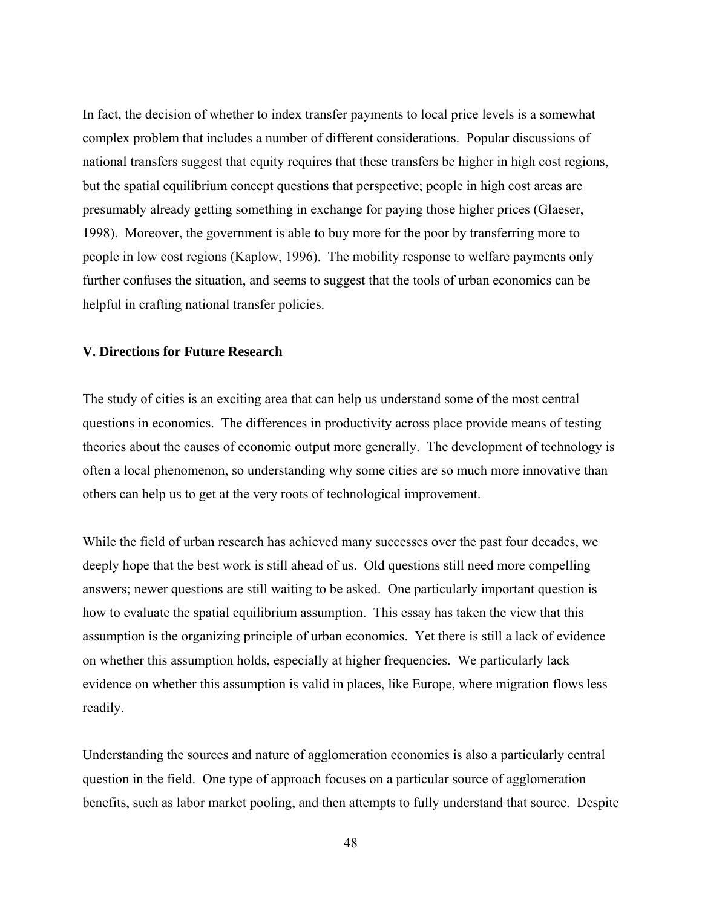In fact, the decision of whether to index transfer payments to local price levels is a somewhat complex problem that includes a number of different considerations. Popular discussions of national transfers suggest that equity requires that these transfers be higher in high cost regions, but the spatial equilibrium concept questions that perspective; people in high cost areas are presumably already getting something in exchange for paying those higher prices (Glaeser, 1998). Moreover, the government is able to buy more for the poor by transferring more to people in low cost regions (Kaplow, 1996). The mobility response to welfare payments only further confuses the situation, and seems to suggest that the tools of urban economics can be helpful in crafting national transfer policies.

### **V. Directions for Future Research**

The study of cities is an exciting area that can help us understand some of the most central questions in economics. The differences in productivity across place provide means of testing theories about the causes of economic output more generally. The development of technology is often a local phenomenon, so understanding why some cities are so much more innovative than others can help us to get at the very roots of technological improvement.

While the field of urban research has achieved many successes over the past four decades, we deeply hope that the best work is still ahead of us. Old questions still need more compelling answers; newer questions are still waiting to be asked. One particularly important question is how to evaluate the spatial equilibrium assumption. This essay has taken the view that this assumption is the organizing principle of urban economics. Yet there is still a lack of evidence on whether this assumption holds, especially at higher frequencies. We particularly lack evidence on whether this assumption is valid in places, like Europe, where migration flows less readily.

Understanding the sources and nature of agglomeration economies is also a particularly central question in the field. One type of approach focuses on a particular source of agglomeration benefits, such as labor market pooling, and then attempts to fully understand that source. Despite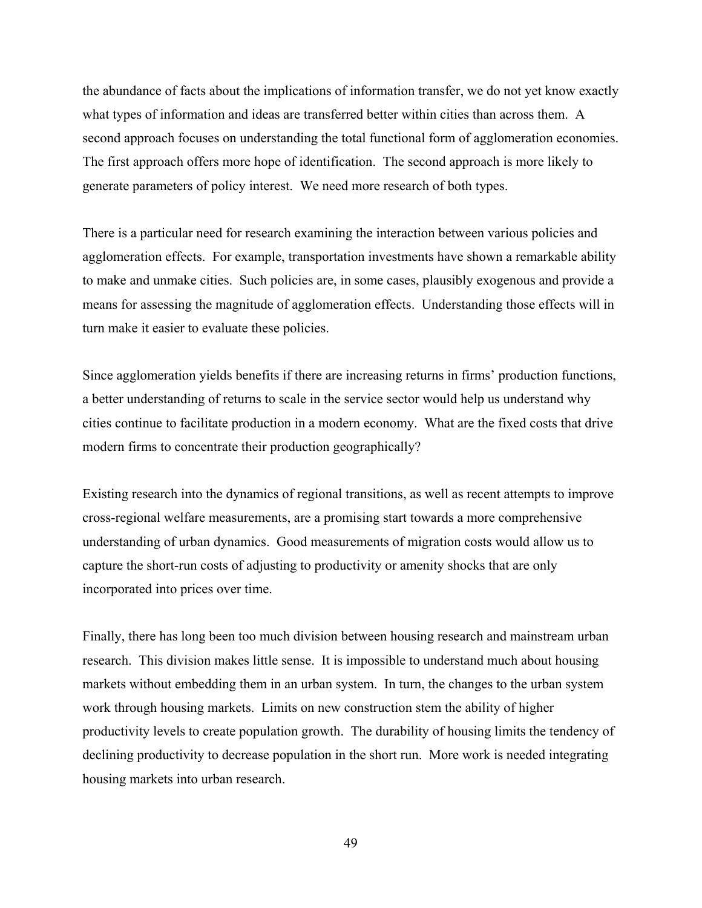the abundance of facts about the implications of information transfer, we do not yet know exactly what types of information and ideas are transferred better within cities than across them. A second approach focuses on understanding the total functional form of agglomeration economies. The first approach offers more hope of identification. The second approach is more likely to generate parameters of policy interest. We need more research of both types.

There is a particular need for research examining the interaction between various policies and agglomeration effects. For example, transportation investments have shown a remarkable ability to make and unmake cities. Such policies are, in some cases, plausibly exogenous and provide a means for assessing the magnitude of agglomeration effects. Understanding those effects will in turn make it easier to evaluate these policies.

Since agglomeration yields benefits if there are increasing returns in firms' production functions, a better understanding of returns to scale in the service sector would help us understand why cities continue to facilitate production in a modern economy. What are the fixed costs that drive modern firms to concentrate their production geographically?

Existing research into the dynamics of regional transitions, as well as recent attempts to improve cross-regional welfare measurements, are a promising start towards a more comprehensive understanding of urban dynamics. Good measurements of migration costs would allow us to capture the short-run costs of adjusting to productivity or amenity shocks that are only incorporated into prices over time.

Finally, there has long been too much division between housing research and mainstream urban research. This division makes little sense. It is impossible to understand much about housing markets without embedding them in an urban system. In turn, the changes to the urban system work through housing markets. Limits on new construction stem the ability of higher productivity levels to create population growth. The durability of housing limits the tendency of declining productivity to decrease population in the short run. More work is needed integrating housing markets into urban research.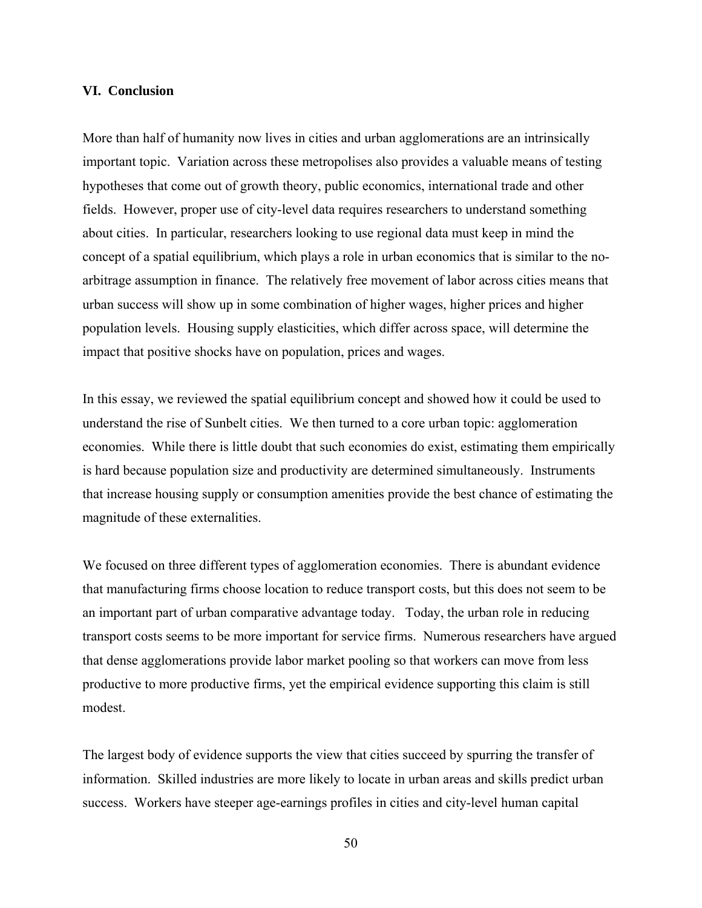### **VI. Conclusion**

More than half of humanity now lives in cities and urban agglomerations are an intrinsically important topic. Variation across these metropolises also provides a valuable means of testing hypotheses that come out of growth theory, public economics, international trade and other fields. However, proper use of city-level data requires researchers to understand something about cities. In particular, researchers looking to use regional data must keep in mind the concept of a spatial equilibrium, which plays a role in urban economics that is similar to the noarbitrage assumption in finance. The relatively free movement of labor across cities means that urban success will show up in some combination of higher wages, higher prices and higher population levels. Housing supply elasticities, which differ across space, will determine the impact that positive shocks have on population, prices and wages.

In this essay, we reviewed the spatial equilibrium concept and showed how it could be used to understand the rise of Sunbelt cities. We then turned to a core urban topic: agglomeration economies. While there is little doubt that such economies do exist, estimating them empirically is hard because population size and productivity are determined simultaneously. Instruments that increase housing supply or consumption amenities provide the best chance of estimating the magnitude of these externalities.

We focused on three different types of agglomeration economies. There is abundant evidence that manufacturing firms choose location to reduce transport costs, but this does not seem to be an important part of urban comparative advantage today. Today, the urban role in reducing transport costs seems to be more important for service firms. Numerous researchers have argued that dense agglomerations provide labor market pooling so that workers can move from less productive to more productive firms, yet the empirical evidence supporting this claim is still modest.

The largest body of evidence supports the view that cities succeed by spurring the transfer of information. Skilled industries are more likely to locate in urban areas and skills predict urban success. Workers have steeper age-earnings profiles in cities and city-level human capital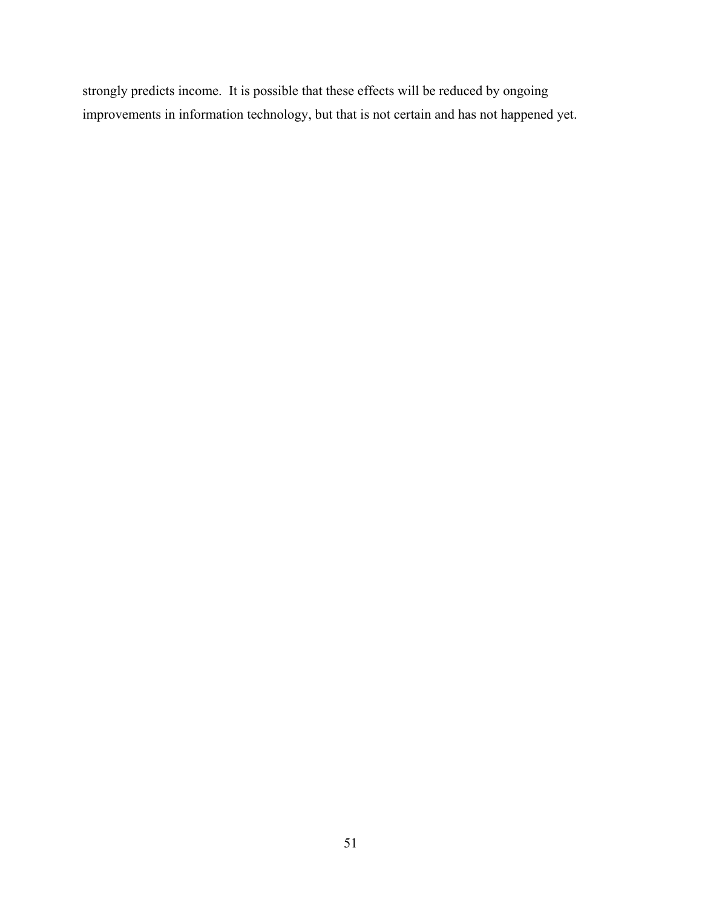strongly predicts income. It is possible that these effects will be reduced by ongoing improvements in information technology, but that is not certain and has not happened yet.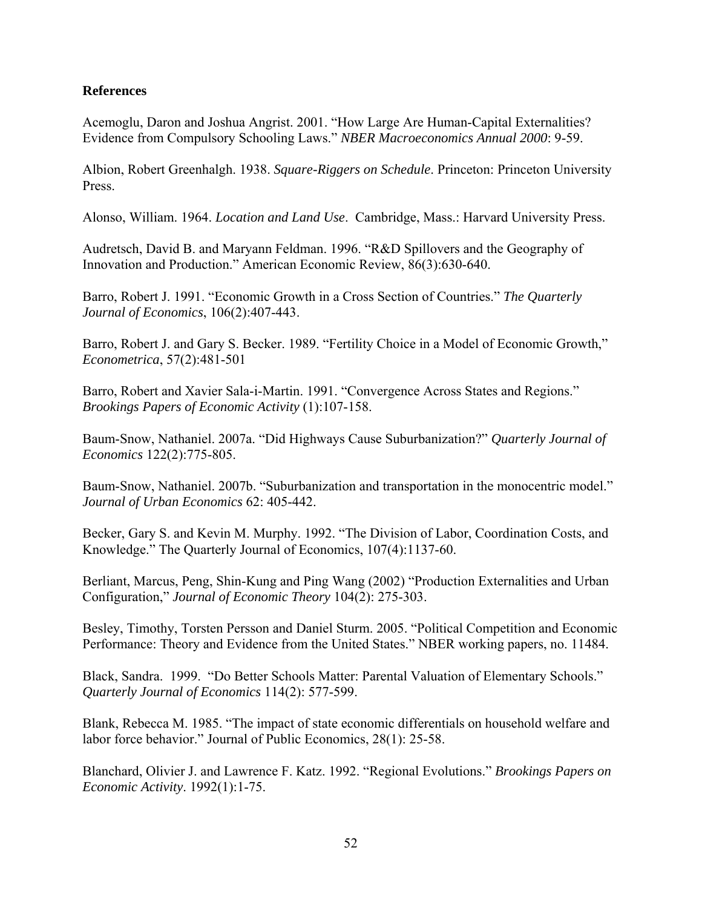# **References**

Acemoglu, Daron and Joshua Angrist. 2001. "How Large Are Human-Capital Externalities? Evidence from Compulsory Schooling Laws." *NBER Macroeconomics Annual 2000*: 9-59.

Albion, Robert Greenhalgh. 1938. *Square-Riggers on Schedule*. Princeton: Princeton University **Press**.

Alonso, William. 1964. *Location and Land Use*. Cambridge, Mass.: Harvard University Press.

Audretsch, David B. and Maryann Feldman. 1996. "R&D Spillovers and the Geography of Innovation and Production." American Economic Review, 86(3):630-640.

Barro, Robert J. 1991. "Economic Growth in a Cross Section of Countries." *The Quarterly Journal of Economics*, 106(2):407-443.

Barro, Robert J. and Gary S. Becker. 1989. "Fertility Choice in a Model of Economic Growth," *Econometrica*, 57(2):481-501

Barro, Robert and Xavier Sala-i-Martin. 1991. "Convergence Across States and Regions." *Brookings Papers of Economic Activity* (1):107-158.

Baum-Snow, Nathaniel. 2007a. "Did Highways Cause Suburbanization?" *Quarterly Journal of Economics* 122(2):775-805.

Baum-Snow, Nathaniel. 2007b. "Suburbanization and transportation in the monocentric model." *Journal of Urban Economics* 62: 405-442.

Becker, Gary S. and Kevin M. Murphy. 1992. "The Division of Labor, Coordination Costs, and Knowledge." The Quarterly Journal of Economics, 107(4):1137-60.

Berliant, Marcus, Peng, Shin-Kung and Ping Wang (2002) "Production Externalities and Urban Configuration," *Journal of Economic Theory* 104(2): 275-303.

Besley, Timothy, Torsten Persson and Daniel Sturm. 2005. "Political Competition and Economic Performance: Theory and Evidence from the United States." NBER working papers, no. 11484.

Black, Sandra. 1999. "Do Better Schools Matter: Parental Valuation of Elementary Schools." *Quarterly Journal of Economics* 114(2): 577-599.

Blank, Rebecca M. 1985. "The impact of state economic differentials on household welfare and labor force behavior." Journal of Public Economics, 28(1): 25-58.

Blanchard, Olivier J. and Lawrence F. Katz. 1992. "Regional Evolutions." *Brookings Papers on Economic Activity*. 1992(1):1-75.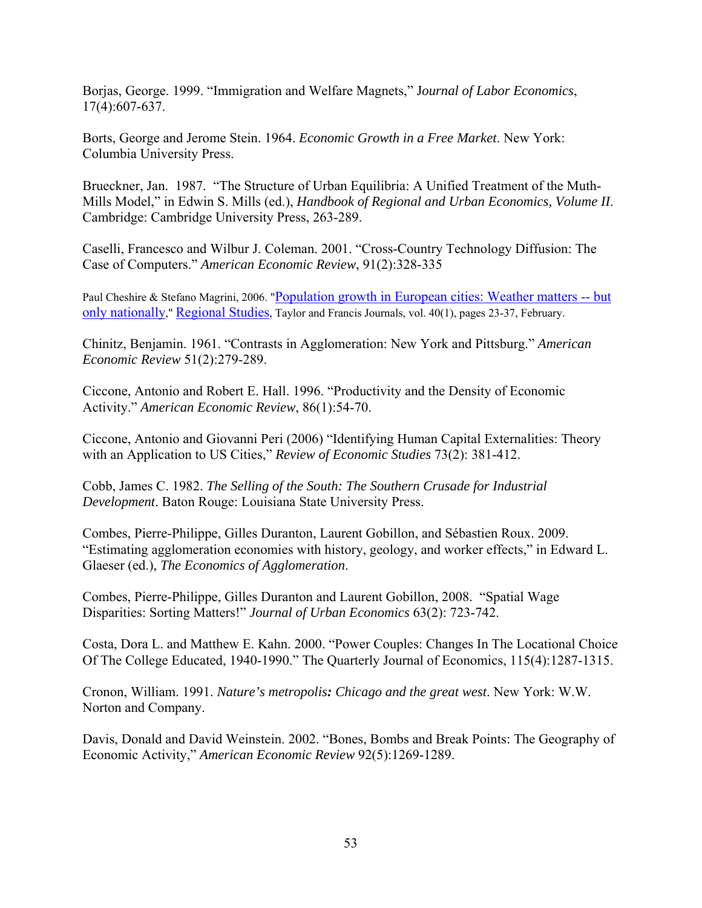Borjas, George. 1999. "Immigration and Welfare Magnets," J*ournal of Labor Economics*, 17(4):607-637.

Borts, George and Jerome Stein. 1964. *Economic Growth in a Free Market*. New York: Columbia University Press.

Brueckner, Jan. 1987. "The Structure of Urban Equilibria: A Unified Treatment of the Muth-Mills Model," in Edwin S. Mills (ed.), *Handbook of Regional and Urban Economics, Volume II*. Cambridge: Cambridge University Press, 263-289.

Caselli, Francesco and Wilbur J. Coleman. 2001. "Cross-Country Technology Diffusion: The Case of Computers." *American Economic Review*, 91(2):328-335

Paul Cheshire & Stefano Magrini, 2006. "Population growth in European cities: Weather matters -- but only nationally," Regional Studies, Taylor and Francis Journals, vol. 40(1), pages 23-37, February.

Chinitz, Benjamin. 1961. "Contrasts in Agglomeration: New York and Pittsburg." *American Economic Review* 51(2):279-289.

Ciccone, Antonio and Robert E. Hall. 1996. "Productivity and the Density of Economic Activity." *American Economic Review*, 86(1):54-70.

Ciccone, Antonio and Giovanni Peri (2006) "Identifying Human Capital Externalities: Theory with an Application to US Cities," *Review of Economic Studies* 73(2): 381-412.

Cobb, James C. 1982. *The Selling of the South: The Southern Crusade for Industrial Development*. Baton Rouge: Louisiana State University Press.

Combes, Pierre-Philippe, Gilles Duranton, Laurent Gobillon, and Sébastien Roux. 2009. "Estimating agglomeration economies with history, geology, and worker effects," in Edward L. Glaeser (ed.), *The Economics of Agglomeration*.

Combes, Pierre-Philippe, Gilles Duranton and Laurent Gobillon, 2008. "Spatial Wage Disparities: Sorting Matters!" *Journal of Urban Economics* 63(2): 723-742.

Costa, Dora L. and Matthew E. Kahn. 2000. "Power Couples: Changes In The Locational Choice Of The College Educated, 1940-1990." The Quarterly Journal of Economics, 115(4):1287-1315.

Cronon, William. 1991. *Nature's metropolis: Chicago and the great west*. New York: W.W. Norton and Company.

Davis, Donald and David Weinstein. 2002. "Bones, Bombs and Break Points: The Geography of Economic Activity," *American Economic Review* 92(5):1269-1289.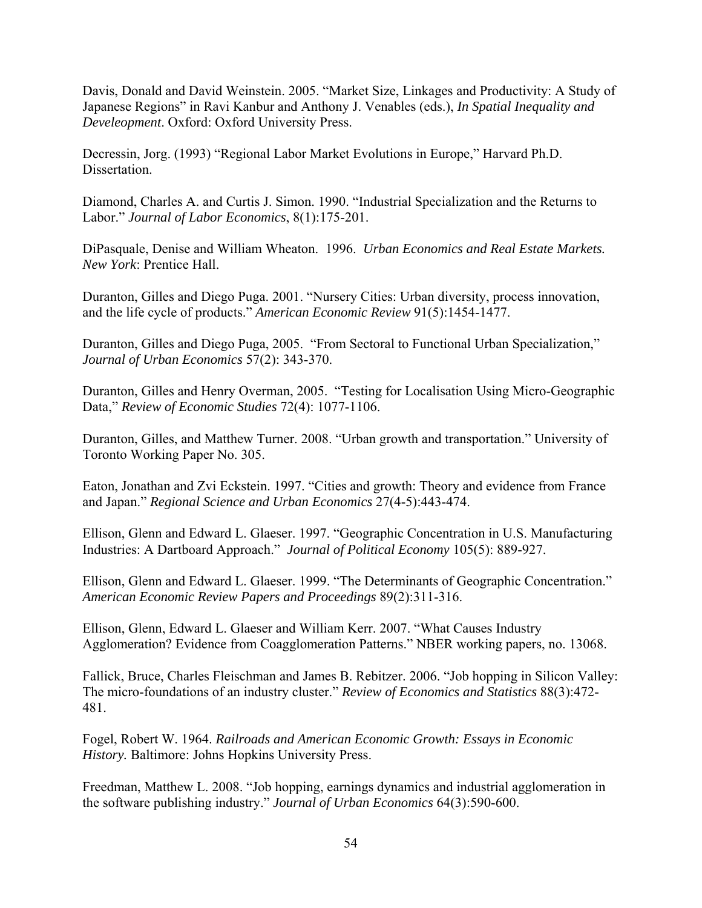Davis, Donald and David Weinstein. 2005. "Market Size, Linkages and Productivity: A Study of Japanese Regions" in Ravi Kanbur and Anthony J. Venables (eds.), *In Spatial Inequality and Develeopment*. Oxford: Oxford University Press.

Decressin, Jorg. (1993) "Regional Labor Market Evolutions in Europe," Harvard Ph.D. Dissertation.

Diamond, Charles A. and Curtis J. Simon. 1990. "Industrial Specialization and the Returns to Labor." *Journal of Labor Economics*, 8(1):175-201.

DiPasquale, Denise and William Wheaton. 1996. *Urban Economics and Real Estate Markets. New York*: Prentice Hall.

Duranton, Gilles and Diego Puga. 2001. "Nursery Cities: Urban diversity, process innovation, and the life cycle of products." *American Economic Review* 91(5):1454-1477.

Duranton, Gilles and Diego Puga, 2005. "From Sectoral to Functional Urban Specialization," *Journal of Urban Economics* 57(2): 343-370.

Duranton, Gilles and Henry Overman, 2005. "Testing for Localisation Using Micro-Geographic Data," *Review of Economic Studies* 72(4): 1077-1106.

Duranton, Gilles, and Matthew Turner. 2008. "Urban growth and transportation." University of Toronto Working Paper No. 305.

Eaton, Jonathan and Zvi Eckstein. 1997. "Cities and growth: Theory and evidence from France and Japan." *Regional Science and Urban Economics* 27(4-5):443-474.

Ellison, Glenn and Edward L. Glaeser. 1997. "Geographic Concentration in U.S. Manufacturing Industries: A Dartboard Approach." *Journal of Political Economy* 105(5): 889-927.

Ellison, Glenn and Edward L. Glaeser. 1999. "The Determinants of Geographic Concentration." *American Economic Review Papers and Proceedings* 89(2):311-316.

Ellison, Glenn, Edward L. Glaeser and William Kerr. 2007. "What Causes Industry Agglomeration? Evidence from Coagglomeration Patterns." NBER working papers, no. 13068.

Fallick, Bruce, Charles Fleischman and James B. Rebitzer. 2006. "Job hopping in Silicon Valley: The micro-foundations of an industry cluster." *Review of Economics and Statistics* 88(3):472- 481.

Fogel, Robert W. 1964. *Railroads and American Economic Growth: Essays in Economic History.* Baltimore: Johns Hopkins University Press.

Freedman, Matthew L. 2008. "Job hopping, earnings dynamics and industrial agglomeration in the software publishing industry." *Journal of Urban Economics* 64(3):590-600.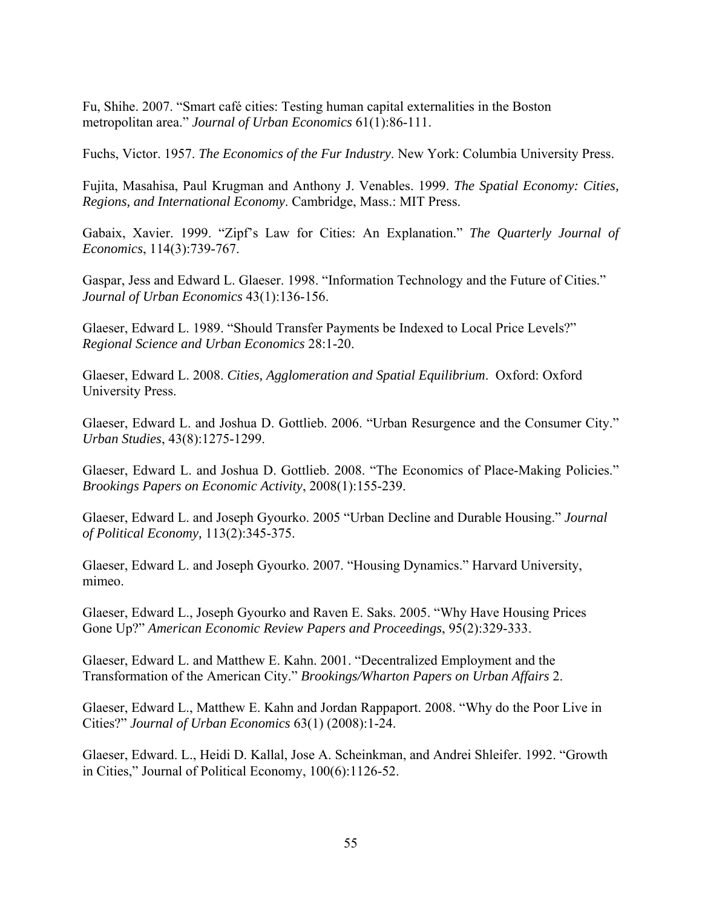Fu, Shihe. 2007. "Smart café cities: Testing human capital externalities in the Boston metropolitan area." *Journal of Urban Economics* 61(1):86-111.

Fuchs, Victor. 1957. *The Economics of the Fur Industry*. New York: Columbia University Press.

Fujita, Masahisa, Paul Krugman and Anthony J. Venables. 1999. *The Spatial Economy: Cities, Regions, and International Economy*. Cambridge, Mass.: MIT Press.

Gabaix, Xavier. 1999. "Zipf's Law for Cities: An Explanation." *The Quarterly Journal of Economics*, 114(3):739-767.

Gaspar, Jess and Edward L. Glaeser. 1998. "Information Technology and the Future of Cities." *Journal of Urban Economics* 43(1):136-156.

Glaeser, Edward L. 1989. "Should Transfer Payments be Indexed to Local Price Levels?" *Regional Science and Urban Economics* 28:1-20.

Glaeser, Edward L. 2008. *Cities, Agglomeration and Spatial Equilibrium*. Oxford: Oxford University Press.

Glaeser, Edward L. and Joshua D. Gottlieb. 2006. "Urban Resurgence and the Consumer City." *Urban Studies*, 43(8):1275-1299.

Glaeser, Edward L. and Joshua D. Gottlieb. 2008. "The Economics of Place-Making Policies." *Brookings Papers on Economic Activity*, 2008(1):155-239.

Glaeser, Edward L. and Joseph Gyourko. 2005 "Urban Decline and Durable Housing." *Journal of Political Economy,* 113(2):345-375.

Glaeser, Edward L. and Joseph Gyourko. 2007. "Housing Dynamics." Harvard University, mimeo.

Glaeser, Edward L., Joseph Gyourko and Raven E. Saks. 2005. "Why Have Housing Prices Gone Up?" *American Economic Review Papers and Proceedings*, 95(2):329-333.

Glaeser, Edward L. and Matthew E. Kahn. 2001. "Decentralized Employment and the Transformation of the American City." *Brookings/Wharton Papers on Urban Affairs* 2.

Glaeser, Edward L., Matthew E. Kahn and Jordan Rappaport. 2008. "Why do the Poor Live in Cities?" *Journal of Urban Economics* 63(1) (2008):1-24.

Glaeser, Edward. L., Heidi D. Kallal, Jose A. Scheinkman, and Andrei Shleifer. 1992. "Growth in Cities," Journal of Political Economy, 100(6):1126-52.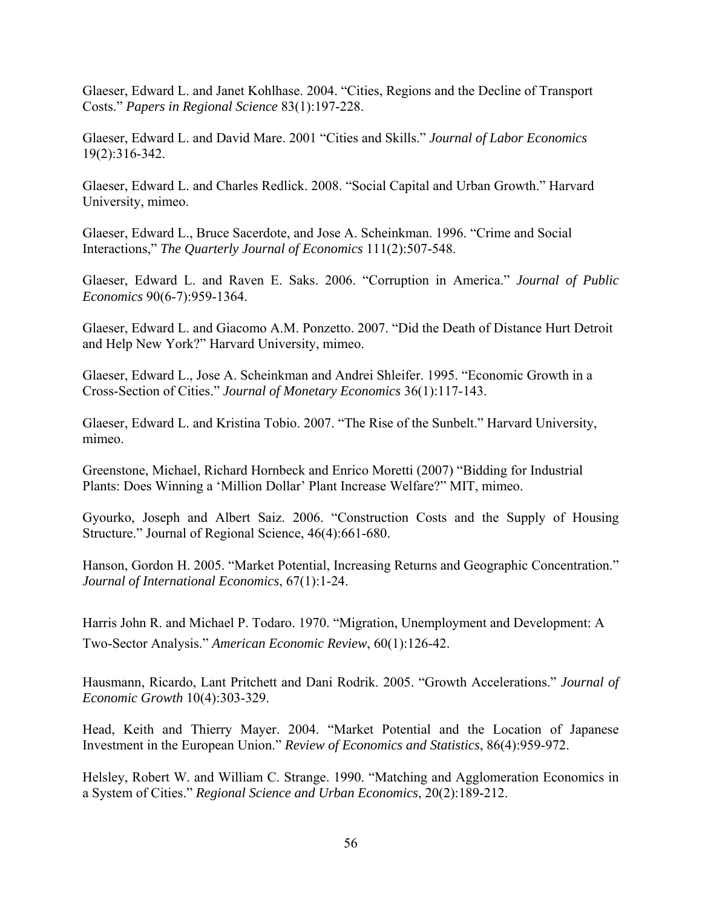Glaeser, Edward L. and Janet Kohlhase. 2004. "Cities, Regions and the Decline of Transport Costs." *Papers in Regional Science* 83(1):197-228.

Glaeser, Edward L. and David Mare. 2001 "Cities and Skills." *Journal of Labor Economics*  19(2):316-342.

Glaeser, Edward L. and Charles Redlick. 2008. "Social Capital and Urban Growth." Harvard University, mimeo.

Glaeser, Edward L., Bruce Sacerdote, and Jose A. Scheinkman. 1996. "Crime and Social Interactions," *The Quarterly Journal of Economics* 111(2):507-548.

Glaeser, Edward L. and Raven E. Saks. 2006. "Corruption in America." *Journal of Public Economics* 90(6-7):959-1364.

Glaeser, Edward L. and Giacomo A.M. Ponzetto. 2007. "Did the Death of Distance Hurt Detroit and Help New York?" Harvard University, mimeo.

Glaeser, Edward L., Jose A. Scheinkman and Andrei Shleifer. 1995. "Economic Growth in a Cross-Section of Cities." *Journal of Monetary Economics* 36(1):117-143.

Glaeser, Edward L. and Kristina Tobio. 2007. "The Rise of the Sunbelt." Harvard University, mimeo.

Greenstone, Michael, Richard Hornbeck and Enrico Moretti (2007) "Bidding for Industrial Plants: Does Winning a 'Million Dollar' Plant Increase Welfare?" MIT, mimeo.

Gyourko, Joseph and Albert Saiz. 2006. "Construction Costs and the Supply of Housing Structure." Journal of Regional Science, 46(4):661-680.

Hanson, Gordon H. 2005. "Market Potential, Increasing Returns and Geographic Concentration." *Journal of International Economics*, 67(1):1-24.

Harris John R. and Michael P. Todaro. 1970. "Migration, Unemployment and Development: A Two-Sector Analysis." *American Economic Review*, 60(1):126-42.

Hausmann, Ricardo, Lant Pritchett and Dani Rodrik. 2005. "Growth Accelerations." *Journal of Economic Growth* 10(4):303-329.

Head, Keith and Thierry Mayer. 2004. "Market Potential and the Location of Japanese Investment in the European Union." *Review of Economics and Statistics*, 86(4):959-972.

Helsley, Robert W. and William C. Strange. 1990. "Matching and Agglomeration Economics in a System of Cities." *Regional Science and Urban Economics*, 20(2):189-212.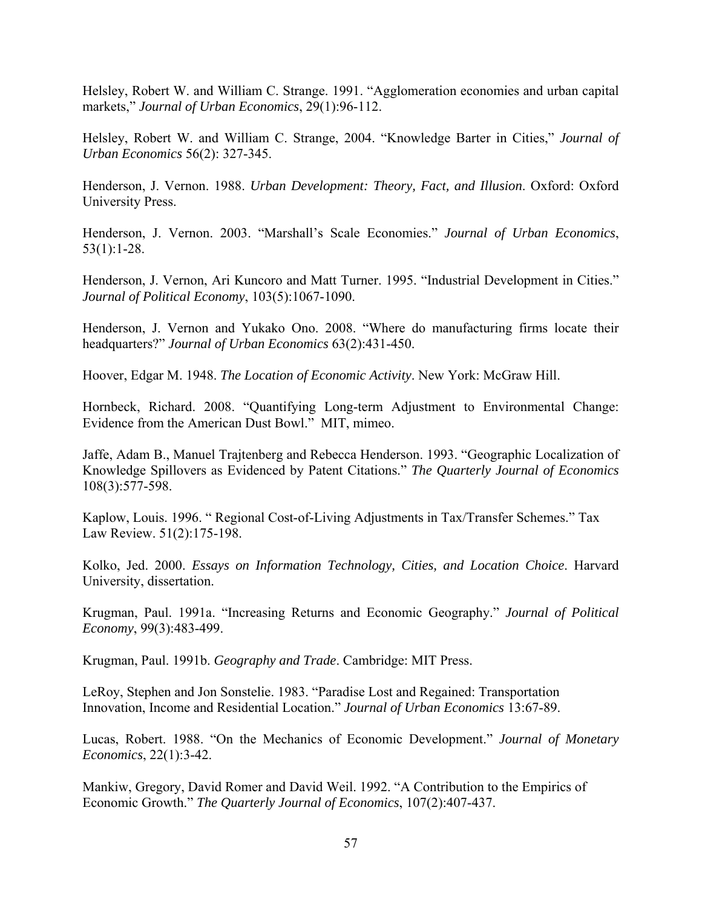Helsley, Robert W. and William C. Strange. 1991. "Agglomeration economies and urban capital markets," *Journal of Urban Economics*, 29(1):96-112.

Helsley, Robert W. and William C. Strange, 2004. "Knowledge Barter in Cities," *Journal of Urban Economics* 56(2): 327-345.

Henderson, J. Vernon. 1988. *Urban Development: Theory, Fact, and Illusion*. Oxford: Oxford University Press.

Henderson, J. Vernon. 2003. "Marshall's Scale Economies." *Journal of Urban Economics*, 53(1):1-28.

Henderson, J. Vernon, Ari Kuncoro and Matt Turner. 1995. "Industrial Development in Cities." *Journal of Political Economy*, 103(5):1067-1090.

Henderson, J. Vernon and Yukako Ono. 2008. "Where do manufacturing firms locate their headquarters?" *Journal of Urban Economics* 63(2):431-450.

Hoover, Edgar M. 1948. *The Location of Economic Activity*. New York: McGraw Hill.

Hornbeck, Richard. 2008. "Quantifying Long-term Adjustment to Environmental Change: Evidence from the American Dust Bowl." MIT, mimeo.

Jaffe, Adam B., Manuel Trajtenberg and Rebecca Henderson. 1993. "Geographic Localization of Knowledge Spillovers as Evidenced by Patent Citations." *The Quarterly Journal of Economics* 108(3):577-598.

Kaplow, Louis. 1996. " Regional Cost-of-Living Adjustments in Tax/Transfer Schemes." Tax Law Review. 51(2):175-198.

Kolko, Jed. 2000. *Essays on Information Technology, Cities, and Location Choice*. Harvard University, dissertation.

Krugman, Paul. 1991a. "Increasing Returns and Economic Geography." *Journal of Political Economy*, 99(3):483-499.

Krugman, Paul. 1991b. *Geography and Trade*. Cambridge: MIT Press.

LeRoy, Stephen and Jon Sonstelie. 1983. "Paradise Lost and Regained: Transportation Innovation, Income and Residential Location." *Journal of Urban Economics* 13:67-89.

Lucas, Robert. 1988. "On the Mechanics of Economic Development." *Journal of Monetary Economics*, 22(1):3-42.

Mankiw, Gregory, David Romer and David Weil. 1992. "A Contribution to the Empirics of Economic Growth." *The Quarterly Journal of Economics*, 107(2):407-437.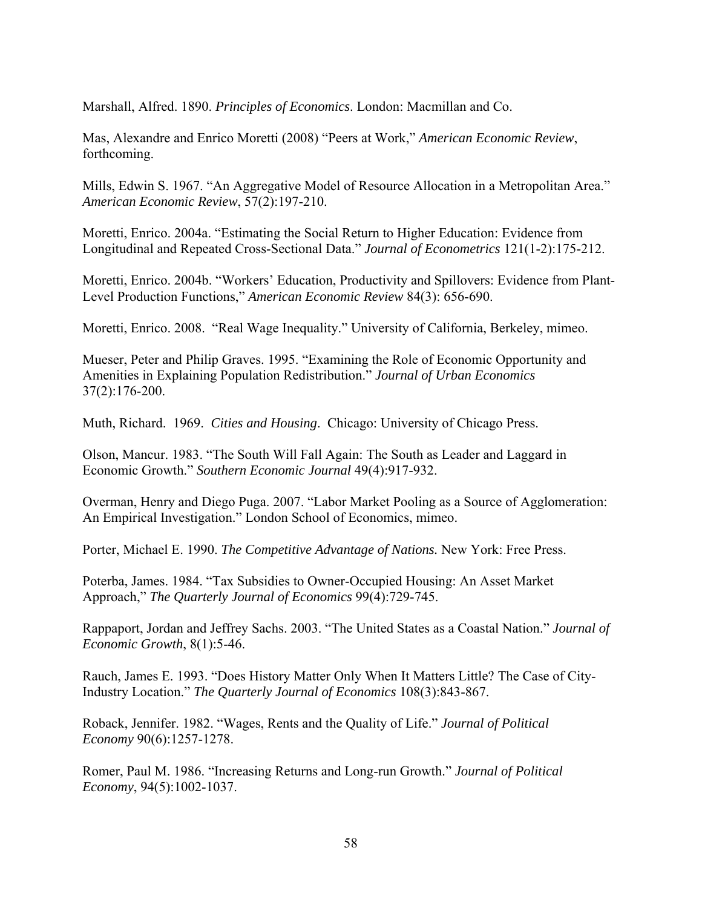Marshall, Alfred. 1890. *Principles of Economics*. London: Macmillan and Co.

Mas, Alexandre and Enrico Moretti (2008) "Peers at Work," *American Economic Review*, forthcoming.

Mills, Edwin S. 1967. "An Aggregative Model of Resource Allocation in a Metropolitan Area." *American Economic Review*, 57(2):197-210.

Moretti, Enrico. 2004a. "Estimating the Social Return to Higher Education: Evidence from Longitudinal and Repeated Cross-Sectional Data." *Journal of Econometrics* 121(1-2):175-212.

Moretti, Enrico. 2004b. "Workers' Education, Productivity and Spillovers: Evidence from Plant-Level Production Functions," *American Economic Review* 84(3): 656-690.

Moretti, Enrico. 2008. "Real Wage Inequality." University of California, Berkeley, mimeo.

Mueser, Peter and Philip Graves. 1995. "Examining the Role of Economic Opportunity and Amenities in Explaining Population Redistribution." *Journal of Urban Economics*  37(2):176-200.

Muth, Richard. 1969. *Cities and Housing*. Chicago: University of Chicago Press.

Olson, Mancur. 1983. "The South Will Fall Again: The South as Leader and Laggard in Economic Growth." *Southern Economic Journal* 49(4):917-932.

Overman, Henry and Diego Puga. 2007. "Labor Market Pooling as a Source of Agglomeration: An Empirical Investigation." London School of Economics, mimeo.

Porter, Michael E. 1990. *The Competitive Advantage of Nations.* New York: Free Press.

Poterba, James. 1984. "Tax Subsidies to Owner-Occupied Housing: An Asset Market Approach," *The Quarterly Journal of Economics* 99(4):729-745.

Rappaport, Jordan and Jeffrey Sachs. 2003. "The United States as a Coastal Nation." *Journal of Economic Growth*, 8(1):5-46.

Rauch, James E. 1993. "Does History Matter Only When It Matters Little? The Case of City-Industry Location." *The Quarterly Journal of Economics* 108(3):843-867.

Roback, Jennifer. 1982. "Wages, Rents and the Quality of Life." *Journal of Political Economy* 90(6):1257-1278.

Romer, Paul M. 1986. "Increasing Returns and Long-run Growth." *Journal of Political Economy*, 94(5):1002-1037.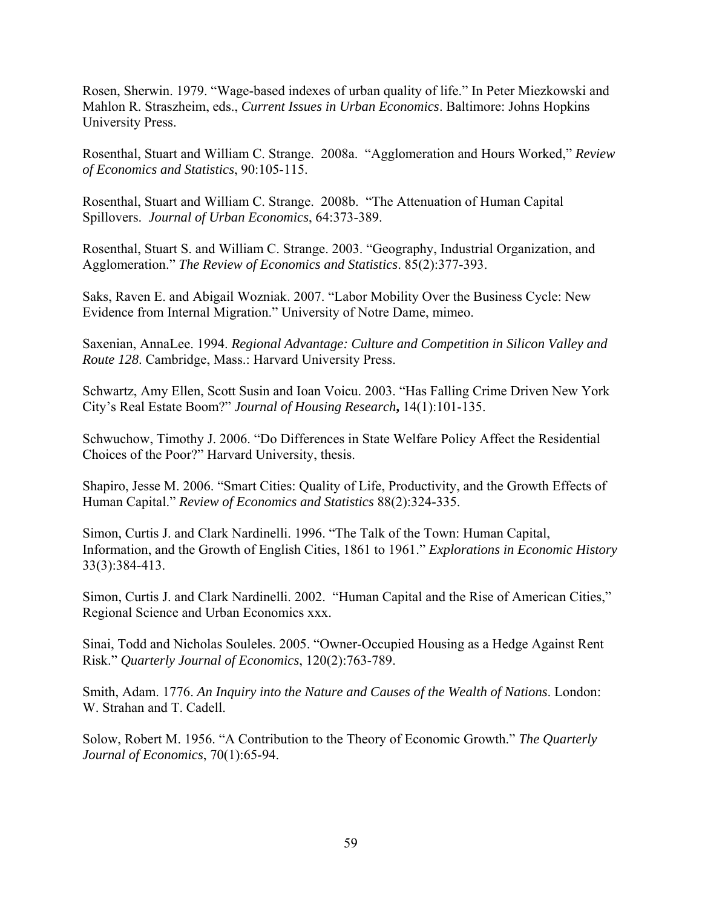Rosen, Sherwin. 1979. "Wage-based indexes of urban quality of life." In Peter Miezkowski and Mahlon R. Straszheim, eds., *Current Issues in Urban Economics*. Baltimore: Johns Hopkins University Press.

Rosenthal, Stuart and William C. Strange. 2008a. "Agglomeration and Hours Worked," *Review of Economics and Statistics*, 90:105-115.

Rosenthal, Stuart and William C. Strange. 2008b. "The Attenuation of Human Capital Spillovers. *Journal of Urban Economics*, 64:373-389.

Rosenthal, Stuart S. and William C. Strange. 2003. "Geography, Industrial Organization, and Agglomeration." *The Review of Economics and Statistics*. 85(2):377-393.

Saks, Raven E. and Abigail Wozniak. 2007. "Labor Mobility Over the Business Cycle: New Evidence from Internal Migration." University of Notre Dame, mimeo.

Saxenian, AnnaLee. 1994. *Regional Advantage: Culture and Competition in Silicon Valley and Route 128*. Cambridge, Mass.: Harvard University Press.

Schwartz, Amy Ellen, Scott Susin and Ioan Voicu. 2003. "Has Falling Crime Driven New York City's Real Estate Boom?" *Journal of Housing Research***,** 14(1):101-135.

Schwuchow, Timothy J. 2006. "Do Differences in State Welfare Policy Affect the Residential Choices of the Poor?" Harvard University, thesis.

Shapiro, Jesse M. 2006. "Smart Cities: Quality of Life, Productivity, and the Growth Effects of Human Capital." *Review of Economics and Statistics* 88(2):324-335.

Simon, Curtis J. and Clark Nardinelli. 1996. "The Talk of the Town: Human Capital, Information, and the Growth of English Cities, 1861 to 1961." *Explorations in Economic History* 33(3):384-413.

Simon, Curtis J. and Clark Nardinelli. 2002. "Human Capital and the Rise of American Cities," Regional Science and Urban Economics xxx.

Sinai, Todd and Nicholas Souleles. 2005. "Owner-Occupied Housing as a Hedge Against Rent Risk." *Quarterly Journal of Economics*, 120(2):763-789.

Smith, Adam. 1776. *An Inquiry into the Nature and Causes of the Wealth of Nations*. London: W. Strahan and T. Cadell.

Solow, Robert M. 1956. "A Contribution to the Theory of Economic Growth." *The Quarterly Journal of Economics*, 70(1):65-94.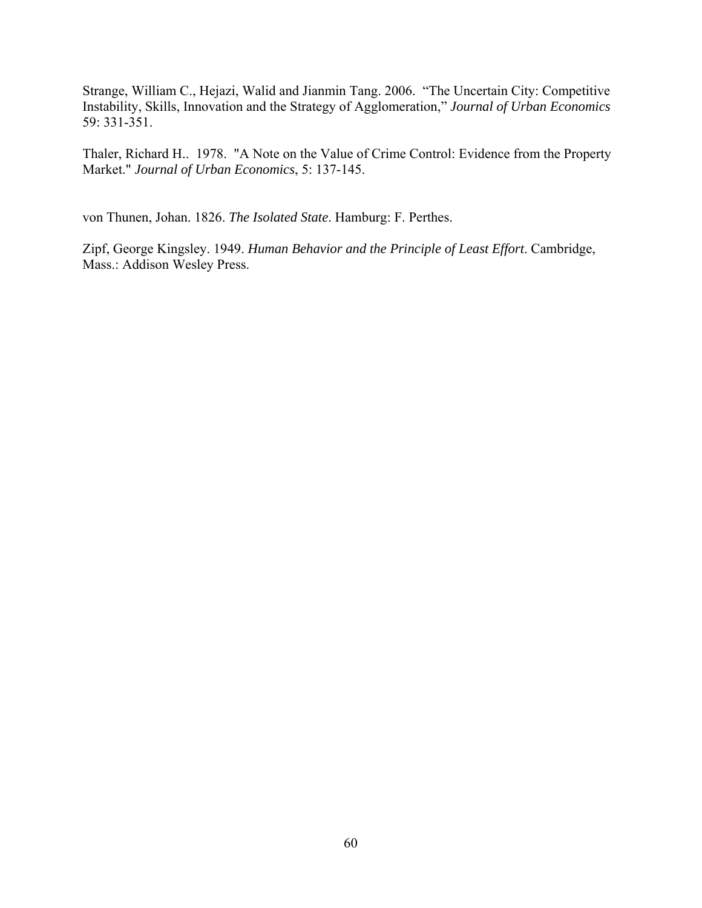Strange, William C., Hejazi, Walid and Jianmin Tang. 2006. "The Uncertain City: Competitive Instability, Skills, Innovation and the Strategy of Agglomeration," *Journal of Urban Economics*  59: 331-351.

Thaler, Richard H.. 1978. "A Note on the Value of Crime Control: Evidence from the Property Market." *Journal of Urban Economics*, 5: 137-145.

von Thunen, Johan. 1826. *The Isolated State*. Hamburg: F. Perthes.

Zipf, George Kingsley. 1949. *Human Behavior and the Principle of Least Effort*. Cambridge, Mass.: Addison Wesley Press.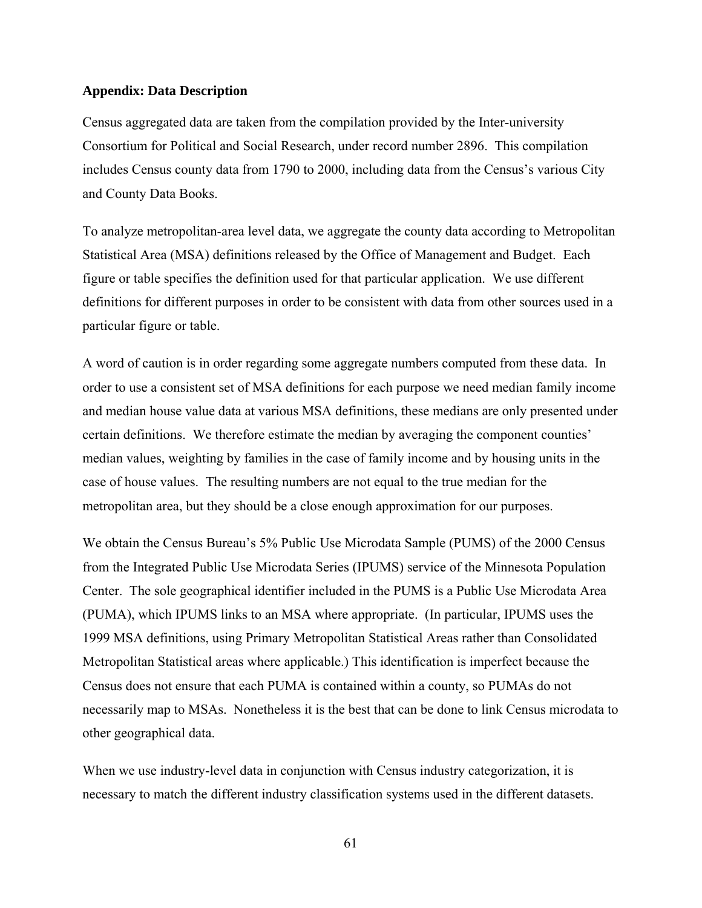### **Appendix: Data Description**

Census aggregated data are taken from the compilation provided by the Inter-university Consortium for Political and Social Research, under record number 2896. This compilation includes Census county data from 1790 to 2000, including data from the Census's various City and County Data Books.

To analyze metropolitan-area level data, we aggregate the county data according to Metropolitan Statistical Area (MSA) definitions released by the Office of Management and Budget. Each figure or table specifies the definition used for that particular application. We use different definitions for different purposes in order to be consistent with data from other sources used in a particular figure or table.

A word of caution is in order regarding some aggregate numbers computed from these data. In order to use a consistent set of MSA definitions for each purpose we need median family income and median house value data at various MSA definitions, these medians are only presented under certain definitions. We therefore estimate the median by averaging the component counties' median values, weighting by families in the case of family income and by housing units in the case of house values. The resulting numbers are not equal to the true median for the metropolitan area, but they should be a close enough approximation for our purposes.

We obtain the Census Bureau's 5% Public Use Microdata Sample (PUMS) of the 2000 Census from the Integrated Public Use Microdata Series (IPUMS) service of the Minnesota Population Center. The sole geographical identifier included in the PUMS is a Public Use Microdata Area (PUMA), which IPUMS links to an MSA where appropriate. (In particular, IPUMS uses the 1999 MSA definitions, using Primary Metropolitan Statistical Areas rather than Consolidated Metropolitan Statistical areas where applicable.) This identification is imperfect because the Census does not ensure that each PUMA is contained within a county, so PUMAs do not necessarily map to MSAs. Nonetheless it is the best that can be done to link Census microdata to other geographical data.

When we use industry-level data in conjunction with Census industry categorization, it is necessary to match the different industry classification systems used in the different datasets.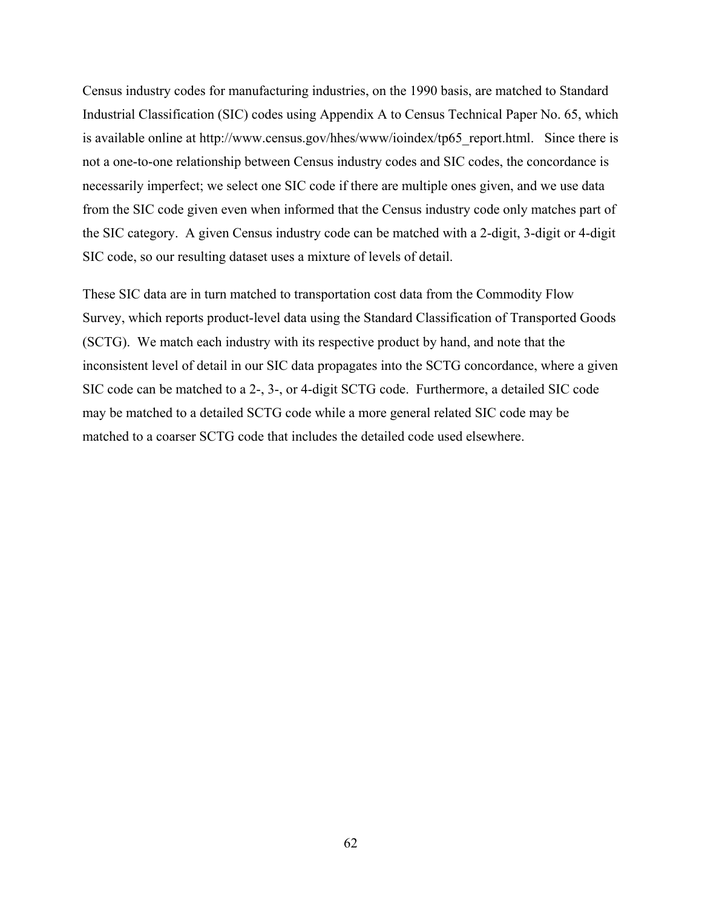Census industry codes for manufacturing industries, on the 1990 basis, are matched to Standard Industrial Classification (SIC) codes using Appendix A to Census Technical Paper No. 65, which is available online at http://www.census.gov/hhes/www/ioindex/tp65\_report.html. Since there is not a one-to-one relationship between Census industry codes and SIC codes, the concordance is necessarily imperfect; we select one SIC code if there are multiple ones given, and we use data from the SIC code given even when informed that the Census industry code only matches part of the SIC category. A given Census industry code can be matched with a 2-digit, 3-digit or 4-digit SIC code, so our resulting dataset uses a mixture of levels of detail.

These SIC data are in turn matched to transportation cost data from the Commodity Flow Survey, which reports product-level data using the Standard Classification of Transported Goods (SCTG). We match each industry with its respective product by hand, and note that the inconsistent level of detail in our SIC data propagates into the SCTG concordance, where a given SIC code can be matched to a 2-, 3-, or 4-digit SCTG code. Furthermore, a detailed SIC code may be matched to a detailed SCTG code while a more general related SIC code may be matched to a coarser SCTG code that includes the detailed code used elsewhere.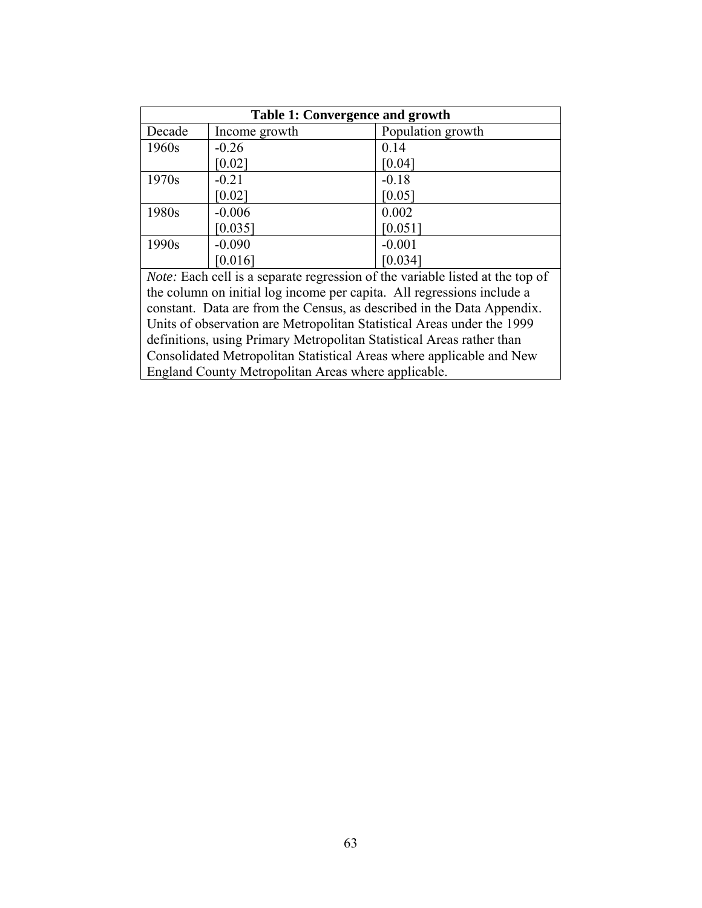| <b>Table 1: Convergence and growth</b>                                               |               |                   |  |  |  |  |
|--------------------------------------------------------------------------------------|---------------|-------------------|--|--|--|--|
| Decade                                                                               | Income growth | Population growth |  |  |  |  |
| 1960s                                                                                | $-0.26$       | 0.14              |  |  |  |  |
|                                                                                      | [0.02]        | [0.04]            |  |  |  |  |
| 1970s                                                                                | $-0.21$       | $-0.18$           |  |  |  |  |
|                                                                                      | [0.02]        | [0.05]            |  |  |  |  |
| 1980s                                                                                | $-0.006$      | 0.002             |  |  |  |  |
|                                                                                      | [0.035]       | [0.051]           |  |  |  |  |
| 1990s                                                                                | $-0.090$      | $-0.001$          |  |  |  |  |
|                                                                                      | [0.016]       | [0.034]           |  |  |  |  |
| <i>Note:</i> Each cell is a separate regression of the variable listed at the top of |               |                   |  |  |  |  |
| the column on initial log income per capita. All regressions include a               |               |                   |  |  |  |  |
| constant. Data are from the Census, as described in the Data Appendix.               |               |                   |  |  |  |  |
| Units of observation are Metropolitan Statistical Areas under the 1999               |               |                   |  |  |  |  |
| definitions, using Primary Metropolitan Statistical Areas rather than                |               |                   |  |  |  |  |
| Consolidated Metropolitan Statistical Areas where applicable and New                 |               |                   |  |  |  |  |
| England County Metropolitan Areas where applicable.                                  |               |                   |  |  |  |  |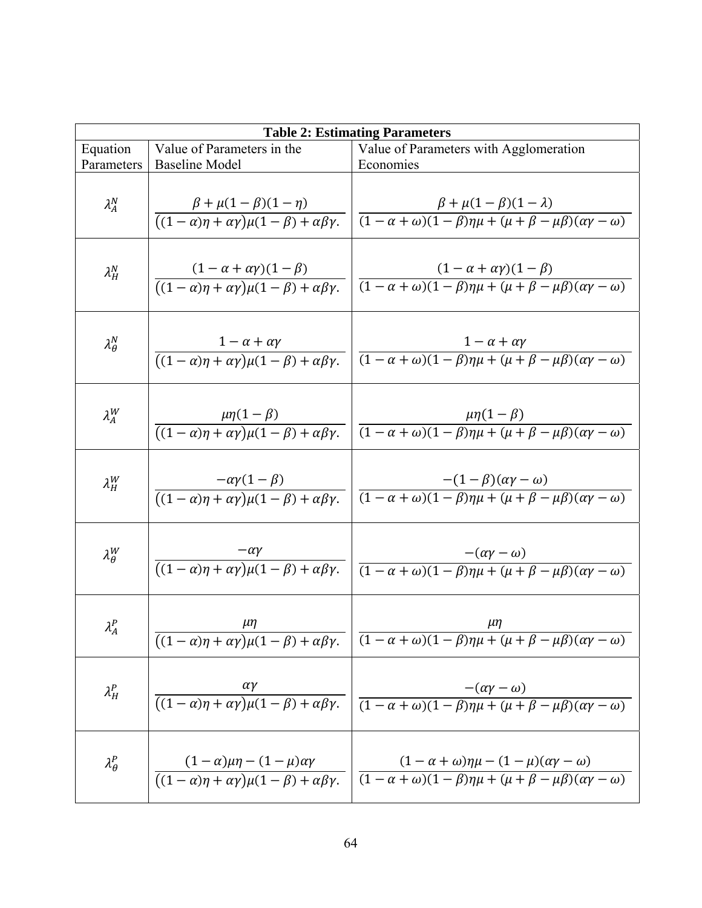| <b>Table 2: Estimating Parameters</b> |                            |                                                                                                                                                                                                                                                                                    |  |  |  |  |  |
|---------------------------------------|----------------------------|------------------------------------------------------------------------------------------------------------------------------------------------------------------------------------------------------------------------------------------------------------------------------------|--|--|--|--|--|
| Equation                              | Value of Parameters in the | Value of Parameters with Agglomeration                                                                                                                                                                                                                                             |  |  |  |  |  |
| Parameters                            | <b>Baseline Model</b>      | Economies                                                                                                                                                                                                                                                                          |  |  |  |  |  |
| $\lambda_A^N$                         |                            | $\frac{\beta + \mu(1-\beta)(1-\eta)}{(1-\alpha)\eta + \alpha\gamma)\mu(1-\beta) + \alpha\beta\gamma} \frac{\beta + \mu(1-\beta)(1-\lambda)}{(1-\alpha+\omega)(1-\beta)\eta\mu + (\mu+\beta-\mu\beta)(\alpha\gamma-\omega)}$<br>$\beta + \mu(1-\beta)(1-\lambda)$                   |  |  |  |  |  |
| $\lambda^N_H$                         |                            | $\frac{(1-\alpha+\alpha\gamma)(1-\beta)}{((1-\alpha)\eta+\alpha\gamma)\mu(1-\beta)+\alpha\beta\gamma} \frac{(1-\alpha+\alpha\gamma)(1-\beta)}{(1-\alpha+\omega)(1-\beta)\eta\mu+(\mu+\beta-\mu\beta)(\alpha\gamma-\omega)}$                                                        |  |  |  |  |  |
| $\lambda_{\theta}^{N}$                |                            | $\frac{1-\alpha+\alpha\gamma}{((1-\alpha)\eta+\alpha\gamma)\mu(1-\beta)+\alpha\beta\gamma} \left  \frac{1-\alpha+\alpha\gamma}{(1-\alpha+\omega)(1-\beta)\eta\mu+(\mu+\beta-\mu\beta)(\alpha\gamma-\omega)} \right $                                                               |  |  |  |  |  |
| $\lambda_A^W$                         |                            | $\frac{\mu\eta(1-\beta)}{\left((1-\alpha)\eta+\alpha\gamma\right)\mu(1-\beta)+\alpha\beta\gamma} \left  \frac{\mu\eta(1-\beta)}{(1-\alpha+\omega)(1-\beta)\eta\mu+(\mu+\beta-\mu\beta)(\alpha\gamma-\omega)} \right $                                                              |  |  |  |  |  |
| $\lambda_H^W$                         |                            | $\frac{-\alpha\gamma(1-\beta)}{\left((1-\alpha)\eta+\alpha\gamma\right)\mu(1-\beta)+\alpha\beta\gamma} \left  \frac{-(1-\beta)(\alpha\gamma-\omega)}{(1-\alpha+\omega)(1-\beta)\eta\mu+(\mu+\beta-\mu\beta)(\alpha\gamma-\omega)} \right $                                         |  |  |  |  |  |
| $\lambda_\theta^W$                    |                            | $\frac{-\alpha\gamma}{((1-\alpha)\eta+\alpha\gamma)\mu(1-\beta)+\alpha\beta\gamma} \bigg  \frac{-(\alpha\gamma-\omega)}{(1-\alpha+\omega)(1-\beta)\eta\mu+(\mu+\beta-\mu\beta)(\alpha\gamma-\omega)}$                                                                              |  |  |  |  |  |
| $\lambda^P_A$                         |                            | $\frac{\mu\eta}{((1-\alpha)\eta+\alpha\gamma)\mu(1-\beta)+\alpha\beta\gamma} \frac{\mu\eta}{(1-\alpha+\omega)(1-\beta)\eta\mu+(\mu+\beta-\mu\beta)(\alpha\gamma-\omega)}$                                                                                                          |  |  |  |  |  |
| $\lambda^P_H$                         |                            | $\frac{\alpha \gamma}{((1-\alpha)\eta+\alpha \gamma)\mu(1-\beta)+\alpha \beta \gamma} \bigg  \frac{-(\alpha \gamma-\omega)}{(1-\alpha+\omega)(1-\beta)\eta\mu+(\mu+\beta-\mu\beta)(\alpha \gamma-\omega)}$                                                                         |  |  |  |  |  |
| $\lambda^P_\theta$                    |                            | $\left  \frac{(1-\alpha)\mu\eta - (1-\mu)\alpha\gamma}{((1-\alpha)\eta + \alpha\gamma)\mu(1-\beta) + \alpha\beta\gamma} \right  \frac{(1-\alpha+\omega)\eta\mu - (1-\mu)(\alpha\gamma - \omega)}{(1-\alpha+\omega)(1-\beta)\eta\mu + (\mu+\beta-\mu\beta)(\alpha\gamma - \omega)}$ |  |  |  |  |  |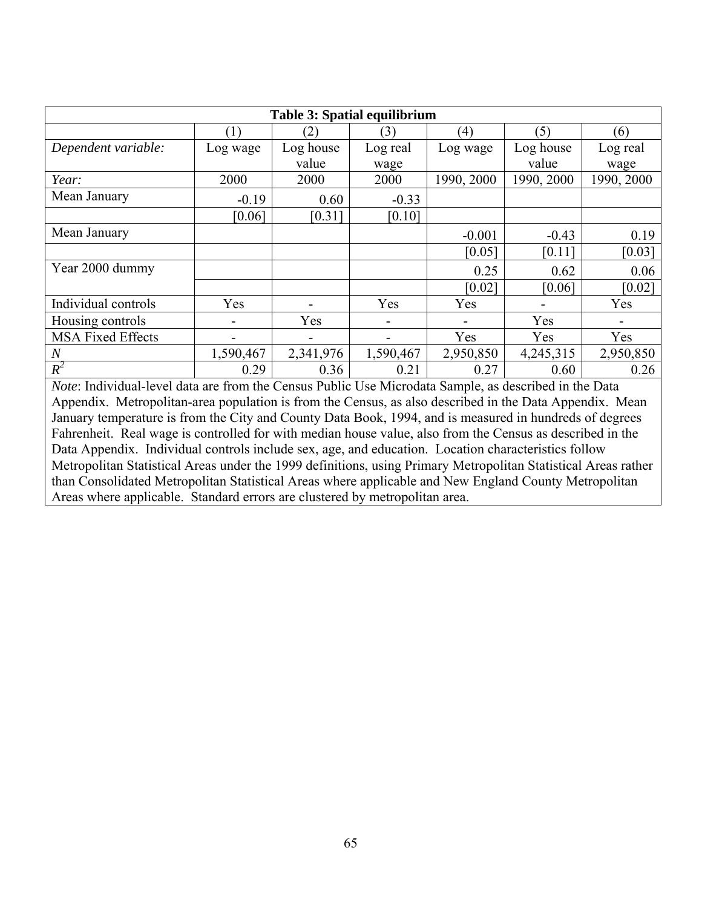| Table 3: Spatial equilibrium |           |           |           |            |            |            |  |
|------------------------------|-----------|-----------|-----------|------------|------------|------------|--|
|                              | (1)       | (2)       | (3)       | (4)        | (5)        | (6)        |  |
| Dependent variable:          | Log wage  | Log house | Log real  | Log wage   | Log house  | Log real   |  |
|                              |           | value     | wage      |            | value      | wage       |  |
| Year:                        | 2000      | 2000      | 2000      | 1990, 2000 | 1990, 2000 | 1990, 2000 |  |
| Mean January                 | $-0.19$   | 0.60      | $-0.33$   |            |            |            |  |
|                              | [0.06]    | [0.31]    | [0.10]    |            |            |            |  |
| Mean January                 |           |           |           | $-0.001$   | $-0.43$    | 0.19       |  |
|                              |           |           |           | [0.05]     | [0.11]     | [0.03]     |  |
| Year 2000 dummy              |           |           |           | 0.25       | 0.62       | 0.06       |  |
|                              |           |           |           | [0.02]     | [0.06]     | [0.02]     |  |
| Individual controls          | Yes       |           | Yes       | Yes        |            | Yes        |  |
| Housing controls             |           | Yes       |           |            | Yes        |            |  |
| <b>MSA Fixed Effects</b>     |           |           |           | Yes        | Yes        | Yes        |  |
| $\overline{N}$               | 1,590,467 | 2,341,976 | 1,590,467 | 2,950,850  | 4,245,315  | 2,950,850  |  |
| $R^2$                        | 0.29      | 0.36      | 0.21      | 0.27       | 0.60       | 0.26       |  |

*Note*: Individual-level data are from the Census Public Use Microdata Sample, as described in the Data Appendix. Metropolitan-area population is from the Census, as also described in the Data Appendix. Mean January temperature is from the City and County Data Book, 1994, and is measured in hundreds of degrees Fahrenheit. Real wage is controlled for with median house value, also from the Census as described in the Data Appendix. Individual controls include sex, age, and education. Location characteristics follow Metropolitan Statistical Areas under the 1999 definitions, using Primary Metropolitan Statistical Areas rather than Consolidated Metropolitan Statistical Areas where applicable and New England County Metropolitan Areas where applicable. Standard errors are clustered by metropolitan area.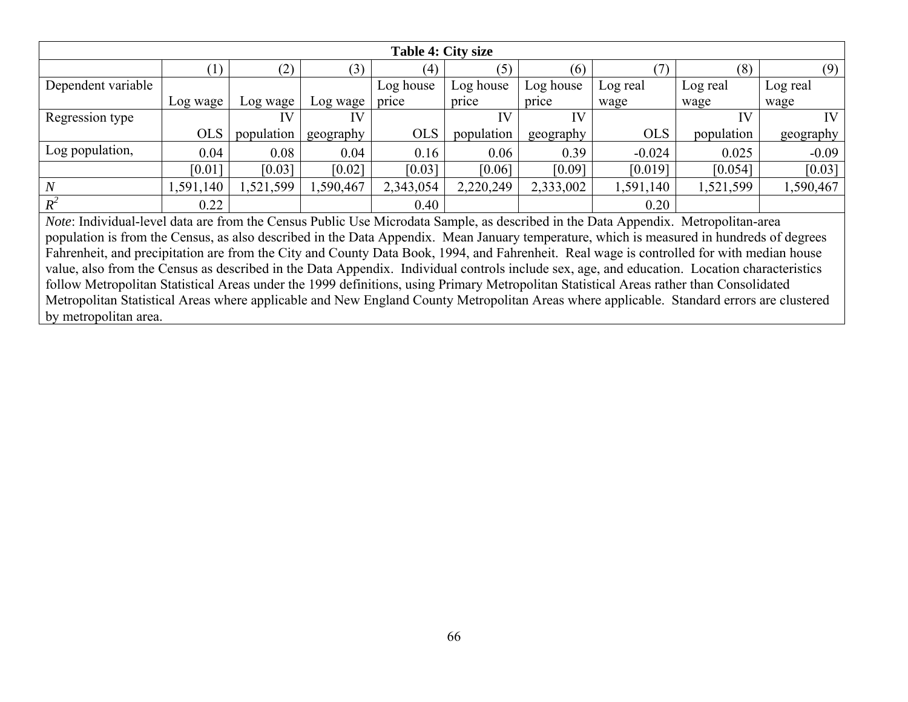| <b>Table 4: City size</b>                                                                                                                    |            |            |           |            |            |           |            |            |           |
|----------------------------------------------------------------------------------------------------------------------------------------------|------------|------------|-----------|------------|------------|-----------|------------|------------|-----------|
|                                                                                                                                              | (1)        | (2)        | (3)       | (4)        | (5)        | (6)       | (7)        | (8)        | (9)       |
| Dependent variable                                                                                                                           |            |            |           | Log house  | Log house  | Log house | Log real   | Log real   | Log real  |
|                                                                                                                                              | Log wage   | Log wage   | Log wage  | price      | price      | price     | wage       | wage       | wage      |
| Regression type                                                                                                                              |            | IV         |           |            | IV         | IV        |            | IV         | IV        |
|                                                                                                                                              | <b>OLS</b> | population | geography | <b>OLS</b> | population | geography | <b>OLS</b> | population | geography |
| Log population,                                                                                                                              | 0.04       | 0.08       | 0.04      | 0.16       | 0.06       | 0.39      | $-0.024$   | 0.025      | $-0.09$   |
|                                                                                                                                              | [0.01]     | [0.03]     | [0.02]    | [0.03]     | [0.06]     | [0.09]    | [0.019]    | [0.054]    | [0.03]    |
| N                                                                                                                                            | 1,591,140  | 1,521,599  | 1,590,467 | 2,343,054  | 2,220,249  | 2,333,002 | 1,591,140  | 1,521,599  | 1,590,467 |
| $R^2$                                                                                                                                        | 0.22       |            |           | 0.40       |            |           | 0.20       |            |           |
| Note: Individual-level data are from the Census Public Use Microdata Sample, as described in the Data Appendix. Metropolitan-area            |            |            |           |            |            |           |            |            |           |
| population is from the Census, as also described in the Data Appendix. Mean January temperature, which is measured in hundreds of degrees    |            |            |           |            |            |           |            |            |           |
| Fahrenheit, and precipitation are from the City and County Data Book, 1994, and Fahrenheit. Real wage is controlled for with median house    |            |            |           |            |            |           |            |            |           |
| value, also from the Census as described in the Data Appendix. Individual controls include sex, age, and education. Location characteristics |            |            |           |            |            |           |            |            |           |
| follow Metropolitan Statistical Areas under the 1999 definitions, using Primary Metropolitan Statistical Areas rather than Consolidated      |            |            |           |            |            |           |            |            |           |
| Metropolitan Statistical Areas where applicable and New England County Metropolitan Areas where applicable. Standard errors are clustered    |            |            |           |            |            |           |            |            |           |
| by metropolitan area.                                                                                                                        |            |            |           |            |            |           |            |            |           |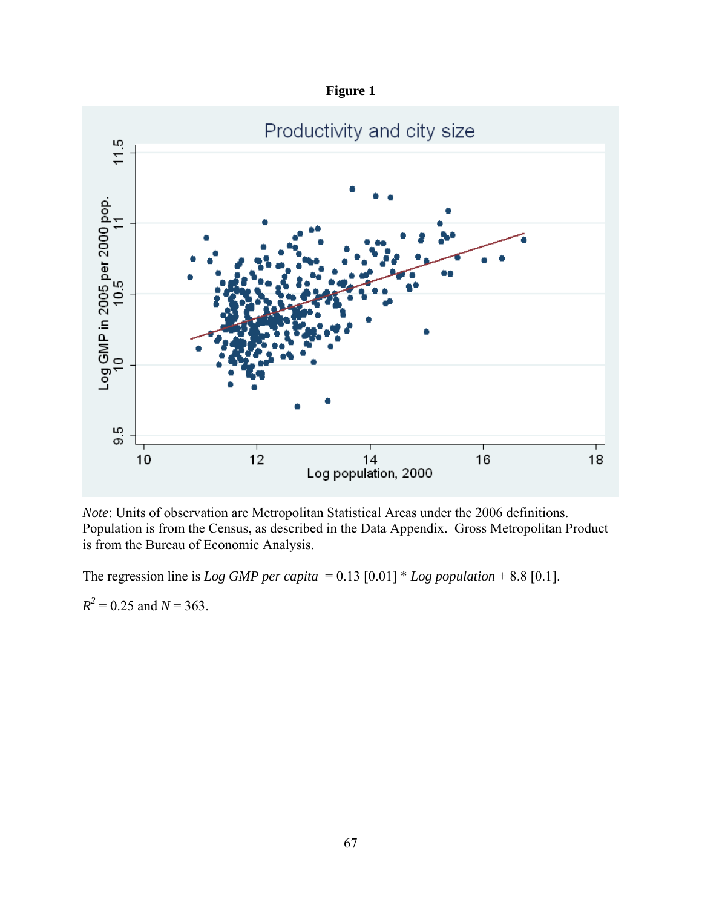**Figure 1** 



*Note*: Units of observation are Metropolitan Statistical Areas under the 2006 definitions. Population is from the Census, as described in the Data Appendix. Gross Metropolitan Product is from the Bureau of Economic Analysis.

The regression line is *Log GMP per capita*  $= 0.13$  [0.01]  $*$  *Log population*  $+ 8.8$  [0.1].

 $R^2 = 0.25$  and  $N = 363$ .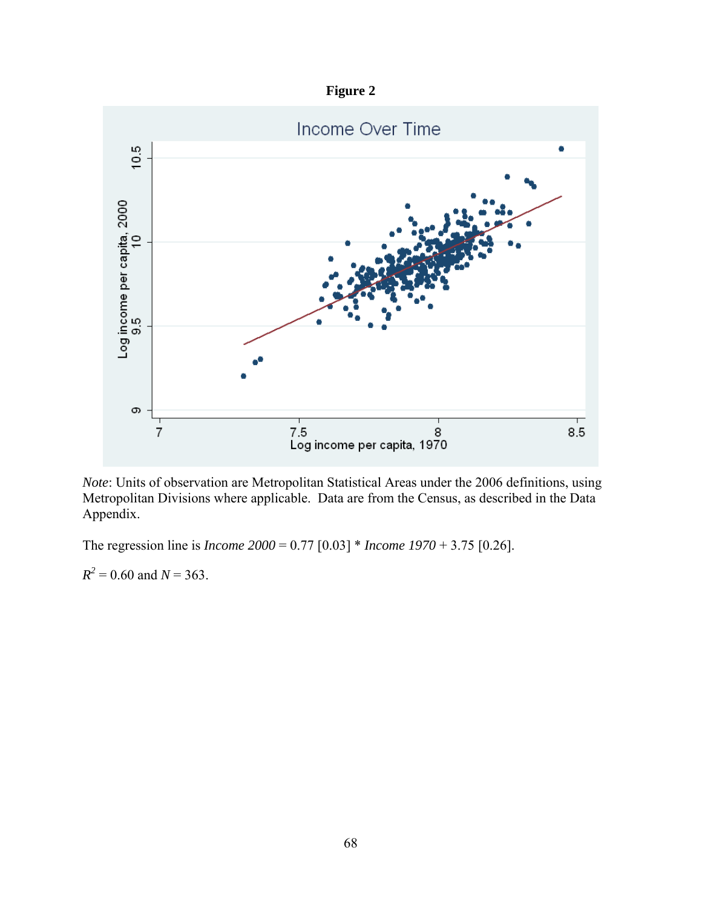| 19111 |  |
|-------|--|
|-------|--|



*Note*: Units of observation are Metropolitan Statistical Areas under the 2006 definitions, using Metropolitan Divisions where applicable. Data are from the Census, as described in the Data Appendix.

The regression line is *Income 2000* = 0.77 [0.03] \* *Income 1970* + 3.75 [0.26].

 $R^2 = 0.60$  and  $N = 363$ .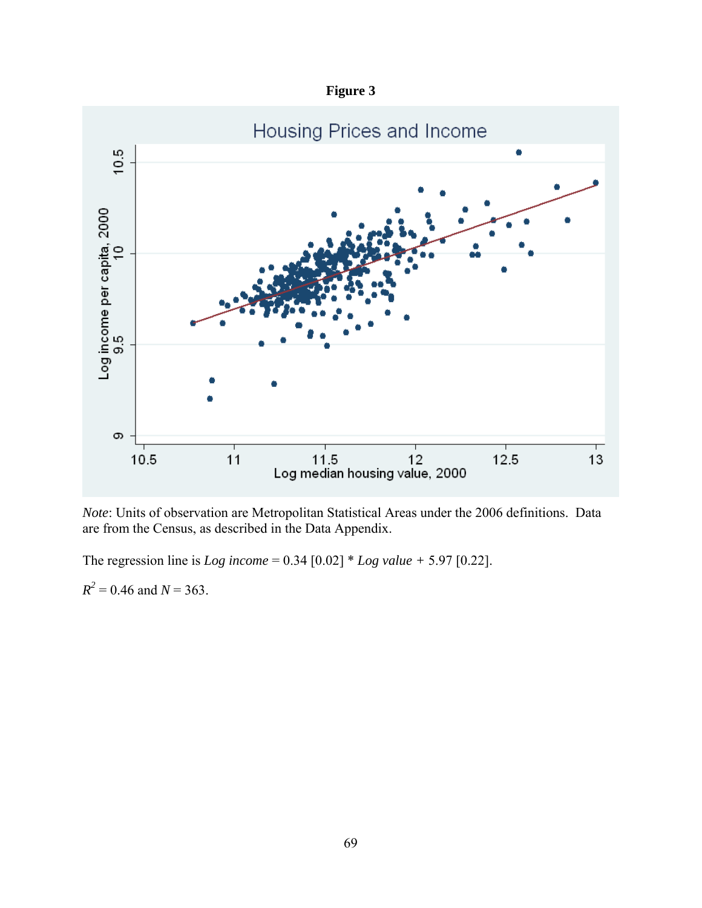**Figure 3** 



*Note*: Units of observation are Metropolitan Statistical Areas under the 2006 definitions. Data are from the Census, as described in the Data Appendix.

The regression line is *Log income* = 0.34 [0.02] \* *Log value +* 5.97 [0.22].

 $R^2 = 0.46$  and  $N = 363$ .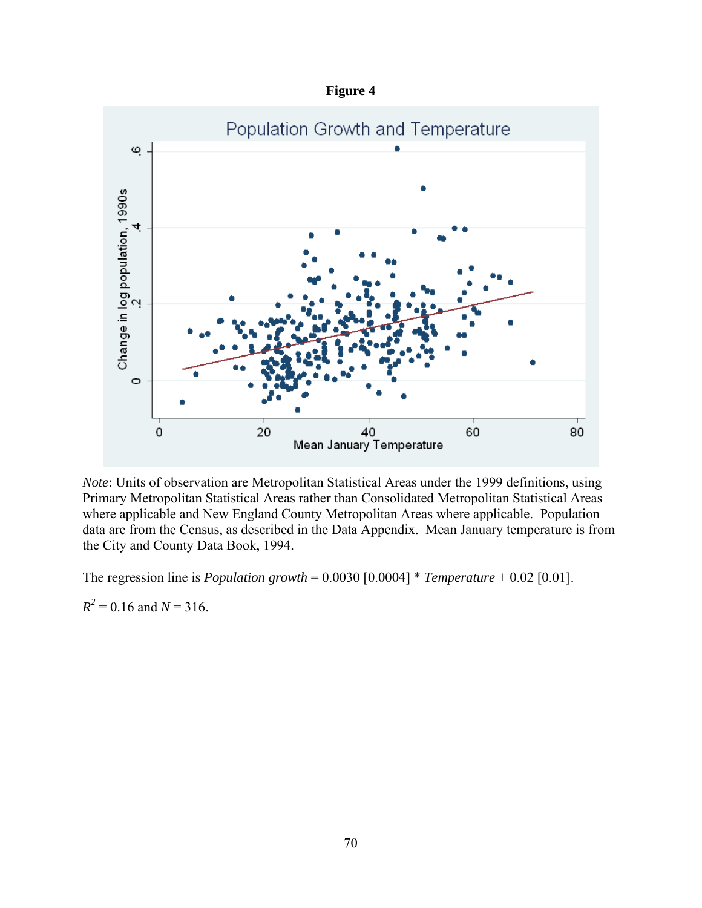**Figure 4** 



*Note*: Units of observation are Metropolitan Statistical Areas under the 1999 definitions, using Primary Metropolitan Statistical Areas rather than Consolidated Metropolitan Statistical Areas where applicable and New England County Metropolitan Areas where applicable. Population data are from the Census, as described in the Data Appendix. Mean January temperature is from the City and County Data Book, 1994.

The regression line is *Population growth* = 0.0030 [0.0004] \* *Temperature* + 0.02 [0.01].

 $R^2 = 0.16$  and  $N = 316$ .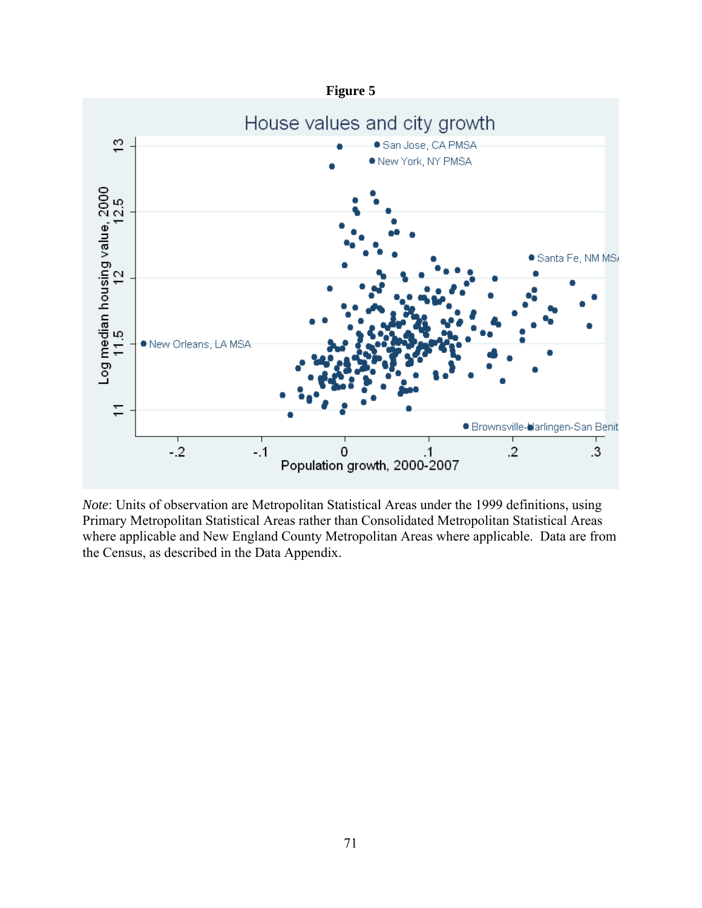



*Note*: Units of observation are Metropolitan Statistical Areas under the 1999 definitions, using Primary Metropolitan Statistical Areas rather than Consolidated Metropolitan Statistical Areas where applicable and New England County Metropolitan Areas where applicable. Data are from the Census, as described in the Data Appendix.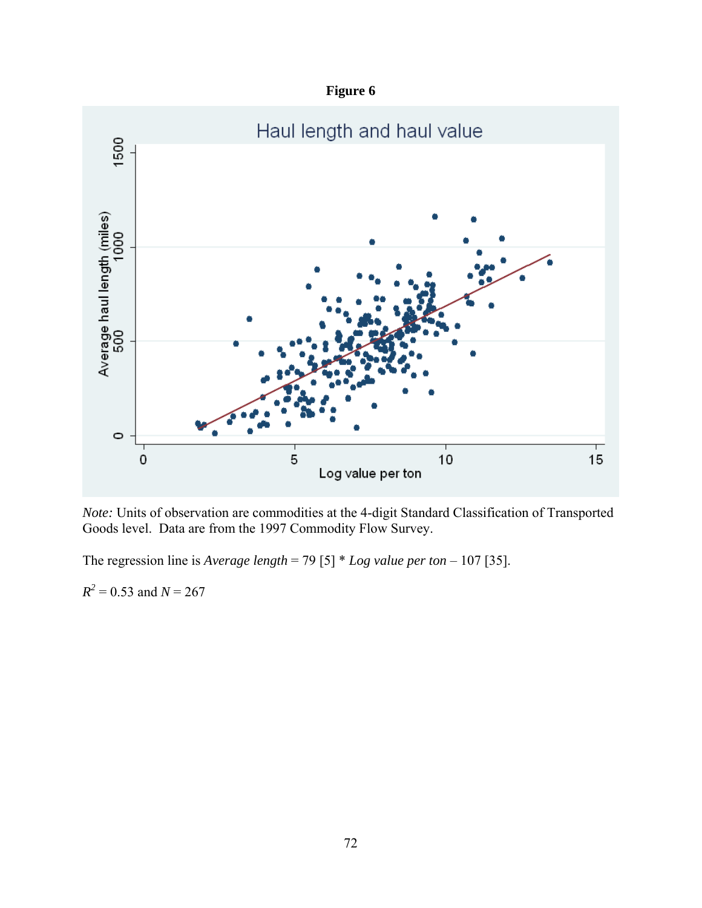## **Figure 6**



*Note:* Units of observation are commodities at the 4-digit Standard Classification of Transported Goods level. Data are from the 1997 Commodity Flow Survey.

The regression line is *Average length* = 79 [5] \* *Log value per ton* – 107 [35].

 $R^2 = 0.53$  and  $N = 267$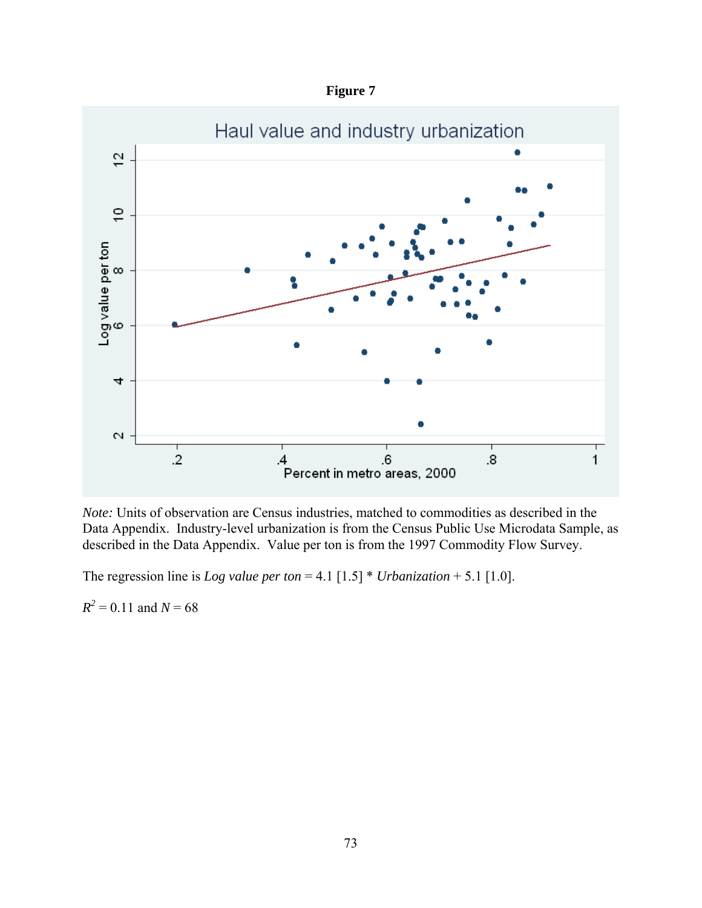**Figure 7** 



*Note:* Units of observation are Census industries, matched to commodities as described in the Data Appendix. Industry-level urbanization is from the Census Public Use Microdata Sample, as described in the Data Appendix. Value per ton is from the 1997 Commodity Flow Survey.

The regression line is *Log value per ton* = 4.1 [1.5] \* *Urbanization* + 5.1 [1.0].

 $R^2 = 0.11$  and  $N = 68$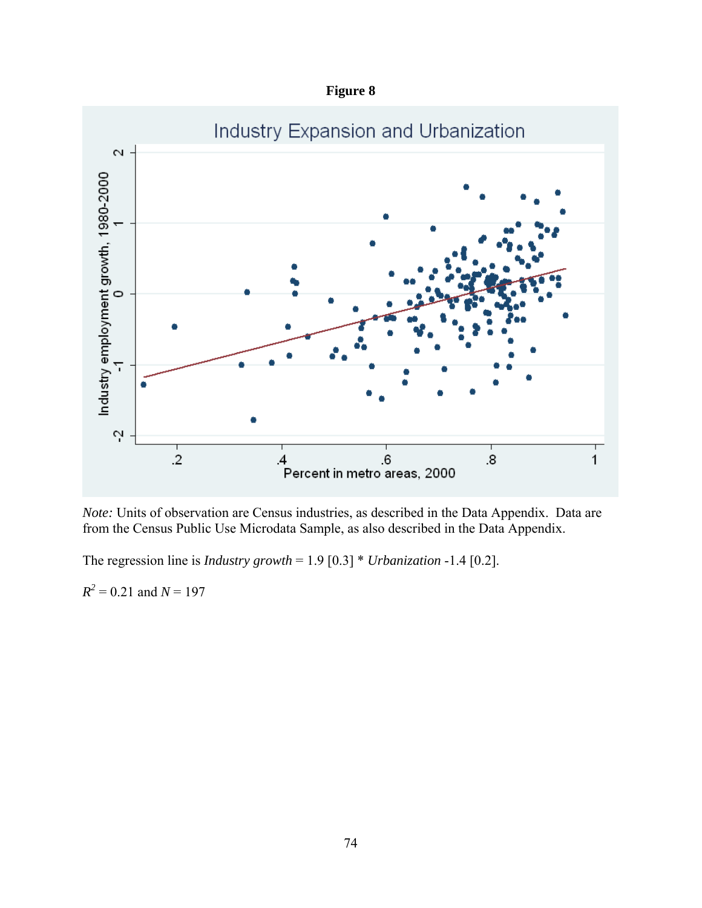**Figure 8** 



*Note:* Units of observation are Census industries, as described in the Data Appendix. Data are from the Census Public Use Microdata Sample, as also described in the Data Appendix.

The regression line is *Industry growth* = 1.9 [0.3] \* *Urbanization* -1.4 [0.2].

 $R^2 = 0.21$  and  $N = 197$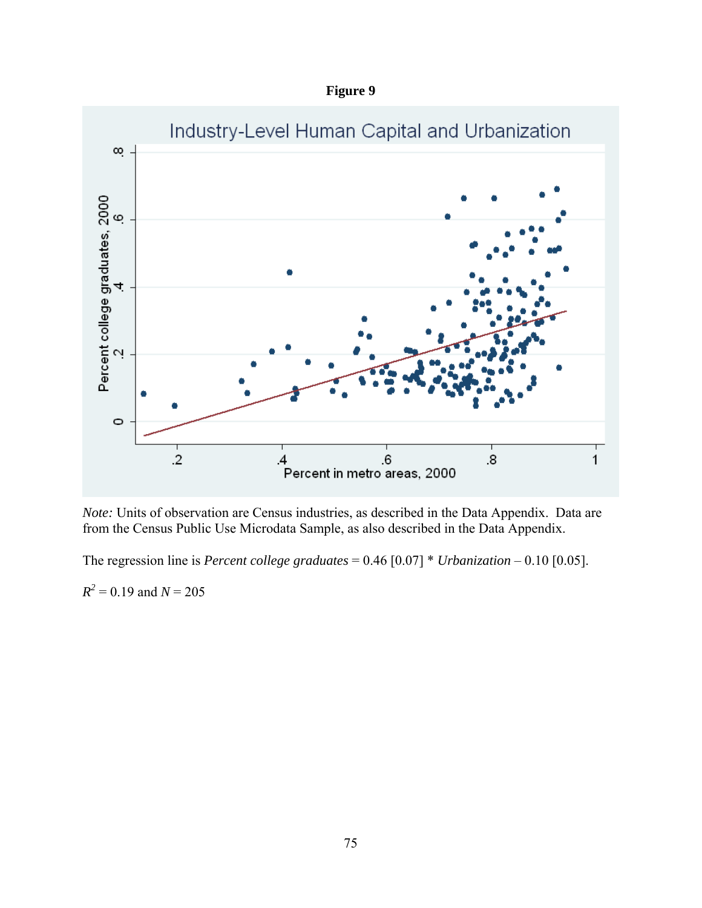**Figure 9** 



*Note:* Units of observation are Census industries, as described in the Data Appendix. Data are from the Census Public Use Microdata Sample, as also described in the Data Appendix.

The regression line is *Percent college graduates* = 0.46 [0.07] \* *Urbanization* – 0.10 [0.05].

 $R^2 = 0.19$  and  $N = 205$